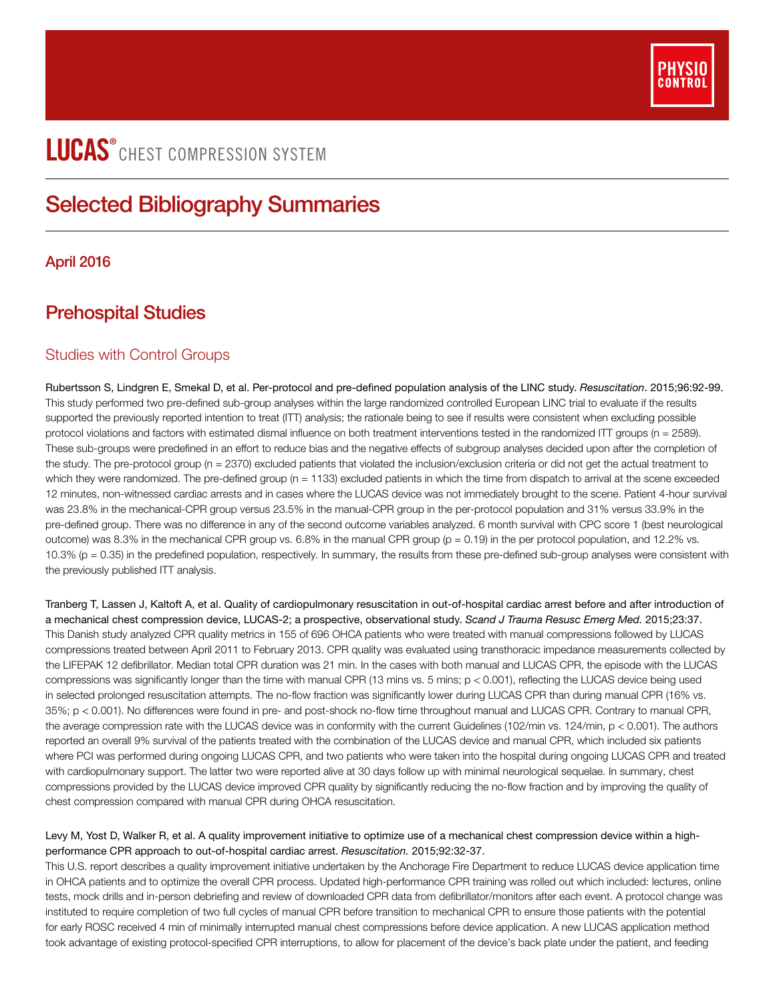

# LUCAS<sup>®</sup> CHEST COMPRESSION SYSTEM

## Selected Bibliography Summaries

## April 2016

## Prehospital Studies

## Studies with Control Groups

Rubertsson S, Lindgren E, Smekal D, et al. Per-protocol and pre-defined population analysis of the LINC study. *Resuscitation*. 2015;96:92-99. This study performed two pre-defined sub-group analyses within the large randomized controlled European LINC trial to evaluate if the results supported the previously reported intention to treat (ITT) analysis; the rationale being to see if results were consistent when excluding possible protocol violations and factors with estimated dismal influence on both treatment interventions tested in the randomized ITT groups (n = 2589). These sub-groups were predefined in an effort to reduce bias and the negative effects of subgroup analyses decided upon after the completion of the study. The pre-protocol group (n = 2370) excluded patients that violated the inclusion/exclusion criteria or did not get the actual treatment to which they were randomized. The pre-defined group (n = 1133) excluded patients in which the time from dispatch to arrival at the scene exceeded 12 minutes, non-witnessed cardiac arrests and in cases where the LUCAS device was not immediately brought to the scene. Patient 4-hour survival was 23.8% in the mechanical-CPR group versus 23.5% in the manual-CPR group in the per-protocol population and 31% versus 33.9% in the pre-defined group. There was no difference in any of the second outcome variables analyzed. 6 month survival with CPC score 1 (best neurological outcome) was 8.3% in the mechanical CPR group vs.  $6.8\%$  in the manual CPR group ( $p = 0.19$ ) in the per protocol population, and 12.2% vs. 10.3% (p = 0.35) in the predefined population, respectively. In summary, the results from these pre-defined sub-group analyses were consistent with the previously published ITT analysis.

Tranberg T, Lassen J, Kaltoft A, et al. Quality of cardiopulmonary resuscitation in out-of-hospital cardiac arrest before and after introduction of a mechanical chest compression device, LUCAS-2; a prospective, observational study. *Scand J Trauma Resusc Emerg Med.* 2015;23:37. This Danish study analyzed CPR quality metrics in 155 of 696 OHCA patients who were treated with manual compressions followed by LUCAS compressions treated between April 2011 to February 2013. CPR quality was evaluated using transthoracic impedance measurements collected by the LIFEPAK 12 defibrillator. Median total CPR duration was 21 min. In the cases with both manual and LUCAS CPR, the episode with the LUCAS compressions was significantly longer than the time with manual CPR (13 mins vs. 5 mins; p < 0.001), reflecting the LUCAS device being used in selected prolonged resuscitation attempts. The no-flow fraction was significantly lower during LUCAS CPR than during manual CPR (16% vs. 35%; p < 0.001). No differences were found in pre- and post-shock no-flow time throughout manual and LUCAS CPR. Contrary to manual CPR, the average compression rate with the LUCAS device was in conformity with the current Guidelines (102/min vs. 124/min, p < 0.001). The authors reported an overall 9% survival of the patients treated with the combination of the LUCAS device and manual CPR, which included six patients where PCI was performed during ongoing LUCAS CPR, and two patients who were taken into the hospital during ongoing LUCAS CPR and treated with cardiopulmonary support. The latter two were reported alive at 30 days follow up with minimal neurological sequelae. In summary, chest compressions provided by the LUCAS device improved CPR quality by significantly reducing the no-flow fraction and by improving the quality of chest compression compared with manual CPR during OHCA resuscitation.

## Levy M, Yost D, Walker R, et al. A quality improvement initiative to optimize use of a mechanical chest compression device within a highperformance CPR approach to out-of-hospital cardiac arrest. *Resuscitation.* 2015;92:32-37.

This U.S. report describes a quality improvement initiative undertaken by the Anchorage Fire Department to reduce LUCAS device application time in OHCA patients and to optimize the overall CPR process. Updated high-performance CPR training was rolled out which included: lectures, online tests, mock drills and in-person debriefing and review of downloaded CPR data from defibrillator/monitors after each event. A protocol change was instituted to require completion of two full cycles of manual CPR before transition to mechanical CPR to ensure those patients with the potential for early ROSC received 4 min of minimally interrupted manual chest compressions before device application. A new LUCAS application method took advantage of existing protocol-specified CPR interruptions, to allow for placement of the device's back plate under the patient, and feeding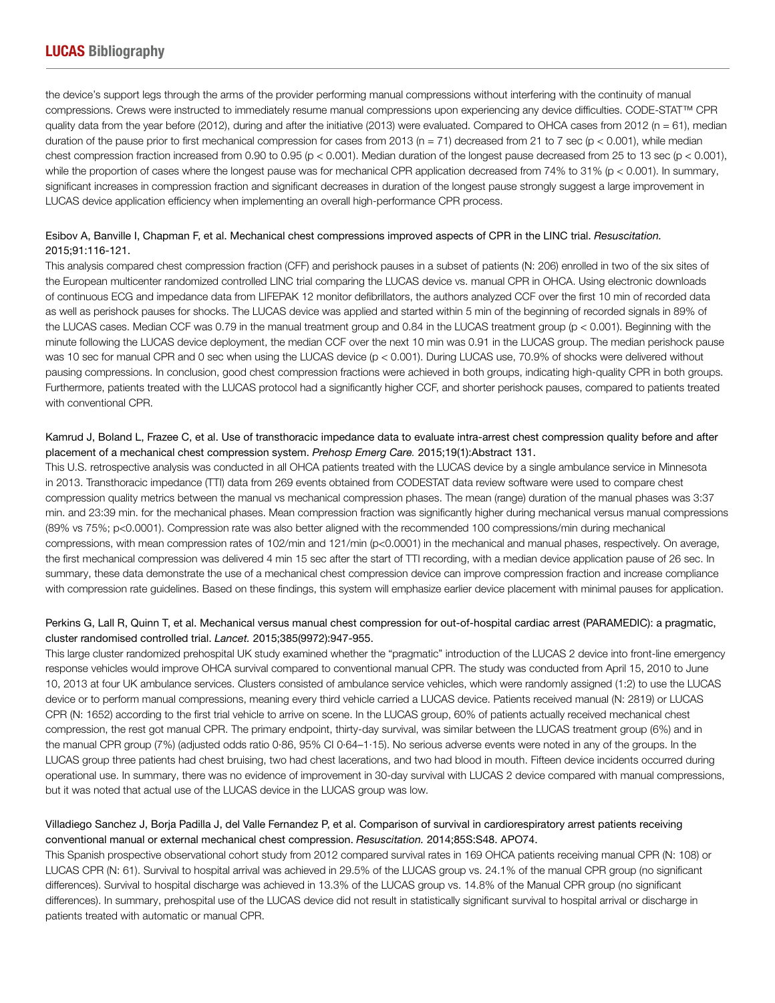the device's support legs through the arms of the provider performing manual compressions without interfering with the continuity of manual compressions. Crews were instructed to immediately resume manual compressions upon experiencing any device difficulties. CODE-STAT™ CPR quality data from the year before (2012), during and after the initiative (2013) were evaluated. Compared to OHCA cases from 2012 (n = 61), median duration of the pause prior to first mechanical compression for cases from 2013 (n = 71) decreased from 21 to 7 sec (p < 0.001), while median chest compression fraction increased from 0.90 to 0.95 ( $p < 0.001$ ). Median duration of the longest pause decreased from 25 to 13 sec ( $p < 0.001$ ), while the proportion of cases where the longest pause was for mechanical CPR application decreased from 74% to 31% (p < 0.001). In summary, significant increases in compression fraction and significant decreases in duration of the longest pause strongly suggest a large improvement in LUCAS device application efficiency when implementing an overall high-performance CPR process.

## Esibov A, Banville I, Chapman F, et al. Mechanical chest compressions improved aspects of CPR in the LINC trial. *Resuscitation.*  2015;91:116-121.

This analysis compared chest compression fraction (CFF) and perishock pauses in a subset of patients (N: 206) enrolled in two of the six sites of the European multicenter randomized controlled LINC trial comparing the LUCAS device vs. manual CPR in OHCA. Using electronic downloads of continuous ECG and impedance data from LIFEPAK 12 monitor defibrillators, the authors analyzed CCF over the first 10 min of recorded data as well as perishock pauses for shocks. The LUCAS device was applied and started within 5 min of the beginning of recorded signals in 89% of the LUCAS cases. Median CCF was 0.79 in the manual treatment group and 0.84 in the LUCAS treatment group (p < 0.001). Beginning with the minute following the LUCAS device deployment, the median CCF over the next 10 min was 0.91 in the LUCAS group. The median perishock pause was 10 sec for manual CPR and 0 sec when using the LUCAS device (p < 0.001). During LUCAS use, 70.9% of shocks were delivered without pausing compressions. In conclusion, good chest compression fractions were achieved in both groups, indicating high-quality CPR in both groups. Furthermore, patients treated with the LUCAS protocol had a significantly higher CCF, and shorter perishock pauses, compared to patients treated with conventional CPR.

## Kamrud J, Boland L, Frazee C, et al. Use of transthoracic impedance data to evaluate intra-arrest chest compression quality before and after placement of a mechanical chest compression system. *Prehosp Emerg Care*. 2015;19(1):Abstract 131.

This U.S. retrospective analysis was conducted in all OHCA patients treated with the LUCAS device by a single ambulance service in Minnesota in 2013. Transthoracic impedance (TTI) data from 269 events obtained from CODESTAT data review software were used to compare chest compression quality metrics between the manual vs mechanical compression phases. The mean (range) duration of the manual phases was 3:37 min. and 23:39 min. for the mechanical phases. Mean compression fraction was significantly higher during mechanical versus manual compressions (89% vs 75%; p<0.0001). Compression rate was also better aligned with the recommended 100 compressions/min during mechanical compressions, with mean compression rates of 102/min and 121/min (p<0.0001) in the mechanical and manual phases, respectively. On average, the first mechanical compression was delivered 4 min 15 sec after the start of TTI recording, with a median device application pause of 26 sec. In summary, these data demonstrate the use of a mechanical chest compression device can improve compression fraction and increase compliance with compression rate guidelines. Based on these findings, this system will emphasize earlier device placement with minimal pauses for application.

## Perkins G, Lall R, Quinn T, et al. Mechanical versus manual chest compression for out-of-hospital cardiac arrest (PARAMEDIC): a pragmatic, cluster randomised controlled trial. *Lancet.* 2015;385(9972):947-955.

This large cluster randomized prehospital UK study examined whether the "pragmatic" introduction of the LUCAS 2 device into front-line emergency response vehicles would improve OHCA survival compared to conventional manual CPR. The study was conducted from April 15, 2010 to June 10, 2013 at four UK ambulance services. Clusters consisted of ambulance service vehicles, which were randomly assigned (1:2) to use the LUCAS device or to perform manual compressions, meaning every third vehicle carried a LUCAS device. Patients received manual (N: 2819) or LUCAS CPR (N: 1652) according to the first trial vehicle to arrive on scene. In the LUCAS group, 60% of patients actually received mechanical chest compression, the rest got manual CPR. The primary endpoint, thirty-day survival, was similar between the LUCAS treatment group (6%) and in the manual CPR group (7%) (adjusted odds ratio 0·86, 95% CI 0·64–1·15). No serious adverse events were noted in any of the groups. In the LUCAS group three patients had chest bruising, two had chest lacerations, and two had blood in mouth. Fifteen device incidents occurred during operational use. In summary, there was no evidence of improvement in 30-day survival with LUCAS 2 device compared with manual compressions, but it was noted that actual use of the LUCAS device in the LUCAS group was low.

## Villadiego Sanchez J, Borja Padilla J, del Valle Fernandez P, et al. Comparison of survival in cardiorespiratory arrest patients receiving conventional manual or external mechanical chest compression. *Resuscitation.* 2014;85S:S48. APO74.

This Spanish prospective observational cohort study from 2012 compared survival rates in 169 OHCA patients receiving manual CPR (N: 108) or LUCAS CPR (N: 61). Survival to hospital arrival was achieved in 29.5% of the LUCAS group vs. 24.1% of the manual CPR group (no significant differences). Survival to hospital discharge was achieved in 13.3% of the LUCAS group vs. 14.8% of the Manual CPR group (no significant differences). In summary, prehospital use of the LUCAS device did not result in statistically significant survival to hospital arrival or discharge in patients treated with automatic or manual CPR.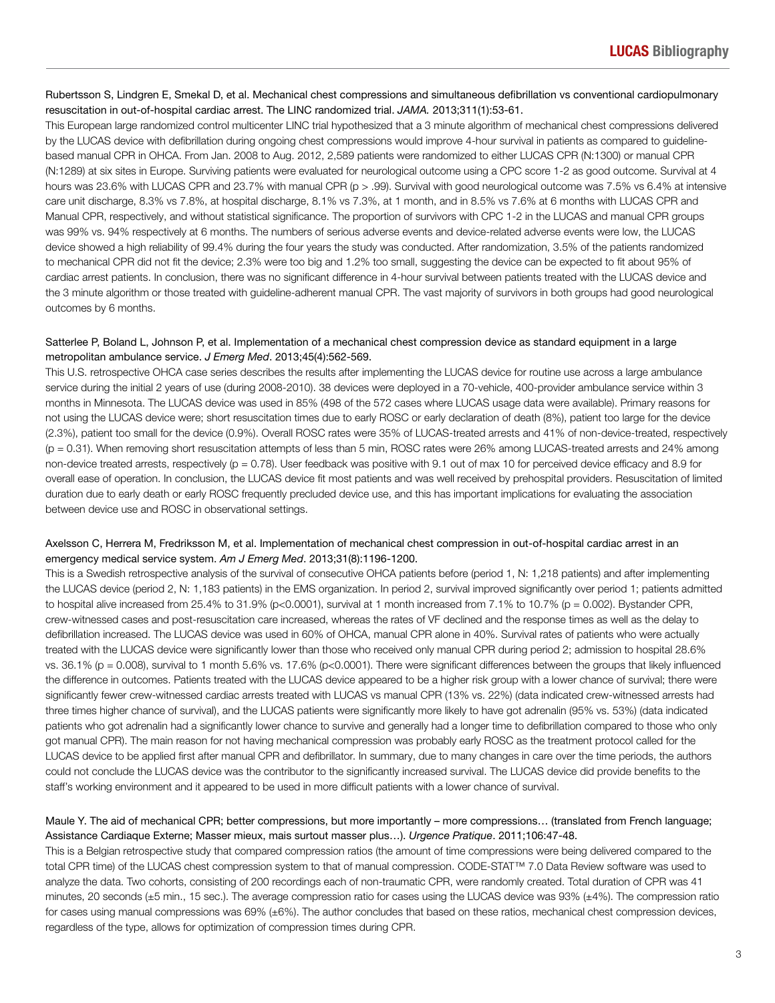### Rubertsson S, Lindgren E, Smekal D, et al. Mechanical chest compressions and simultaneous defibrillation vs conventional cardiopulmonary resuscitation in out-of-hospital cardiac arrest. The LINC randomized trial. *JAMA.* 2013;311(1):53-61.

This European large randomized control multicenter LINC trial hypothesized that a 3 minute algorithm of mechanical chest compressions delivered by the LUCAS device with defibrillation during ongoing chest compressions would improve 4-hour survival in patients as compared to guidelinebased manual CPR in OHCA. From Jan. 2008 to Aug. 2012, 2,589 patients were randomized to either LUCAS CPR (N:1300) or manual CPR (N:1289) at six sites in Europe. Surviving patients were evaluated for neurological outcome using a CPC score 1-2 as good outcome. Survival at 4 hours was 23.6% with LUCAS CPR and 23.7% with manual CPR (p > .99). Survival with good neurological outcome was 7.5% vs 6.4% at intensive care unit discharge, 8.3% vs 7.8%, at hospital discharge, 8.1% vs 7.3%, at 1 month, and in 8.5% vs 7.6% at 6 months with LUCAS CPR and Manual CPR, respectively, and without statistical significance. The proportion of survivors with CPC 1-2 in the LUCAS and manual CPR groups was 99% vs. 94% respectively at 6 months. The numbers of serious adverse events and device-related adverse events were low, the LUCAS device showed a high reliability of 99.4% during the four years the study was conducted. After randomization, 3.5% of the patients randomized to mechanical CPR did not fit the device; 2.3% were too big and 1.2% too small, suggesting the device can be expected to fit about 95% of cardiac arrest patients. In conclusion, there was no significant difference in 4-hour survival between patients treated with the LUCAS device and the 3 minute algorithm or those treated with guideline-adherent manual CPR. The vast majority of survivors in both groups had good neurological outcomes by 6 months.

## Satterlee P, Boland L, Johnson P, et al. Implementation of a mechanical chest compression device as standard equipment in a large metropolitan ambulance service. *J Emerg Med*. 2013;45(4):562-569.

This U.S. retrospective OHCA case series describes the results after implementing the LUCAS device for routine use across a large ambulance service during the initial 2 years of use (during 2008-2010). 38 devices were deployed in a 70-vehicle, 400-provider ambulance service within 3 months in Minnesota. The LUCAS device was used in 85% (498 of the 572 cases where LUCAS usage data were available). Primary reasons for not using the LUCAS device were; short resuscitation times due to early ROSC or early declaration of death (8%), patient too large for the device (2.3%), patient too small for the device (0.9%). Overall ROSC rates were 35% of LUCAS-treated arrests and 41% of non-device-treated, respectively (p = 0.31). When removing short resuscitation attempts of less than 5 min, ROSC rates were 26% among LUCAS-treated arrests and 24% among non-device treated arrests, respectively ( $p = 0.78$ ). User feedback was positive with 9.1 out of max 10 for perceived device efficacy and 8.9 for overall ease of operation. In conclusion, the LUCAS device fit most patients and was well received by prehospital providers. Resuscitation of limited duration due to early death or early ROSC frequently precluded device use, and this has important implications for evaluating the association between device use and ROSC in observational settings.

## Axelsson C, Herrera M, Fredriksson M, et al. Implementation of mechanical chest compression in out-of-hospital cardiac arrest in an emergency medical service system. *Am J Emerg Med*. 2013;31(8):1196-1200.

This is a Swedish retrospective analysis of the survival of consecutive OHCA patients before (period 1, N: 1,218 patients) and after implementing the LUCAS device (period 2, N: 1,183 patients) in the EMS organization. In period 2, survival improved significantly over period 1; patients admitted to hospital alive increased from 25.4% to 31.9% (p<0.0001), survival at 1 month increased from 7.1% to 10.7% (p = 0.002). Bystander CPR, crew-witnessed cases and post-resuscitation care increased, whereas the rates of VF declined and the response times as well as the delay to defibrillation increased. The LUCAS device was used in 60% of OHCA, manual CPR alone in 40%. Survival rates of patients who were actually treated with the LUCAS device were significantly lower than those who received only manual CPR during period 2; admission to hospital 28.6% vs.  $36.1\%$  (p = 0.008), survival to 1 month 5.6% vs. 17.6% (p<0.0001). There were significant differences between the groups that likely influenced the difference in outcomes. Patients treated with the LUCAS device appeared to be a higher risk group with a lower chance of survival; there were significantly fewer crew-witnessed cardiac arrests treated with LUCAS vs manual CPR (13% vs. 22%) (data indicated crew-witnessed arrests had three times higher chance of survival), and the LUCAS patients were significantly more likely to have got adrenalin (95% vs. 53%) (data indicated patients who got adrenalin had a significantly lower chance to survive and generally had a longer time to defibrillation compared to those who only got manual CPR). The main reason for not having mechanical compression was probably early ROSC as the treatment protocol called for the LUCAS device to be applied first after manual CPR and defibrillator. In summary, due to many changes in care over the time periods, the authors could not conclude the LUCAS device was the contributor to the significantly increased survival. The LUCAS device did provide benefits to the staff's working environment and it appeared to be used in more difficult patients with a lower chance of survival.

## Maule Y. The aid of mechanical CPR; better compressions, but more importantly – more compressions… (translated from French language; Assistance Cardiaque Externe; Masser mieux, mais surtout masser plus…). *Urgence Pratique*. 2011;106:47-48.

This is a Belgian retrospective study that compared compression ratios (the amount of time compressions were being delivered compared to the total CPR time) of the LUCAS chest compression system to that of manual compression. CODE-STAT™ 7.0 Data Review software was used to analyze the data. Two cohorts, consisting of 200 recordings each of non-traumatic CPR, were randomly created. Total duration of CPR was 41 minutes, 20 seconds (±5 min., 15 sec.). The average compression ratio for cases using the LUCAS device was 93% (±4%). The compression ratio for cases using manual compressions was 69% (±6%). The author concludes that based on these ratios, mechanical chest compression devices, regardless of the type, allows for optimization of compression times during CPR.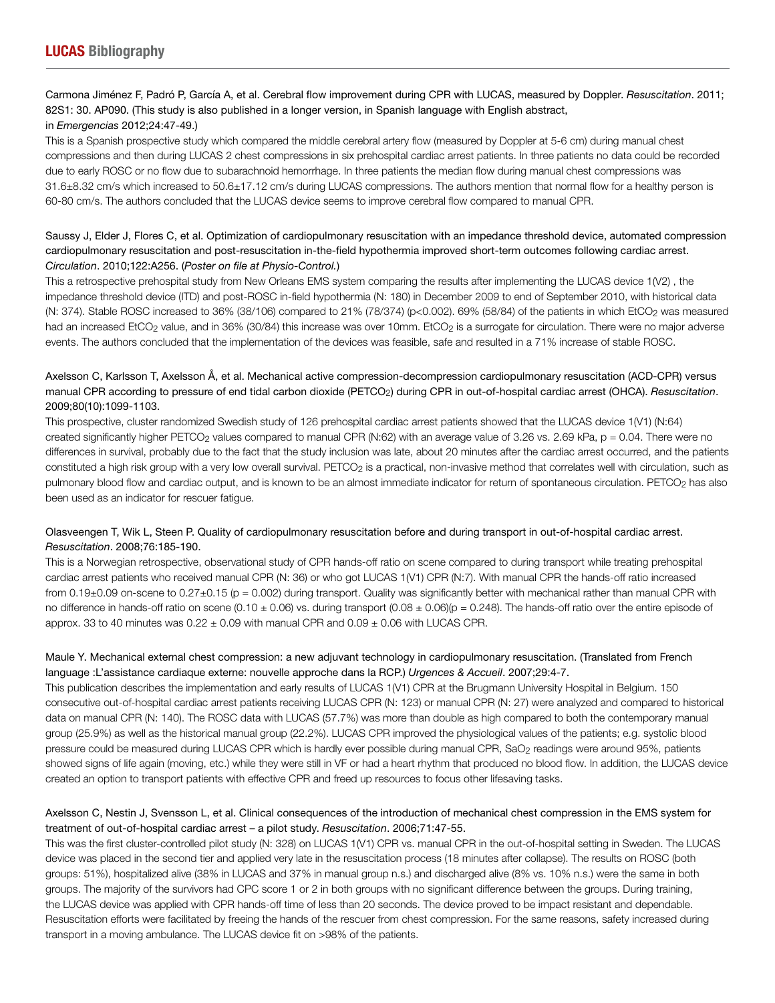## Carmona Jiménez F, Padró P, García A, et al. Cerebral flow improvement during CPR with LUCAS, measured by Doppler. *Resuscitation*. 2011; 82S1: 30. AP090. (This study is also published in a longer version, in Spanish language with English abstract,

## in *Emergencias* 2012;24:47-49.)

This is a Spanish prospective study which compared the middle cerebral artery flow (measured by Doppler at 5-6 cm) during manual chest compressions and then during LUCAS 2 chest compressions in six prehospital cardiac arrest patients. In three patients no data could be recorded due to early ROSC or no flow due to subarachnoid hemorrhage. In three patients the median flow during manual chest compressions was 31.6±8.32 cm/s which increased to 50.6±17.12 cm/s during LUCAS compressions. The authors mention that normal flow for a healthy person is 60-80 cm/s. The authors concluded that the LUCAS device seems to improve cerebral flow compared to manual CPR.

## Saussy J, Elder J, Flores C, et al. Optimization of cardiopulmonary resuscitation with an impedance threshold device, automated compression cardiopulmonary resuscitation and post-resuscitation in-the-field hypothermia improved short-term outcomes following cardiac arrest. *Circulation*. 2010;122:A256. (*Poster on file at Physio-Control.*)

This a retrospective prehospital study from New Orleans EMS system comparing the results after implementing the LUCAS device 1(V2) , the impedance threshold device (ITD) and post-ROSC in-field hypothermia (N: 180) in December 2009 to end of September 2010, with historical data (N: 374). Stable ROSC increased to 36% (38/106) compared to 21% (78/374) (p<0.002). 69% (58/84) of the patients in which EtCO<sub>2</sub> was measured had an increased EtCO<sub>2</sub> value, and in 36% (30/84) this increase was over 10mm. EtCO<sub>2</sub> is a surrogate for circulation. There were no major adverse events. The authors concluded that the implementation of the devices was feasible, safe and resulted in a 71% increase of stable ROSC.

## Axelsson C, Karlsson T, Axelsson Å, et al. Mechanical active compression-decompression cardiopulmonary resuscitation (ACD-CPR) versus manual CPR according to pressure of end tidal carbon dioxide (PETCO2) during CPR in out-of-hospital cardiac arrest (OHCA). *Resuscitation*. 2009;80(10):1099-1103.

This prospective, cluster randomized Swedish study of 126 prehospital cardiac arrest patients showed that the LUCAS device 1(V1) (N:64) created significantly higher PETCO<sub>2</sub> values compared to manual CPR (N:62) with an average value of 3.26 vs. 2.69 kPa,  $p = 0.04$ . There were no differences in survival, probably due to the fact that the study inclusion was late, about 20 minutes after the cardiac arrest occurred, and the patients constituted a high risk group with a very low overall survival. PETCO<sub>2</sub> is a practical, non-invasive method that correlates well with circulation, such as pulmonary blood flow and cardiac output, and is known to be an almost immediate indicator for return of spontaneous circulation. PETCO<sub>2</sub> has also been used as an indicator for rescuer fatigue.

## Olasveengen T, Wik L, Steen P. Quality of cardiopulmonary resuscitation before and during transport in out-of-hospital cardiac arrest. *Resuscitation*. 2008;76:185-190.

This is a Norwegian retrospective, observational study of CPR hands-off ratio on scene compared to during transport while treating prehospital cardiac arrest patients who received manual CPR (N: 36) or who got LUCAS 1(V1) CPR (N:7). With manual CPR the hands-off ratio increased from  $0.19\pm0.09$  on-scene to  $0.27\pm0.15$  (p = 0.002) during transport. Quality was significantly better with mechanical rather than manual CPR with no difference in hands-off ratio on scene (0.10  $\pm$  0.06) vs. during transport (0.08  $\pm$  0.06)(p = 0.248). The hands-off ratio over the entire episode of approx. 33 to 40 minutes was  $0.22 \pm 0.09$  with manual CPR and  $0.09 \pm 0.06$  with LUCAS CPR.

## Maule Y. Mechanical external chest compression: a new adjuvant technology in cardiopulmonary resuscitation. (Translated from French language :L'assistance cardiaque externe: nouvelle approche dans la RCP.) *Urgences & Accueil*. 2007;29:4-7.

This publication describes the implementation and early results of LUCAS 1(V1) CPR at the Brugmann University Hospital in Belgium. 150 consecutive out-of-hospital cardiac arrest patients receiving LUCAS CPR (N: 123) or manual CPR (N: 27) were analyzed and compared to historical data on manual CPR (N: 140). The ROSC data with LUCAS (57.7%) was more than double as high compared to both the contemporary manual group (25.9%) as well as the historical manual group (22.2%). LUCAS CPR improved the physiological values of the patients; e.g. systolic blood pressure could be measured during LUCAS CPR which is hardly ever possible during manual CPR, SaO<sub>2</sub> readings were around 95%, patients showed signs of life again (moving, etc.) while they were still in VF or had a heart rhythm that produced no blood flow. In addition, the LUCAS device created an option to transport patients with effective CPR and freed up resources to focus other lifesaving tasks.

## Axelsson C, Nestin J, Svensson L, et al. Clinical consequences of the introduction of mechanical chest compression in the EMS system for treatment of out-of-hospital cardiac arrest – a pilot study. *Resuscitation*. 2006;71:47-55.

This was the first cluster-controlled pilot study (N: 328) on LUCAS 1(V1) CPR vs. manual CPR in the out-of-hospital setting in Sweden. The LUCAS device was placed in the second tier and applied very late in the resuscitation process (18 minutes after collapse). The results on ROSC (both groups: 51%), hospitalized alive (38% in LUCAS and 37% in manual group n.s.) and discharged alive (8% vs. 10% n.s.) were the same in both groups. The majority of the survivors had CPC score 1 or 2 in both groups with no significant difference between the groups. During training, the LUCAS device was applied with CPR hands-off time of less than 20 seconds. The device proved to be impact resistant and dependable. Resuscitation efforts were facilitated by freeing the hands of the rescuer from chest compression. For the same reasons, safety increased during transport in a moving ambulance. The LUCAS device fit on >98% of the patients.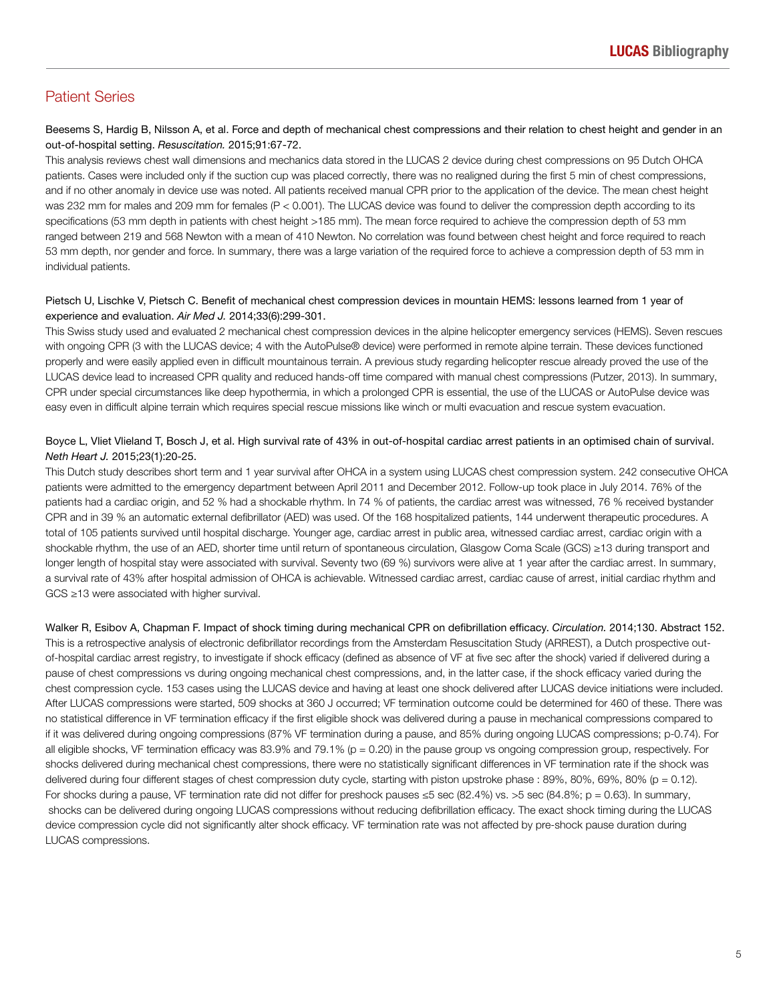## Patient Series

## Beesems S, Hardig B, Nilsson A, et al. Force and depth of mechanical chest compressions and their relation to chest height and gender in an out-of-hospital setting. *Resuscitation.* 2015;91:67-72.

This analysis reviews chest wall dimensions and mechanics data stored in the LUCAS 2 device during chest compressions on 95 Dutch OHCA patients. Cases were included only if the suction cup was placed correctly, there was no realigned during the first 5 min of chest compressions, and if no other anomaly in device use was noted. All patients received manual CPR prior to the application of the device. The mean chest height was 232 mm for males and 209 mm for females (P < 0.001). The LUCAS device was found to deliver the compression depth according to its specifications (53 mm depth in patients with chest height >185 mm). The mean force required to achieve the compression depth of 53 mm ranged between 219 and 568 Newton with a mean of 410 Newton. No correlation was found between chest height and force required to reach 53 mm depth, nor gender and force. In summary, there was a large variation of the required force to achieve a compression depth of 53 mm in individual patients.

## Pietsch U, Lischke V, Pietsch C. Benefit of mechanical chest compression devices in mountain HEMS: lessons learned from 1 year of experience and evaluation. *Air Med J.* 2014;33(6):299-301.

This Swiss study used and evaluated 2 mechanical chest compression devices in the alpine helicopter emergency services (HEMS). Seven rescues with ongoing CPR (3 with the LUCAS device; 4 with the AutoPulse® device) were performed in remote alpine terrain. These devices functioned properly and were easily applied even in difficult mountainous terrain. A previous study regarding helicopter rescue already proved the use of the LUCAS device lead to increased CPR quality and reduced hands-off time compared with manual chest compressions (Putzer, 2013). In summary, CPR under special circumstances like deep hypothermia, in which a prolonged CPR is essential, the use of the LUCAS or AutoPulse device was easy even in difficult alpine terrain which requires special rescue missions like winch or multi evacuation and rescue system evacuation.

## Boyce L, Vliet Vlieland T, Bosch J, et al. High survival rate of 43% in out-of-hospital cardiac arrest patients in an optimised chain of survival. *Neth Heart J.* 2015;23(1):20-25.

This Dutch study describes short term and 1 year survival after OHCA in a system using LUCAS chest compression system. 242 consecutive OHCA patients were admitted to the emergency department between April 2011 and December 2012. Follow-up took place in July 2014. 76% of the patients had a cardiac origin, and 52 % had a shockable rhythm. In 74 % of patients, the cardiac arrest was witnessed, 76 % received bystander CPR and in 39 % an automatic external defibrillator (AED) was used. Of the 168 hospitalized patients, 144 underwent therapeutic procedures. A total of 105 patients survived until hospital discharge. Younger age, cardiac arrest in public area, witnessed cardiac arrest, cardiac origin with a shockable rhythm, the use of an AED, shorter time until return of spontaneous circulation, Glasgow Coma Scale (GCS) ≥13 during transport and longer length of hospital stay were associated with survival. Seventy two (69 %) survivors were alive at 1 year after the cardiac arrest. In summary, a survival rate of 43% after hospital admission of OHCA is achievable. Witnessed cardiac arrest, cardiac cause of arrest, initial cardiac rhythm and GCS ≥13 were associated with higher survival.

Walker R, Esibov A, Chapman F. Impact of shock timing during mechanical CPR on defibrillation efficacy. *Circulation.* 2014;130. Abstract 152. This is a retrospective analysis of electronic defibrillator recordings from the Amsterdam Resuscitation Study (ARREST), a Dutch prospective outof-hospital cardiac arrest registry, to investigate if shock efficacy (defined as absence of VF at five sec after the shock) varied if delivered during a pause of chest compressions vs during ongoing mechanical chest compressions, and, in the latter case, if the shock efficacy varied during the chest compression cycle. 153 cases using the LUCAS device and having at least one shock delivered after LUCAS device initiations were included. After LUCAS compressions were started, 509 shocks at 360 J occurred; VF termination outcome could be determined for 460 of these. There was no statistical difference in VF termination efficacy if the first eligible shock was delivered during a pause in mechanical compressions compared to if it was delivered during ongoing compressions (87% VF termination during a pause, and 85% during ongoing LUCAS compressions; p-0.74). For all eligible shocks, VF termination efficacy was 83.9% and 79.1% (p = 0.20) in the pause group ys ongoing compression group, respectively. For shocks delivered during mechanical chest compressions, there were no statistically significant differences in VF termination rate if the shock was delivered during four different stages of chest compression duty cycle, starting with piston upstroke phase : 89%, 80%, 69%, 80% (p = 0.12). For shocks during a pause, VF termination rate did not differ for preshock pauses ≤5 sec (82.4%) vs. >5 sec (84.8%; p = 0.63). In summary, shocks can be delivered during ongoing LUCAS compressions without reducing defibrillation efficacy. The exact shock timing during the LUCAS device compression cycle did not significantly alter shock efficacy. VF termination rate was not affected by pre-shock pause duration during LUCAS compressions.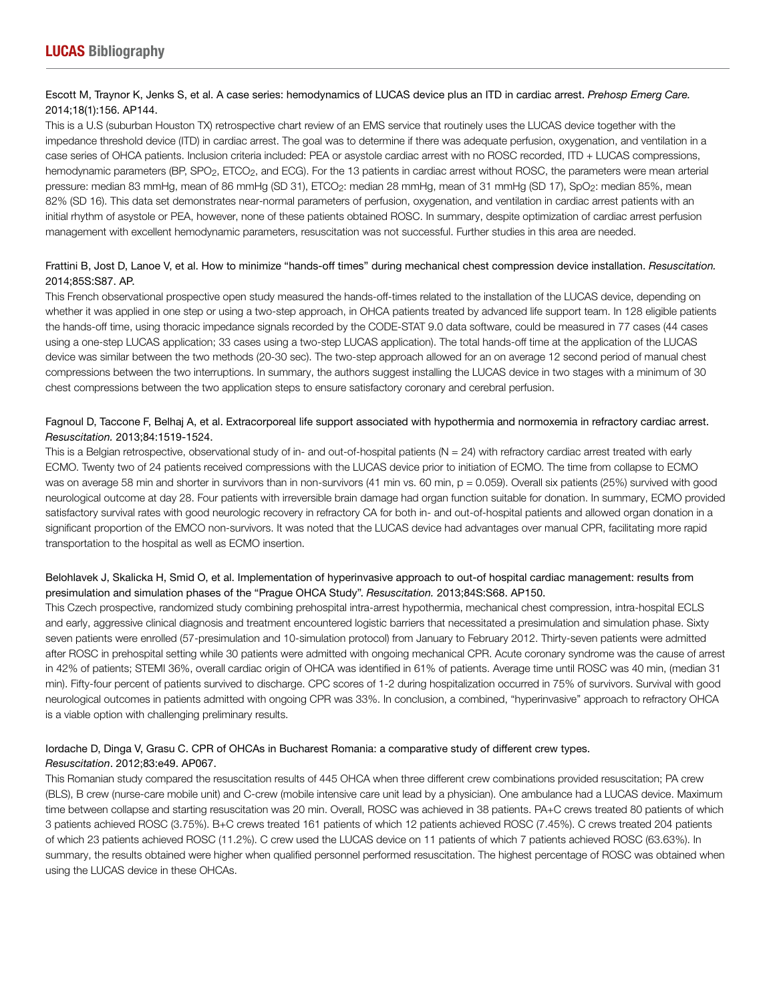## Escott M, Traynor K, Jenks S, et al. A case series: hemodynamics of LUCAS device plus an ITD in cardiac arrest. *Prehosp Emerg Care.* 2014;18(1):156. AP144.

This is a U.S (suburban Houston TX) retrospective chart review of an EMS service that routinely uses the LUCAS device together with the impedance threshold device (ITD) in cardiac arrest. The goal was to determine if there was adequate perfusion, oxygenation, and ventilation in a case series of OHCA patients. Inclusion criteria included: PEA or asystole cardiac arrest with no ROSC recorded, ITD + LUCAS compressions, hemodynamic parameters (BP, SPO<sub>2</sub>, ETCO<sub>2</sub>, and ECG). For the 13 patients in cardiac arrest without ROSC, the parameters were mean arterial pressure: median 83 mmHg, mean of 86 mmHg (SD 31), ETCO<sub>2</sub>: median 28 mmHg, mean of 31 mmHg (SD 17), SpO<sub>2</sub>: median 85%, mean 82% (SD 16). This data set demonstrates near-normal parameters of perfusion, oxygenation, and ventilation in cardiac arrest patients with an initial rhythm of asystole or PEA, however, none of these patients obtained ROSC. In summary, despite optimization of cardiac arrest perfusion management with excellent hemodynamic parameters, resuscitation was not successful. Further studies in this area are needed.

## Frattini B, Jost D, Lanoe V, et al. How to minimize "hands-off times" during mechanical chest compression device installation. *Resuscitation.* 2014;85S:S87. AP.

This French observational prospective open study measured the hands-off-times related to the installation of the LUCAS device, depending on whether it was applied in one step or using a two-step approach, in OHCA patients treated by advanced life support team. In 128 eligible patients the hands-off time, using thoracic impedance signals recorded by the CODE-STAT 9.0 data software, could be measured in 77 cases (44 cases using a one-step LUCAS application; 33 cases using a two-step LUCAS application). The total hands-off time at the application of the LUCAS device was similar between the two methods (20-30 sec). The two-step approach allowed for an on average 12 second period of manual chest compressions between the two interruptions. In summary, the authors suggest installing the LUCAS device in two stages with a minimum of 30 chest compressions between the two application steps to ensure satisfactory coronary and cerebral perfusion.

## Fagnoul D, Taccone F, Belhaj A, et al. Extracorporeal life support associated with hypothermia and normoxemia in refractory cardiac arrest. *Resuscitation.* 2013;84:1519-1524.

This is a Belgian retrospective, observational study of in- and out-of-hospital patients ( $N = 24$ ) with refractory cardiac arrest treated with early ECMO. Twenty two of 24 patients received compressions with the LUCAS device prior to initiation of ECMO. The time from collapse to ECMO was on average 58 min and shorter in survivors than in non-survivors (41 min vs. 60 min, p = 0.059). Overall six patients (25%) survived with good neurological outcome at day 28. Four patients with irreversible brain damage had organ function suitable for donation. In summary, ECMO provided satisfactory survival rates with good neurologic recovery in refractory CA for both in- and out-of-hospital patients and allowed organ donation in a significant proportion of the EMCO non-survivors. It was noted that the LUCAS device had advantages over manual CPR, facilitating more rapid transportation to the hospital as well as ECMO insertion.

## Belohlavek J, Skalicka H, Smid O, et al. Implementation of hyperinvasive approach to out-of hospital cardiac management: results from presimulation and simulation phases of the "Prague OHCA Study". *Resuscitation.* 2013;84S:S68. AP150.

This Czech prospective, randomized study combining prehospital intra-arrest hypothermia, mechanical chest compression, intra-hospital ECLS and early, aggressive clinical diagnosis and treatment encountered logistic barriers that necessitated a presimulation and simulation phase. Sixty seven patients were enrolled (57-presimulation and 10-simulation protocol) from January to February 2012. Thirty-seven patients were admitted after ROSC in prehospital setting while 30 patients were admitted with ongoing mechanical CPR. Acute coronary syndrome was the cause of arrest in 42% of patients; STEMI 36%, overall cardiac origin of OHCA was identified in 61% of patients. Average time until ROSC was 40 min, (median 31 min). Fifty-four percent of patients survived to discharge. CPC scores of 1-2 during hospitalization occurred in 75% of survivors. Survival with good neurological outcomes in patients admitted with ongoing CPR was 33%. In conclusion, a combined, "hyperinvasive" approach to refractory OHCA is a viable option with challenging preliminary results.

## Iordache D, Dinga V, Grasu C. CPR of OHCAs in Bucharest Romania: a comparative study of different crew types. *Resuscitation*. 2012;83:e49. AP067.

This Romanian study compared the resuscitation results of 445 OHCA when three different crew combinations provided resuscitation; PA crew (BLS), B crew (nurse-care mobile unit) and C-crew (mobile intensive care unit lead by a physician). One ambulance had a LUCAS device. Maximum time between collapse and starting resuscitation was 20 min. Overall, ROSC was achieved in 38 patients. PA+C crews treated 80 patients of which 3 patients achieved ROSC (3.75%). B+C crews treated 161 patients of which 12 patients achieved ROSC (7.45%). C crews treated 204 patients of which 23 patients achieved ROSC (11.2%). C crew used the LUCAS device on 11 patients of which 7 patients achieved ROSC (63.63%). In summary, the results obtained were higher when qualified personnel performed resuscitation. The highest percentage of ROSC was obtained when using the LUCAS device in these OHCAs.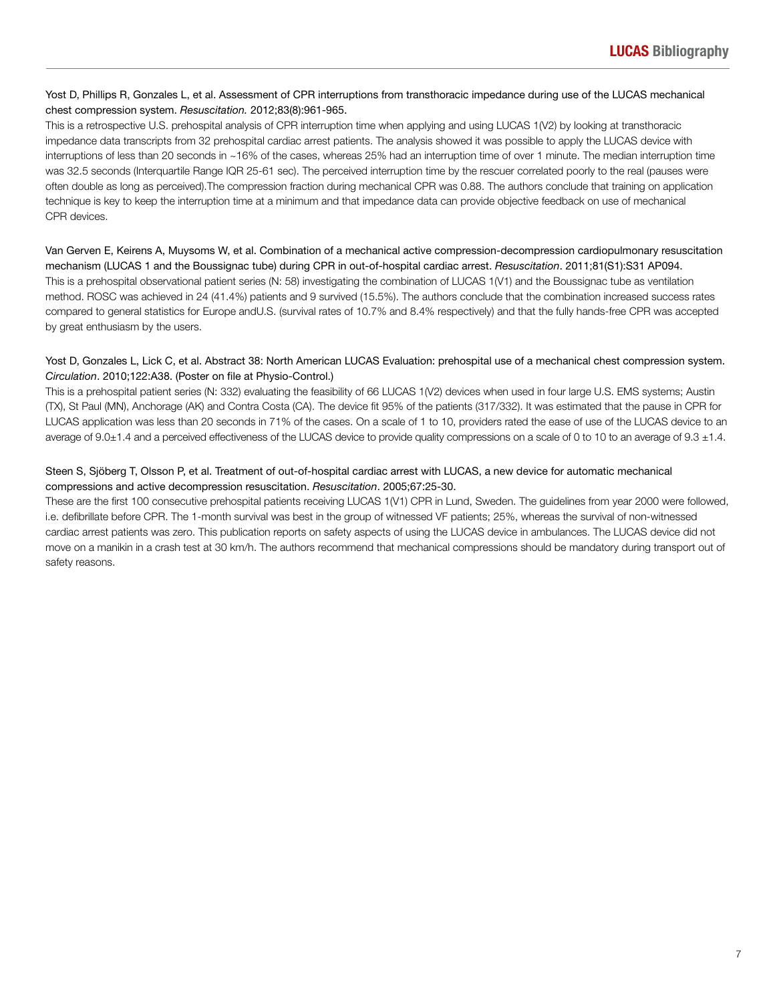## Yost D, Phillips R, Gonzales L, et al. Assessment of CPR interruptions from transthoracic impedance during use of the LUCAS mechanical chest compression system. *Resuscitation.* 2012;83(8):961-965.

This is a retrospective U.S. prehospital analysis of CPR interruption time when applying and using LUCAS 1(V2) by looking at transthoracic impedance data transcripts from 32 prehospital cardiac arrest patients. The analysis showed it was possible to apply the LUCAS device with interruptions of less than 20 seconds in ~16% of the cases, whereas 25% had an interruption time of over 1 minute. The median interruption time was 32.5 seconds (Interquartile Range IQR 25-61 sec). The perceived interruption time by the rescuer correlated poorly to the real (pauses were often double as long as perceived).The compression fraction during mechanical CPR was 0.88. The authors conclude that training on application technique is key to keep the interruption time at a minimum and that impedance data can provide objective feedback on use of mechanical CPR devices.

Van Gerven E, Keirens A, Muysoms W, et al. Combination of a mechanical active compression-decompression cardiopulmonary resuscitation mechanism (LUCAS 1 and the Boussignac tube) during CPR in out-of-hospital cardiac arrest. *Resuscitation*. 2011;81(S1):S31 AP094. This is a prehospital observational patient series (N: 58) investigating the combination of LUCAS 1(V1) and the Boussignac tube as ventilation method. ROSC was achieved in 24 (41.4%) patients and 9 survived (15.5%). The authors conclude that the combination increased success rates compared to general statistics for Europe andU.S. (survival rates of 10.7% and 8.4% respectively) and that the fully hands-free CPR was accepted by great enthusiasm by the users.

## Yost D, Gonzales L, Lick C, et al. Abstract 38: North American LUCAS Evaluation: prehospital use of a mechanical chest compression system. *Circulation*. 2010;122:A38. (Poster on file at Physio-Control.)

This is a prehospital patient series (N: 332) evaluating the feasibility of 66 LUCAS 1(V2) devices when used in four large U.S. EMS systems; Austin (TX), St Paul (MN), Anchorage (AK) and Contra Costa (CA). The device fit 95% of the patients (317/332). It was estimated that the pause in CPR for LUCAS application was less than 20 seconds in 71% of the cases. On a scale of 1 to 10, providers rated the ease of use of the LUCAS device to an average of 9.0±1.4 and a perceived effectiveness of the LUCAS device to provide quality compressions on a scale of 0 to 10 to an average of 9.3 ±1.4.

## Steen S, Sjöberg T, Olsson P, et al. Treatment of out-of-hospital cardiac arrest with LUCAS, a new device for automatic mechanical compressions and active decompression resuscitation. *Resuscitation*. 2005;67:25-30.

These are the first 100 consecutive prehospital patients receiving LUCAS 1(V1) CPR in Lund, Sweden. The guidelines from year 2000 were followed, i.e. defibrillate before CPR. The 1-month survival was best in the group of witnessed VF patients; 25%, whereas the survival of non-witnessed cardiac arrest patients was zero. This publication reports on safety aspects of using the LUCAS device in ambulances. The LUCAS device did not move on a manikin in a crash test at 30 km/h. The authors recommend that mechanical compressions should be mandatory during transport out of safety reasons.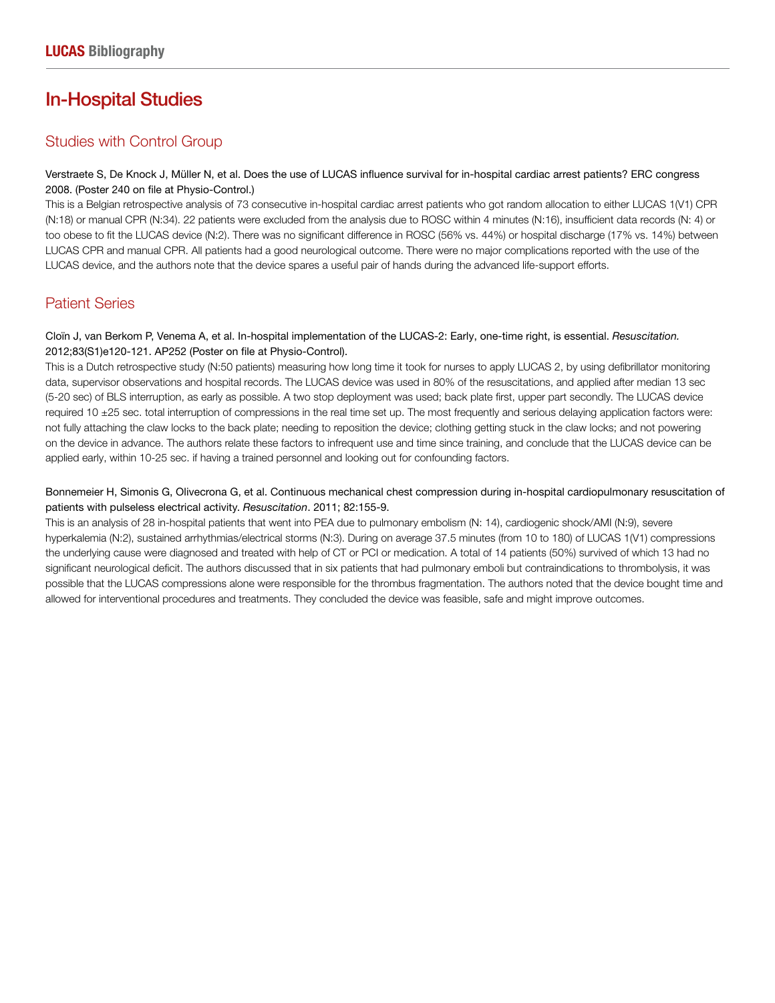## In-Hospital Studies

## Studies with Control Group

Verstraete S, De Knock J, Müller N, et al. Does the use of LUCAS influence survival for in-hospital cardiac arrest patients? ERC congress 2008. (Poster 240 on file at Physio-Control.)

This is a Belgian retrospective analysis of 73 consecutive in-hospital cardiac arrest patients who got random allocation to either LUCAS 1(V1) CPR (N:18) or manual CPR (N:34). 22 patients were excluded from the analysis due to ROSC within 4 minutes (N:16), insufficient data records (N: 4) or too obese to fit the LUCAS device (N:2). There was no significant difference in ROSC (56% vs. 44%) or hospital discharge (17% vs. 14%) between LUCAS CPR and manual CPR. All patients had a good neurological outcome. There were no major complications reported with the use of the LUCAS device, and the authors note that the device spares a useful pair of hands during the advanced life-support efforts.

## Patient Series

## Cloïn J, van Berkom P, Venema A, et al. In-hospital implementation of the LUCAS-2: Early, one-time right, is essential. *Resuscitation.* 2012;83(S1)e120-121. AP252 (Poster on file at Physio-Control).

This is a Dutch retrospective study (N:50 patients) measuring how long time it took for nurses to apply LUCAS 2, by using defibrillator monitoring data, supervisor observations and hospital records. The LUCAS device was used in 80% of the resuscitations, and applied after median 13 sec (5-20 sec) of BLS interruption, as early as possible. A two stop deployment was used; back plate first, upper part secondly. The LUCAS device required 10 ±25 sec. total interruption of compressions in the real time set up. The most frequently and serious delaying application factors were: not fully attaching the claw locks to the back plate; needing to reposition the device; clothing getting stuck in the claw locks; and not powering on the device in advance. The authors relate these factors to infrequent use and time since training, and conclude that the LUCAS device can be applied early, within 10-25 sec. if having a trained personnel and looking out for confounding factors.

## Bonnemeier H, Simonis G, Olivecrona G, et al. Continuous mechanical chest compression during in-hospital cardiopulmonary resuscitation of patients with pulseless electrical activity. *Resuscitation*. 2011; 82:155-9.

This is an analysis of 28 in-hospital patients that went into PEA due to pulmonary embolism (N: 14), cardiogenic shock/AMI (N:9), severe hyperkalemia (N:2), sustained arrhythmias/electrical storms (N:3). During on average 37.5 minutes (from 10 to 180) of LUCAS 1(V1) compressions the underlying cause were diagnosed and treated with help of CT or PCI or medication. A total of 14 patients (50%) survived of which 13 had no significant neurological deficit. The authors discussed that in six patients that had pulmonary emboli but contraindications to thrombolysis, it was possible that the LUCAS compressions alone were responsible for the thrombus fragmentation. The authors noted that the device bought time and allowed for interventional procedures and treatments. They concluded the device was feasible, safe and might improve outcomes.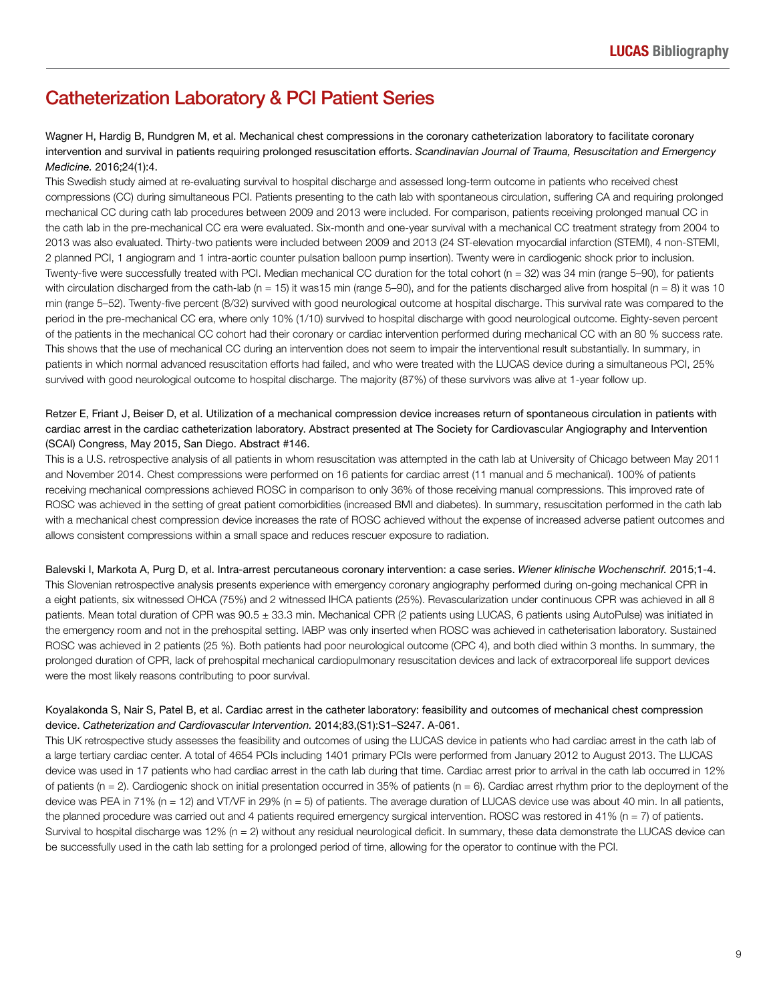## Catheterization Laboratory & PCI Patient Series

Wagner H, Hardig B, Rundgren M, et al. Mechanical chest compressions in the coronary catheterization laboratory to facilitate coronary intervention and survival in patients requiring prolonged resuscitation efforts. *Scandinavian Journal of Trauma, Resuscitation and Emergency Medicine.* 2016;24(1):4.

This Swedish study aimed at re-evaluating survival to hospital discharge and assessed long-term outcome in patients who received chest compressions (CC) during simultaneous PCI. Patients presenting to the cath lab with spontaneous circulation, suffering CA and requiring prolonged mechanical CC during cath lab procedures between 2009 and 2013 were included. For comparison, patients receiving prolonged manual CC in the cath lab in the pre-mechanical CC era were evaluated. Six-month and one-year survival with a mechanical CC treatment strategy from 2004 to 2013 was also evaluated. Thirty-two patients were included between 2009 and 2013 (24 ST-elevation myocardial infarction (STEMI), 4 non-STEMI, 2 planned PCI, 1 angiogram and 1 intra-aortic counter pulsation balloon pump insertion). Twenty were in cardiogenic shock prior to inclusion. Twenty-five were successfully treated with PCI. Median mechanical CC duration for the total cohort (n = 32) was 34 min (range 5–90), for patients with circulation discharged from the cath-lab (n = 15) it was15 min (range 5–90), and for the patients discharged alive from hospital (n = 8) it was 10 min (range 5–52). Twenty-five percent (8/32) survived with good neurological outcome at hospital discharge. This survival rate was compared to the period in the pre-mechanical CC era, where only 10% (1/10) survived to hospital discharge with good neurological outcome. Eighty-seven percent of the patients in the mechanical CC cohort had their coronary or cardiac intervention performed during mechanical CC with an 80 % success rate. This shows that the use of mechanical CC during an intervention does not seem to impair the interventional result substantially. In summary, in patients in which normal advanced resuscitation efforts had failed, and who were treated with the LUCAS device during a simultaneous PCI, 25% survived with good neurological outcome to hospital discharge. The majority (87%) of these survivors was alive at 1-year follow up.

## Retzer E, Friant J, Beiser D, et al. Utilization of a mechanical compression device increases return of spontaneous circulation in patients with cardiac arrest in the cardiac catheterization laboratory. Abstract presented at The Society for Cardiovascular Angiography and Intervention (SCAI) Congress, May 2015, San Diego. Abstract #146.

This is a U.S. retrospective analysis of all patients in whom resuscitation was attempted in the cath lab at University of Chicago between May 2011 and November 2014. Chest compressions were performed on 16 patients for cardiac arrest (11 manual and 5 mechanical). 100% of patients receiving mechanical compressions achieved ROSC in comparison to only 36% of those receiving manual compressions. This improved rate of ROSC was achieved in the setting of great patient comorbidities (increased BMI and diabetes). In summary, resuscitation performed in the cath lab with a mechanical chest compression device increases the rate of ROSC achieved without the expense of increased adverse patient outcomes and allows consistent compressions within a small space and reduces rescuer exposure to radiation.

Balevski I, Markota A, Purg D, et al. Intra-arrest percutaneous coronary intervention: a case series. *Wiener klinische Wochenschrif.* 2015;1-4. This Slovenian retrospective analysis presents experience with emergency coronary angiography performed during on-going mechanical CPR in a eight patients, six witnessed OHCA (75%) and 2 witnessed IHCA patients (25%). Revascularization under continuous CPR was achieved in all 8 patients. Mean total duration of CPR was  $90.5 \pm 33.3$  min. Mechanical CPR (2 patients using LUCAS, 6 patients using AutoPulse) was initiated in the emergency room and not in the prehospital setting. IABP was only inserted when ROSC was achieved in catheterisation laboratory. Sustained ROSC was achieved in 2 patients (25 %). Both patients had poor neurological outcome (CPC 4), and both died within 3 months. In summary, the prolonged duration of CPR, lack of prehospital mechanical cardiopulmonary resuscitation devices and lack of extracorporeal life support devices were the most likely reasons contributing to poor survival.

## Koyalakonda S, Nair S, Patel B, et al. Cardiac arrest in the catheter laboratory: feasibility and outcomes of mechanical chest compression device. *Catheterization and Cardiovascular Intervention.* 2014;83,(S1):S1–S247. A-061.

This UK retrospective study assesses the feasibility and outcomes of using the LUCAS device in patients who had cardiac arrest in the cath lab of a large tertiary cardiac center. A total of 4654 PCIs including 1401 primary PCIs were performed from January 2012 to August 2013. The LUCAS device was used in 17 patients who had cardiac arrest in the cath lab during that time. Cardiac arrest prior to arrival in the cath lab occurred in 12% of patients (n = 2). Cardiogenic shock on initial presentation occurred in 35% of patients (n = 6). Cardiac arrest rhythm prior to the deployment of the device was PEA in 71% (n = 12) and VT/VF in 29% (n = 5) of patients. The average duration of LUCAS device use was about 40 min. In all patients, the planned procedure was carried out and 4 patients required emergency surgical intervention. ROSC was restored in 41% (n = 7) of patients. Survival to hospital discharge was 12% ( $n = 2$ ) without any residual neurological deficit. In summary, these data demonstrate the LUCAS device can be successfully used in the cath lab setting for a prolonged period of time, allowing for the operator to continue with the PCI.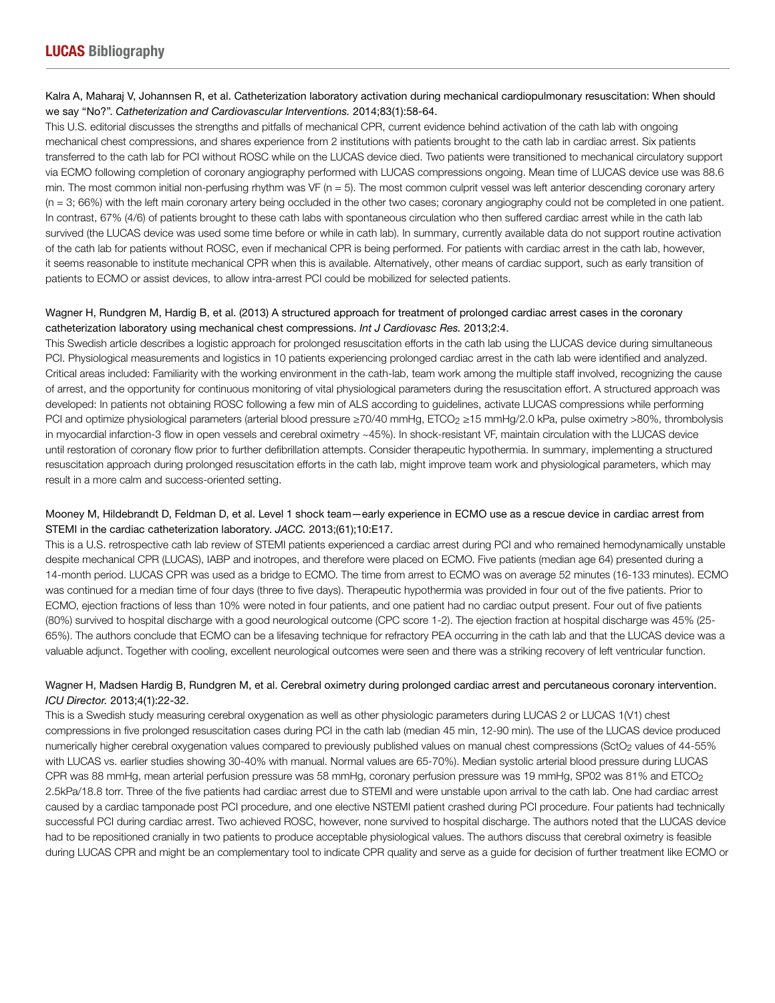## Kalra A, Maharaj V, Johannsen R, et al. Catheterization laboratory activation during mechanical cardiopulmonary resuscitation: When should we say "No?". *Catheterization and Cardiovascular Interventions.* 2014;83(1):58-64.

This U.S. editorial discusses the strengths and pitfalls of mechanical CPR, current evidence behind activation of the cath lab with ongoing mechanical chest compressions, and shares experience from 2 institutions with patients brought to the cath lab in cardiac arrest. Six patients transferred to the cath lab for PCI without ROSC while on the LUCAS device died. Two patients were transitioned to mechanical circulatory support via ECMO following completion of coronary angiography performed with LUCAS compressions ongoing. Mean time of LUCAS device use was 88.6 min. The most common initial non-perfusing rhythm was VF ( $n = 5$ ). The most common culprit vessel was left anterior descending coronary artery (n = 3; 66%) with the left main coronary artery being occluded in the other two cases; coronary angiography could not be completed in one patient. In contrast, 67% (4/6) of patients brought to these cath labs with spontaneous circulation who then suffered cardiac arrest while in the cath lab survived (the LUCAS device was used some time before or while in cath lab). In summary, currently available data do not support routine activation of the cath lab for patients without ROSC, even if mechanical CPR is being performed. For patients with cardiac arrest in the cath lab, however, it seems reasonable to institute mechanical CPR when this is available. Alternatively, other means of cardiac support, such as early transition of patients to ECMO or assist devices, to allow intra-arrest PCI could be mobilized for selected patients.

## Wagner H, Rundgren M, Hardig B, et al. (2013) A structured approach for treatment of prolonged cardiac arrest cases in the coronary catheterization laboratory using mechanical chest compressions. *Int J Cardiovasc Res.* 2013;2:4.

This Swedish article describes a logistic approach for prolonged resuscitation efforts in the cath lab using the LUCAS device during simultaneous PCI. Physiological measurements and logistics in 10 patients experiencing prolonged cardiac arrest in the cath lab were identified and analyzed. Critical areas included: Familiarity with the working environment in the cath-lab, team work among the multiple staff involved, recognizing the cause of arrest, and the opportunity for continuous monitoring of vital physiological parameters during the resuscitation effort. A structured approach was developed: In patients not obtaining ROSC following a few min of ALS according to guidelines, activate LUCAS compressions while performing PCI and optimize physiological parameters (arterial blood pressure ≥70/40 mmHg, ETCO<sub>2</sub> ≥15 mmHg/2.0 kPa, pulse oximetry >80%, thrombolysis in myocardial infarction-3 flow in open vessels and cerebral oximetry ~45%). In shock-resistant VF, maintain circulation with the LUCAS device until restoration of coronary flow prior to further defibrillation attempts. Consider therapeutic hypothermia. In summary, implementing a structured resuscitation approach during prolonged resuscitation efforts in the cath lab, might improve team work and physiological parameters, which may result in a more calm and success-oriented setting.

## Mooney M, Hildebrandt D, Feldman D, et al. Level 1 shock team—early experience in ECMO use as a rescue device in cardiac arrest from STEMI in the cardiac catheterization laboratory. *JACC.* 2013;(61);10:E17.

This is a U.S. retrospective cath lab review of STEMI patients experienced a cardiac arrest during PCI and who remained hemodynamically unstable despite mechanical CPR (LUCAS), IABP and inotropes, and therefore were placed on ECMO. Five patients (median age 64) presented during a 14-month period. LUCAS CPR was used as a bridge to ECMO. The time from arrest to ECMO was on average 52 minutes (16-133 minutes). ECMO was continued for a median time of four days (three to five days). Therapeutic hypothermia was provided in four out of the five patients. Prior to ECMO, ejection fractions of less than 10% were noted in four patients, and one patient had no cardiac output present. Four out of five patients (80%) survived to hospital discharge with a good neurological outcome (CPC score 1-2). The ejection fraction at hospital discharge was 45% (25- 65%). The authors conclude that ECMO can be a lifesaving technique for refractory PEA occurring in the cath lab and that the LUCAS device was a valuable adjunct. Together with cooling, excellent neurological outcomes were seen and there was a striking recovery of left ventricular function.

## Wagner H, Madsen Hardig B, Rundgren M, et al. Cerebral oximetry during prolonged cardiac arrest and percutaneous coronary intervention. *ICU Director.* 2013;4(1):22-32.

This is a Swedish study measuring cerebral oxygenation as well as other physiologic parameters during LUCAS 2 or LUCAS 1(V1) chest compressions in five prolonged resuscitation cases during PCI in the cath lab (median 45 min, 12-90 min). The use of the LUCAS device produced numerically higher cerebral oxygenation values compared to previously published values on manual chest compressions (SctO<sub>2</sub> values of 44-55% with LUCAS vs. earlier studies showing 30-40% with manual. Normal values are 65-70%). Median systolic arterial blood pressure during LUCAS CPR was 88 mmHg, mean arterial perfusion pressure was 58 mmHg, coronary perfusion pressure was 19 mmHg, SP02 was 81% and ETCO2 2.5kPa/18.8 torr. Three of the five patients had cardiac arrest due to STEMI and were unstable upon arrival to the cath lab. One had cardiac arrest caused by a cardiac tamponade post PCI procedure, and one elective NSTEMI patient crashed during PCI procedure. Four patients had technically successful PCI during cardiac arrest. Two achieved ROSC, however, none survived to hospital discharge. The authors noted that the LUCAS device had to be repositioned cranially in two patients to produce acceptable physiological values. The authors discuss that cerebral oximetry is feasible during LUCAS CPR and might be an complementary tool to indicate CPR quality and serve as a guide for decision of further treatment like ECMO or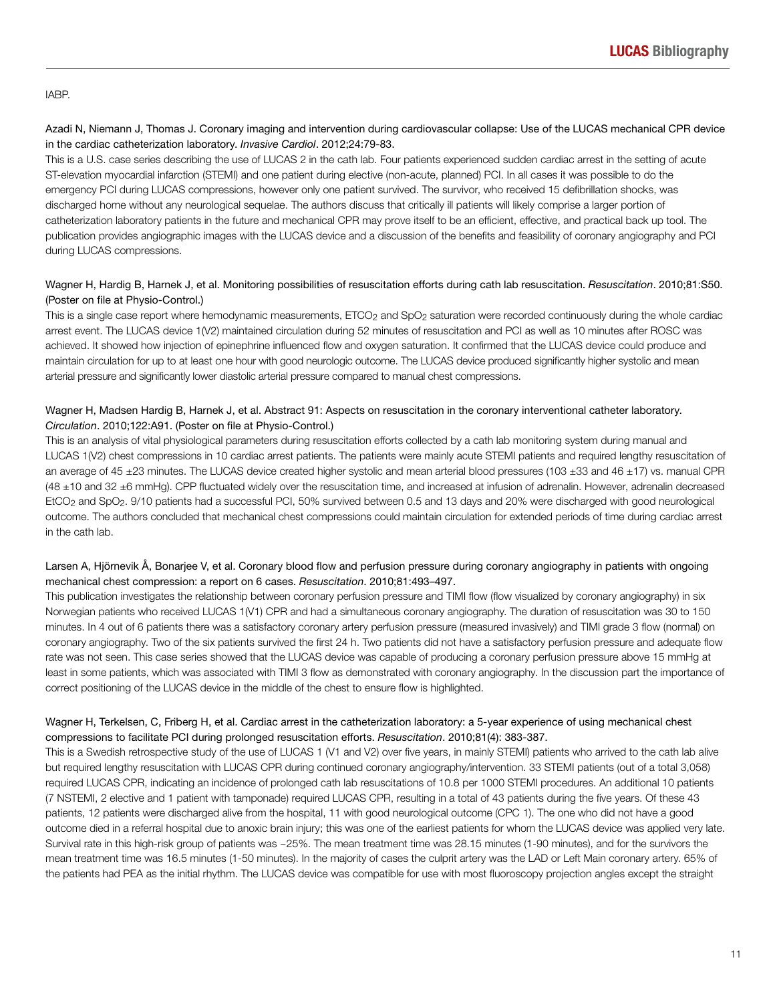#### IABP.

## Azadi N, Niemann J, Thomas J. Coronary imaging and intervention during cardiovascular collapse: Use of the LUCAS mechanical CPR device in the cardiac catheterization laboratory. *Invasive Cardiol*. 2012;24:79-83.

This is a U.S. case series describing the use of LUCAS 2 in the cath lab. Four patients experienced sudden cardiac arrest in the setting of acute ST-elevation myocardial infarction (STEMI) and one patient during elective (non-acute, planned) PCI. In all cases it was possible to do the emergency PCI during LUCAS compressions, however only one patient survived. The survivor, who received 15 defibrillation shocks, was discharged home without any neurological sequelae. The authors discuss that critically ill patients will likely comprise a larger portion of catheterization laboratory patients in the future and mechanical CPR may prove itself to be an efficient, effective, and practical back up tool. The publication provides angiographic images with the LUCAS device and a discussion of the benefits and feasibility of coronary angiography and PCI during LUCAS compressions.

## Wagner H, Hardig B, Harnek J, et al. Monitoring possibilities of resuscitation efforts during cath lab resuscitation. *Resuscitation*. 2010;81:S50. (Poster on file at Physio-Control.)

This is a single case report where hemodynamic measurements, ETCO<sub>2</sub> and SpO<sub>2</sub> saturation were recorded continuously during the whole cardiac arrest event. The LUCAS device 1(V2) maintained circulation during 52 minutes of resuscitation and PCI as well as 10 minutes after ROSC was achieved. It showed how injection of epinephrine influenced flow and oxygen saturation. It confirmed that the LUCAS device could produce and maintain circulation for up to at least one hour with good neurologic outcome. The LUCAS device produced significantly higher systolic and mean arterial pressure and significantly lower diastolic arterial pressure compared to manual chest compressions.

## Wagner H, Madsen Hardig B, Harnek J, et al. Abstract 91: Aspects on resuscitation in the coronary interventional catheter laboratory. *Circulation*. 2010;122:A91. (Poster on file at Physio-Control.)

This is an analysis of vital physiological parameters during resuscitation efforts collected by a cath lab monitoring system during manual and LUCAS 1(V2) chest compressions in 10 cardiac arrest patients. The patients were mainly acute STEMI patients and required lengthy resuscitation of an average of 45  $\pm$ 23 minutes. The LUCAS device created higher systolic and mean arterial blood pressures (103  $\pm$ 33 and 46  $\pm$ 17) vs. manual CPR (48 ±10 and 32 ±6 mmHg). CPP fluctuated widely over the resuscitation time, and increased at infusion of adrenalin. However, adrenalin decreased EtCO<sub>2</sub> and SpO<sub>2</sub>. 9/10 patients had a successful PCI, 50% survived between 0.5 and 13 days and 20% were discharged with good neurological outcome. The authors concluded that mechanical chest compressions could maintain circulation for extended periods of time during cardiac arrest in the cath lab.

## Larsen A, Hjörnevik Å, Bonarjee V, et al. Coronary blood flow and perfusion pressure during coronary angiography in patients with ongoing mechanical chest compression: a report on 6 cases. *Resuscitation*. 2010;81:493–497.

This publication investigates the relationship between coronary perfusion pressure and TIMI flow (flow visualized by coronary angiography) in six Norwegian patients who received LUCAS 1(V1) CPR and had a simultaneous coronary angiography. The duration of resuscitation was 30 to 150 minutes. In 4 out of 6 patients there was a satisfactory coronary artery perfusion pressure (measured invasively) and TIMI grade 3 flow (normal) on coronary angiography. Two of the six patients survived the first 24 h. Two patients did not have a satisfactory perfusion pressure and adequate flow rate was not seen. This case series showed that the LUCAS device was capable of producing a coronary perfusion pressure above 15 mmHg at least in some patients, which was associated with TIMI 3 flow as demonstrated with coronary angiography. In the discussion part the importance of correct positioning of the LUCAS device in the middle of the chest to ensure flow is highlighted.

## Wagner H, Terkelsen, C, Friberg H, et al. Cardiac arrest in the catheterization laboratory: a 5-year experience of using mechanical chest compressions to facilitate PCI during prolonged resuscitation efforts. *Resuscitation*. 2010;81(4): 383-387.

This is a Swedish retrospective study of the use of LUCAS 1 (V1 and V2) over five years, in mainly STEMI) patients who arrived to the cath lab alive but required lengthy resuscitation with LUCAS CPR during continued coronary angiography/intervention. 33 STEMI patients (out of a total 3,058) required LUCAS CPR, indicating an incidence of prolonged cath lab resuscitations of 10.8 per 1000 STEMI procedures. An additional 10 patients (7 NSTEMI, 2 elective and 1 patient with tamponade) required LUCAS CPR, resulting in a total of 43 patients during the five years. Of these 43 patients, 12 patients were discharged alive from the hospital, 11 with good neurological outcome (CPC 1). The one who did not have a good outcome died in a referral hospital due to anoxic brain injury; this was one of the earliest patients for whom the LUCAS device was applied very late. Survival rate in this high-risk group of patients was ~25%. The mean treatment time was 28.15 minutes (1-90 minutes), and for the survivors the mean treatment time was 16.5 minutes (1-50 minutes). In the majority of cases the culprit artery was the LAD or Left Main coronary artery. 65% of the patients had PEA as the initial rhythm. The LUCAS device was compatible for use with most fluoroscopy projection angles except the straight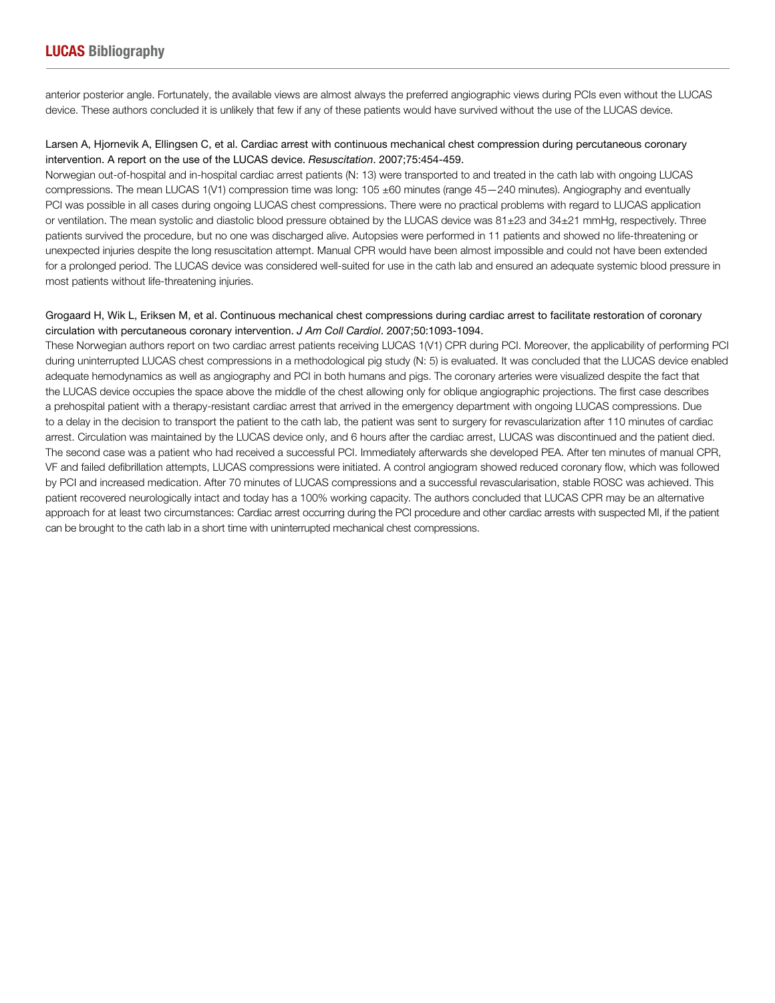anterior posterior angle. Fortunately, the available views are almost always the preferred angiographic views during PCIs even without the LUCAS device. These authors concluded it is unlikely that few if any of these patients would have survived without the use of the LUCAS device.

## Larsen A, Hjornevik A, Ellingsen C, et al. Cardiac arrest with continuous mechanical chest compression during percutaneous coronary intervention. A report on the use of the LUCAS device. *Resuscitation*. 2007;75:454-459.

Norwegian out-of-hospital and in-hospital cardiac arrest patients (N: 13) were transported to and treated in the cath lab with ongoing LUCAS compressions. The mean LUCAS 1(V1) compression time was long: 105 ±60 minutes (range 45—240 minutes). Angiography and eventually PCI was possible in all cases during ongoing LUCAS chest compressions. There were no practical problems with regard to LUCAS application or ventilation. The mean systolic and diastolic blood pressure obtained by the LUCAS device was 81±23 and 34±21 mmHg, respectively. Three patients survived the procedure, but no one was discharged alive. Autopsies were performed in 11 patients and showed no life-threatening or unexpected injuries despite the long resuscitation attempt. Manual CPR would have been almost impossible and could not have been extended for a prolonged period. The LUCAS device was considered well-suited for use in the cath lab and ensured an adequate systemic blood pressure in most patients without life-threatening injuries.

## Grogaard H, Wik L, Eriksen M, et al. Continuous mechanical chest compressions during cardiac arrest to facilitate restoration of coronary circulation with percutaneous coronary intervention. *J Am Coll Cardiol*. 2007;50:1093-1094.

These Norwegian authors report on two cardiac arrest patients receiving LUCAS 1(V1) CPR during PCI. Moreover, the applicability of performing PCI during uninterrupted LUCAS chest compressions in a methodological pig study (N: 5) is evaluated. It was concluded that the LUCAS device enabled adequate hemodynamics as well as angiography and PCI in both humans and pigs. The coronary arteries were visualized despite the fact that the LUCAS device occupies the space above the middle of the chest allowing only for oblique angiographic projections. The first case describes a prehospital patient with a therapy-resistant cardiac arrest that arrived in the emergency department with ongoing LUCAS compressions. Due to a delay in the decision to transport the patient to the cath lab, the patient was sent to surgery for revascularization after 110 minutes of cardiac arrest. Circulation was maintained by the LUCAS device only, and 6 hours after the cardiac arrest, LUCAS was discontinued and the patient died. The second case was a patient who had received a successful PCI. Immediately afterwards she developed PEA. After ten minutes of manual CPR, VF and failed defibrillation attempts, LUCAS compressions were initiated. A control angiogram showed reduced coronary flow, which was followed by PCI and increased medication. After 70 minutes of LUCAS compressions and a successful revascularisation, stable ROSC was achieved. This patient recovered neurologically intact and today has a 100% working capacity. The authors concluded that LUCAS CPR may be an alternative approach for at least two circumstances: Cardiac arrest occurring during the PCI procedure and other cardiac arrests with suspected MI, if the patient can be brought to the cath lab in a short time with uninterrupted mechanical chest compressions.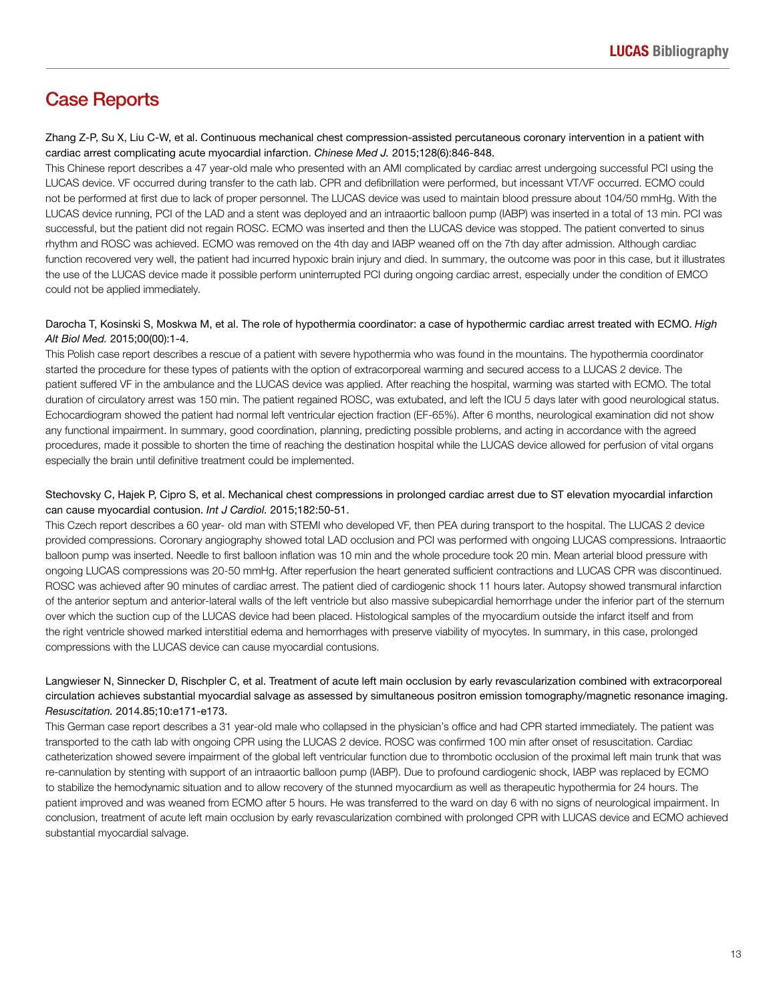## Case Reports

Zhang Z-P, Su X, Liu C-W, et al. Continuous mechanical chest compression-assisted percutaneous coronary intervention in a patient with cardiac arrest complicating acute myocardial infarction. *Chinese Med J.* 2015;128(6):846-848.

This Chinese report describes a 47 year-old male who presented with an AMI complicated by cardiac arrest undergoing successful PCI using the LUCAS device. VF occurred during transfer to the cath lab. CPR and defibrillation were performed, but incessant VT/VF occurred. ECMO could not be performed at first due to lack of proper personnel. The LUCAS device was used to maintain blood pressure about 104/50 mmHg. With the LUCAS device running, PCI of the LAD and a stent was deployed and an intraaortic balloon pump (IABP) was inserted in a total of 13 min. PCI was successful, but the patient did not regain ROSC. ECMO was inserted and then the LUCAS device was stopped. The patient converted to sinus rhythm and ROSC was achieved. ECMO was removed on the 4th day and IABP weaned off on the 7th day after admission. Although cardiac function recovered very well, the patient had incurred hypoxic brain injury and died. In summary, the outcome was poor in this case, but it illustrates the use of the LUCAS device made it possible perform uninterrupted PCI during ongoing cardiac arrest, especially under the condition of EMCO could not be applied immediately.

### Darocha T, Kosinski S, Moskwa M, et al. The role of hypothermia coordinator: a case of hypothermic cardiac arrest treated with ECMO. *High Alt Biol Med.* 2015;00(00):1-4.

This Polish case report describes a rescue of a patient with severe hypothermia who was found in the mountains. The hypothermia coordinator started the procedure for these types of patients with the option of extracorporeal warming and secured access to a LUCAS 2 device. The patient suffered VF in the ambulance and the LUCAS device was applied. After reaching the hospital, warming was started with ECMO. The total duration of circulatory arrest was 150 min. The patient regained ROSC, was extubated, and left the ICU 5 days later with good neurological status. Echocardiogram showed the patient had normal left ventricular ejection fraction (EF-65%). After 6 months, neurological examination did not show any functional impairment. In summary, good coordination, planning, predicting possible problems, and acting in accordance with the agreed procedures, made it possible to shorten the time of reaching the destination hospital while the LUCAS device allowed for perfusion of vital organs especially the brain until definitive treatment could be implemented.

## Stechovsky C, Hajek P, Cipro S, et al. Mechanical chest compressions in prolonged cardiac arrest due to ST elevation myocardial infarction can cause myocardial contusion. *Int J Cardiol.* 2015;182:50-51.

This Czech report describes a 60 year- old man with STEMI who developed VF, then PEA during transport to the hospital. The LUCAS 2 device provided compressions. Coronary angiography showed total LAD occlusion and PCI was performed with ongoing LUCAS compressions. Intraaortic balloon pump was inserted. Needle to first balloon inflation was 10 min and the whole procedure took 20 min. Mean arterial blood pressure with ongoing LUCAS compressions was 20-50 mmHg. After reperfusion the heart generated sufficient contractions and LUCAS CPR was discontinued. ROSC was achieved after 90 minutes of cardiac arrest. The patient died of cardiogenic shock 11 hours later. Autopsy showed transmural infarction of the anterior septum and anterior-lateral walls of the left ventricle but also massive subepicardial hemorrhage under the inferior part of the sternum over which the suction cup of the LUCAS device had been placed. Histological samples of the myocardium outside the infarct itself and from the right ventricle showed marked interstitial edema and hemorrhages with preserve viability of myocytes. In summary, in this case, prolonged compressions with the LUCAS device can cause myocardial contusions.

## Langwieser N, Sinnecker D, Rischpler C, et al. Treatment of acute left main occlusion by early revascularization combined with extracorporeal circulation achieves substantial myocardial salvage as assessed by simultaneous positron emission tomography/magnetic resonance imaging. *Resuscitation.* 2014.85;10:e171-e173.

This German case report describes a 31 year-old male who collapsed in the physician's office and had CPR started immediately. The patient was transported to the cath lab with ongoing CPR using the LUCAS 2 device. ROSC was confirmed 100 min after onset of resuscitation. Cardiac catheterization showed severe impairment of the global left ventricular function due to thrombotic occlusion of the proximal left main trunk that was re-cannulation by stenting with support of an intraaortic balloon pump (IABP). Due to profound cardiogenic shock, IABP was replaced by ECMO to stabilize the hemodynamic situation and to allow recovery of the stunned myocardium as well as therapeutic hypothermia for 24 hours. The patient improved and was weaned from ECMO after 5 hours. He was transferred to the ward on day 6 with no signs of neurological impairment. In conclusion, treatment of acute left main occlusion by early revascularization combined with prolonged CPR with LUCAS device and ECMO achieved substantial myocardial salvage.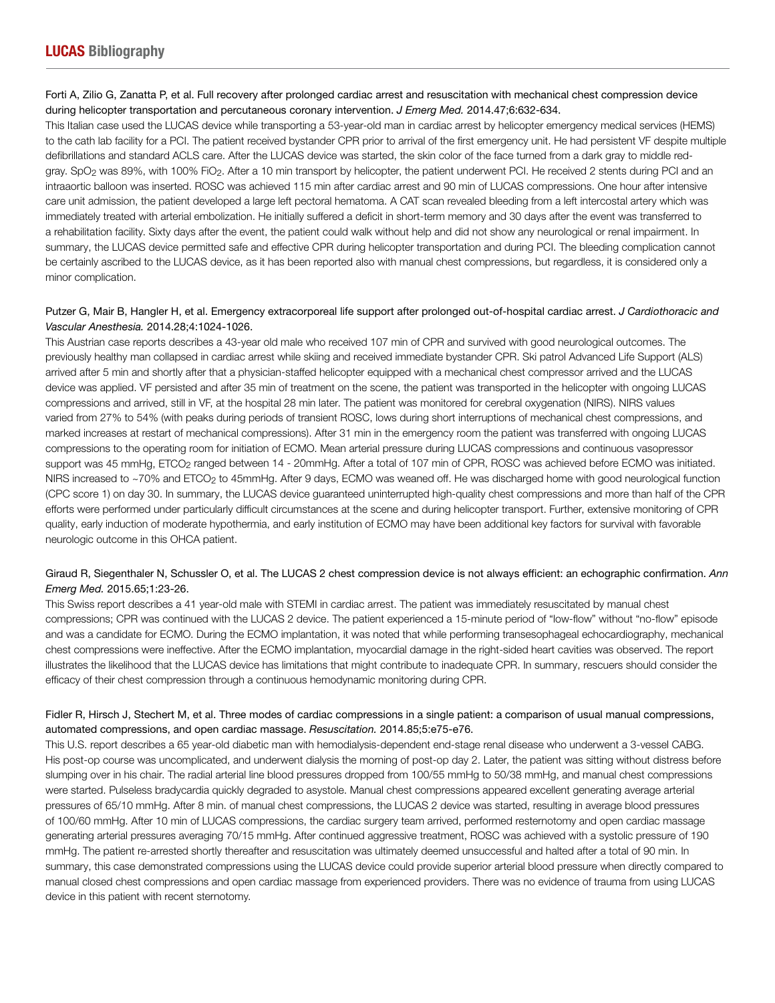## Forti A, Zilio G, Zanatta P, et al. Full recovery after prolonged cardiac arrest and resuscitation with mechanical chest compression device during helicopter transportation and percutaneous coronary intervention. *J Emerg Med.* 2014.47;6:632-634.

This Italian case used the LUCAS device while transporting a 53-year-old man in cardiac arrest by helicopter emergency medical services (HEMS) to the cath lab facility for a PCI. The patient received bystander CPR prior to arrival of the first emergency unit. He had persistent VF despite multiple defibrillations and standard ACLS care. After the LUCAS device was started, the skin color of the face turned from a dark gray to middle redgray. SpO2 was 89%, with 100% FiO2. After a 10 min transport by helicopter, the patient underwent PCI. He received 2 stents during PCI and an intraaortic balloon was inserted. ROSC was achieved 115 min after cardiac arrest and 90 min of LUCAS compressions. One hour after intensive care unit admission, the patient developed a large left pectoral hematoma. A CAT scan revealed bleeding from a left intercostal artery which was immediately treated with arterial embolization. He initially suffered a deficit in short-term memory and 30 days after the event was transferred to a rehabilitation facility. Sixty days after the event, the patient could walk without help and did not show any neurological or renal impairment. In summary, the LUCAS device permitted safe and effective CPR during helicopter transportation and during PCI. The bleeding complication cannot be certainly ascribed to the LUCAS device, as it has been reported also with manual chest compressions, but regardless, it is considered only a minor complication.

## Putzer G, Mair B, Hangler H, et al. Emergency extracorporeal life support after prolonged out-of-hospital cardiac arrest. *J Cardiothoracic and Vascular Anesthesia.* 2014.28;4:1024-1026.

This Austrian case reports describes a 43-year old male who received 107 min of CPR and survived with good neurological outcomes. The previously healthy man collapsed in cardiac arrest while skiing and received immediate bystander CPR. Ski patrol Advanced Life Support (ALS) arrived after 5 min and shortly after that a physician-staffed helicopter equipped with a mechanical chest compressor arrived and the LUCAS device was applied. VF persisted and after 35 min of treatment on the scene, the patient was transported in the helicopter with ongoing LUCAS compressions and arrived, still in VF, at the hospital 28 min later. The patient was monitored for cerebral oxygenation (NIRS). NIRS values varied from 27% to 54% (with peaks during periods of transient ROSC, lows during short interruptions of mechanical chest compressions, and marked increases at restart of mechanical compressions). After 31 min in the emergency room the patient was transferred with ongoing LUCAS compressions to the operating room for initiation of ECMO. Mean arterial pressure during LUCAS compressions and continuous vasopressor support was 45 mmHg, ETCO<sub>2</sub> ranged between 14 - 20mmHg. After a total of 107 min of CPR, ROSC was achieved before ECMO was initiated. NIRS increased to ~70% and ETCO<sub>2</sub> to 45mmHg. After 9 days, ECMO was weaned off. He was discharged home with good neurological function (CPC score 1) on day 30. In summary, the LUCAS device guaranteed uninterrupted high-quality chest compressions and more than half of the CPR efforts were performed under particularly difficult circumstances at the scene and during helicopter transport. Further, extensive monitoring of CPR quality, early induction of moderate hypothermia, and early institution of ECMO may have been additional key factors for survival with favorable neurologic outcome in this OHCA patient.

## Giraud R, Siegenthaler N, Schussler O, et al. The LUCAS 2 chest compression device is not always efficient: an echographic confirmation. *Ann Emerg Med.* 2015.65;1:23-26.

This Swiss report describes a 41 year-old male with STEMI in cardiac arrest. The patient was immediately resuscitated by manual chest compressions; CPR was continued with the LUCAS 2 device. The patient experienced a 15-minute period of "low-flow" without "no-flow" episode and was a candidate for ECMO. During the ECMO implantation, it was noted that while performing transesophageal echocardiography, mechanical chest compressions were ineffective. After the ECMO implantation, myocardial damage in the right-sided heart cavities was observed. The report illustrates the likelihood that the LUCAS device has limitations that might contribute to inadequate CPR. In summary, rescuers should consider the efficacy of their chest compression through a continuous hemodynamic monitoring during CPR.

### Fidler R, Hirsch J, Stechert M, et al. Three modes of cardiac compressions in a single patient: a comparison of usual manual compressions, automated compressions, and open cardiac massage. *Resuscitation.* 2014.85;5:e75-e76.

This U.S. report describes a 65 year-old diabetic man with hemodialysis-dependent end-stage renal disease who underwent a 3-vessel CABG. His post-op course was uncomplicated, and underwent dialysis the morning of post-op day 2. Later, the patient was sitting without distress before slumping over in his chair. The radial arterial line blood pressures dropped from 100/55 mmHg to 50/38 mmHg, and manual chest compressions were started. Pulseless bradycardia quickly degraded to asystole. Manual chest compressions appeared excellent generating average arterial pressures of 65/10 mmHg. After 8 min. of manual chest compressions, the LUCAS 2 device was started, resulting in average blood pressures of 100/60 mmHg. After 10 min of LUCAS compressions, the cardiac surgery team arrived, performed resternotomy and open cardiac massage generating arterial pressures averaging 70/15 mmHg. After continued aggressive treatment, ROSC was achieved with a systolic pressure of 190 mmHg. The patient re-arrested shortly thereafter and resuscitation was ultimately deemed unsuccessful and halted after a total of 90 min. In summary, this case demonstrated compressions using the LUCAS device could provide superior arterial blood pressure when directly compared to manual closed chest compressions and open cardiac massage from experienced providers. There was no evidence of trauma from using LUCAS device in this patient with recent sternotomy.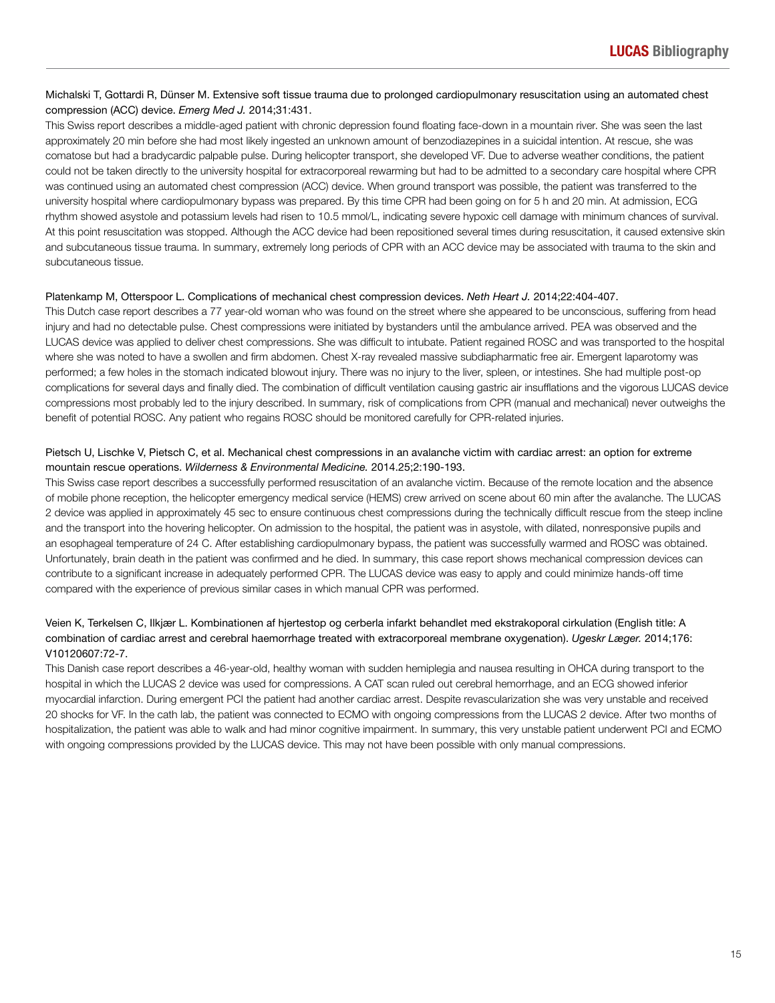## Michalski T, Gottardi R, Dünser M. Extensive soft tissue trauma due to prolonged cardiopulmonary resuscitation using an automated chest compression (ACC) device. *Emerg Med J.* 2014;31:431.

This Swiss report describes a middle-aged patient with chronic depression found floating face-down in a mountain river. She was seen the last approximately 20 min before she had most likely ingested an unknown amount of benzodiazepines in a suicidal intention. At rescue, she was comatose but had a bradycardic palpable pulse. During helicopter transport, she developed VF. Due to adverse weather conditions, the patient could not be taken directly to the university hospital for extracorporeal rewarming but had to be admitted to a secondary care hospital where CPR was continued using an automated chest compression (ACC) device. When ground transport was possible, the patient was transferred to the university hospital where cardiopulmonary bypass was prepared. By this time CPR had been going on for 5 h and 20 min. At admission, ECG rhythm showed asystole and potassium levels had risen to 10.5 mmol/L, indicating severe hypoxic cell damage with minimum chances of survival. At this point resuscitation was stopped. Although the ACC device had been repositioned several times during resuscitation, it caused extensive skin and subcutaneous tissue trauma. In summary, extremely long periods of CPR with an ACC device may be associated with trauma to the skin and subcutaneous tissue.

### Platenkamp M, Otterspoor L. Complications of mechanical chest compression devices. *Neth Heart J.* 2014;22:404-407.

This Dutch case report describes a 77 year-old woman who was found on the street where she appeared to be unconscious, suffering from head injury and had no detectable pulse. Chest compressions were initiated by bystanders until the ambulance arrived. PEA was observed and the LUCAS device was applied to deliver chest compressions. She was difficult to intubate. Patient regained ROSC and was transported to the hospital where she was noted to have a swollen and firm abdomen. Chest X-ray revealed massive subdiapharmatic free air. Emergent laparotomy was performed; a few holes in the stomach indicated blowout injury. There was no injury to the liver, spleen, or intestines. She had multiple post-op complications for several days and finally died. The combination of difficult ventilation causing gastric air insufflations and the vigorous LUCAS device compressions most probably led to the injury described. In summary, risk of complications from CPR (manual and mechanical) never outweighs the benefit of potential ROSC. Any patient who regains ROSC should be monitored carefully for CPR-related injuries.

## Pietsch U, Lischke V, Pietsch C, et al. Mechanical chest compressions in an avalanche victim with cardiac arrest: an option for extreme mountain rescue operations. *Wilderness & Environmental Medicine.* 2014.25;2:190-193.

This Swiss case report describes a successfully performed resuscitation of an avalanche victim. Because of the remote location and the absence of mobile phone reception, the helicopter emergency medical service (HEMS) crew arrived on scene about 60 min after the avalanche. The LUCAS 2 device was applied in approximately 45 sec to ensure continuous chest compressions during the technically difficult rescue from the steep incline and the transport into the hovering helicopter. On admission to the hospital, the patient was in asystole, with dilated, nonresponsive pupils and an esophageal temperature of 24 C. After establishing cardiopulmonary bypass, the patient was successfully warmed and ROSC was obtained. Unfortunately, brain death in the patient was confirmed and he died. In summary, this case report shows mechanical compression devices can contribute to a significant increase in adequately performed CPR. The LUCAS device was easy to apply and could minimize hands-off time compared with the experience of previous similar cases in which manual CPR was performed.

## Veien K, Terkelsen C, Ilkjær L. Kombinationen af hjertestop og cerberla infarkt behandlet med ekstrakoporal cirkulation (English title: A combination of cardiac arrest and cerebral haemorrhage treated with extracorporeal membrane oxygenation). *Ugeskr Læger.* 2014;176: V10120607:72-7.

This Danish case report describes a 46-year-old, healthy woman with sudden hemiplegia and nausea resulting in OHCA during transport to the hospital in which the LUCAS 2 device was used for compressions. A CAT scan ruled out cerebral hemorrhage, and an ECG showed inferior myocardial infarction. During emergent PCI the patient had another cardiac arrest. Despite revascularization she was very unstable and received 20 shocks for VF. In the cath lab, the patient was connected to ECMO with ongoing compressions from the LUCAS 2 device. After two months of hospitalization, the patient was able to walk and had minor cognitive impairment. In summary, this very unstable patient underwent PCI and ECMO with ongoing compressions provided by the LUCAS device. This may not have been possible with only manual compressions.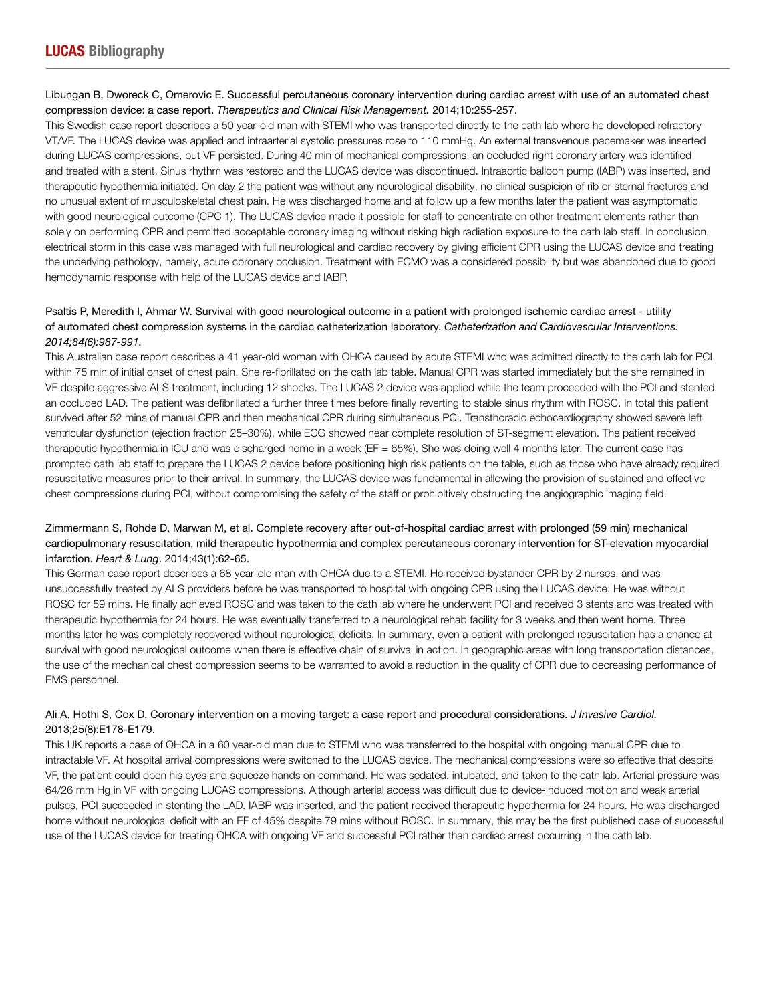### Libungan B, Dworeck C, Omerovic E. Successful percutaneous coronary intervention during cardiac arrest with use of an automated chest compression device: a case report. *Therapeutics and Clinical Risk Management.* 2014;10:255-257.

This Swedish case report describes a 50 year-old man with STEMI who was transported directly to the cath lab where he developed refractory VT/VF. The LUCAS device was applied and intraarterial systolic pressures rose to 110 mmHg. An external transvenous pacemaker was inserted during LUCAS compressions, but VF persisted. During 40 min of mechanical compressions, an occluded right coronary artery was identified and treated with a stent. Sinus rhythm was restored and the LUCAS device was discontinued. Intraaortic balloon pump (IABP) was inserted, and therapeutic hypothermia initiated. On day 2 the patient was without any neurological disability, no clinical suspicion of rib or sternal fractures and no unusual extent of musculoskeletal chest pain. He was discharged home and at follow up a few months later the patient was asymptomatic with good neurological outcome (CPC 1). The LUCAS device made it possible for staff to concentrate on other treatment elements rather than solely on performing CPR and permitted acceptable coronary imaging without risking high radiation exposure to the cath lab staff. In conclusion, electrical storm in this case was managed with full neurological and cardiac recovery by giving efficient CPR using the LUCAS device and treating the underlying pathology, namely, acute coronary occlusion. Treatment with ECMO was a considered possibility but was abandoned due to good hemodynamic response with help of the LUCAS device and IABP.

## Psaltis P, Meredith I, Ahmar W. Survival with good neurological outcome in a patient with prolonged ischemic cardiac arrest - utility of automated chest compression systems in the cardiac catheterization laboratory. *Catheterization and Cardiovascular Interventions. 2014;84(6):987-991.*

This Australian case report describes a 41 year-old woman with OHCA caused by acute STEMI who was admitted directly to the cath lab for PCI within 75 min of initial onset of chest pain. She re-fibrillated on the cath lab table. Manual CPR was started immediately but the she remained in VF despite aggressive ALS treatment, including 12 shocks. The LUCAS 2 device was applied while the team proceeded with the PCI and stented an occluded LAD. The patient was defibrillated a further three times before finally reverting to stable sinus rhythm with ROSC. In total this patient survived after 52 mins of manual CPR and then mechanical CPR during simultaneous PCI. Transthoracic echocardiography showed severe left ventricular dysfunction (ejection fraction 25–30%), while ECG showed near complete resolution of ST-segment elevation. The patient received therapeutic hypothermia in ICU and was discharged home in a week (EF = 65%). She was doing well 4 months later. The current case has prompted cath lab staff to prepare the LUCAS 2 device before positioning high risk patients on the table, such as those who have already required resuscitative measures prior to their arrival. In summary, the LUCAS device was fundamental in allowing the provision of sustained and effective chest compressions during PCI, without compromising the safety of the staff or prohibitively obstructing the angiographic imaging field.

## Zimmermann S, Rohde D, Marwan M, et al. Complete recovery after out-of-hospital cardiac arrest with prolonged (59 min) mechanical cardiopulmonary resuscitation, mild therapeutic hypothermia and complex percutaneous coronary intervention for ST-elevation myocardial infarction. *Heart & Lung*. 2014;43(1):62-65.

This German case report describes a 68 year-old man with OHCA due to a STEMI. He received bystander CPR by 2 nurses, and was unsuccessfully treated by ALS providers before he was transported to hospital with ongoing CPR using the LUCAS device. He was without ROSC for 59 mins. He finally achieved ROSC and was taken to the cath lab where he underwent PCI and received 3 stents and was treated with therapeutic hypothermia for 24 hours. He was eventually transferred to a neurological rehab facility for 3 weeks and then went home. Three months later he was completely recovered without neurological deficits. In summary, even a patient with prolonged resuscitation has a chance at survival with good neurological outcome when there is effective chain of survival in action. In geographic areas with long transportation distances, the use of the mechanical chest compression seems to be warranted to avoid a reduction in the quality of CPR due to decreasing performance of EMS personnel.

## Ali A, Hothi S, Cox D. Coronary intervention on a moving target: a case report and procedural considerations. *J Invasive Cardiol.* 2013;25(8):E178-E179.

This UK reports a case of OHCA in a 60 year-old man due to STEMI who was transferred to the hospital with ongoing manual CPR due to intractable VF. At hospital arrival compressions were switched to the LUCAS device. The mechanical compressions were so effective that despite VF, the patient could open his eyes and squeeze hands on command. He was sedated, intubated, and taken to the cath lab. Arterial pressure was 64/26 mm Hg in VF with ongoing LUCAS compressions. Although arterial access was difficult due to device-induced motion and weak arterial pulses, PCI succeeded in stenting the LAD. IABP was inserted, and the patient received therapeutic hypothermia for 24 hours. He was discharged home without neurological deficit with an EF of 45% despite 79 mins without ROSC. In summary, this may be the first published case of successful use of the LUCAS device for treating OHCA with ongoing VF and successful PCI rather than cardiac arrest occurring in the cath lab.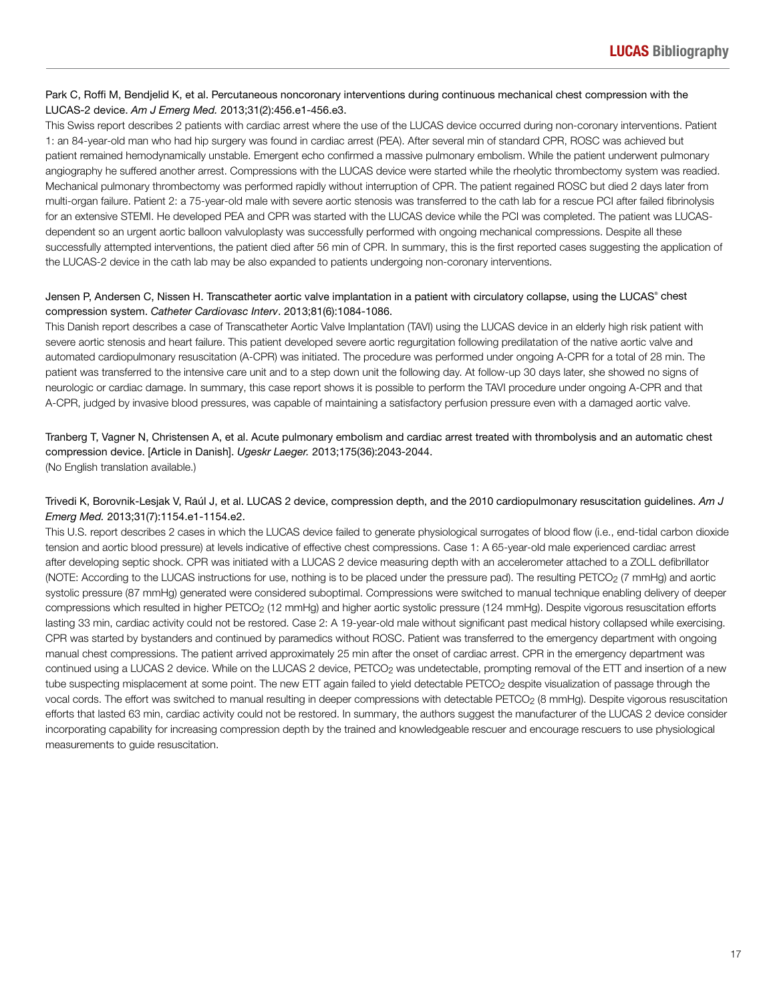## Park C, Roffi M, Bendjelid K, et al. Percutaneous noncoronary interventions during continuous mechanical chest compression with the LUCAS-2 device. *Am J Emerg Med.* 2013;31(2):456.e1-456.e3.

This Swiss report describes 2 patients with cardiac arrest where the use of the LUCAS device occurred during non-coronary interventions. Patient 1: an 84-year-old man who had hip surgery was found in cardiac arrest (PEA). After several min of standard CPR, ROSC was achieved but patient remained hemodynamically unstable. Emergent echo confirmed a massive pulmonary embolism. While the patient underwent pulmonary angiography he suffered another arrest. Compressions with the LUCAS device were started while the rheolytic thrombectomy system was readied. Mechanical pulmonary thrombectomy was performed rapidly without interruption of CPR. The patient regained ROSC but died 2 days later from multi-organ failure. Patient 2: a 75-year-old male with severe aortic stenosis was transferred to the cath lab for a rescue PCI after failed fibrinolysis for an extensive STEMI. He developed PEA and CPR was started with the LUCAS device while the PCI was completed. The patient was LUCASdependent so an urgent aortic balloon valvuloplasty was successfully performed with ongoing mechanical compressions. Despite all these successfully attempted interventions, the patient died after 56 min of CPR. In summary, this is the first reported cases suggesting the application of the LUCAS-2 device in the cath lab may be also expanded to patients undergoing non-coronary interventions.

## Jensen P, Andersen C, Nissen H. Transcatheter aortic valve implantation in a patient with circulatory collapse, using the LUCAS® chest compression system. *Catheter Cardiovasc Interv*. 2013;81(6):1084-1086.

This Danish report describes a case of Transcatheter Aortic Valve Implantation (TAVI) using the LUCAS device in an elderly high risk patient with severe aortic stenosis and heart failure. This patient developed severe aortic regurgitation following predilatation of the native aortic valve and automated cardiopulmonary resuscitation (A-CPR) was initiated. The procedure was performed under ongoing A-CPR for a total of 28 min. The patient was transferred to the intensive care unit and to a step down unit the following day. At follow-up 30 days later, she showed no signs of neurologic or cardiac damage. In summary, this case report shows it is possible to perform the TAVI procedure under ongoing A-CPR and that A-CPR, judged by invasive blood pressures, was capable of maintaining a satisfactory perfusion pressure even with a damaged aortic valve.

## Tranberg T, Vagner N, Christensen A, et al. Acute pulmonary embolism and cardiac arrest treated with thrombolysis and an automatic chest compression device. [Article in Danish]. *Ugeskr Laeger.* 2013;175(36):2043-2044. (No English translation available.)

## Trivedi K, Borovnik-Lesjak V, Raúl J, et al. LUCAS 2 device, compression depth, and the 2010 cardiopulmonary resuscitation guidelines. *Am J Emerg Med.* 2013;31(7):1154.e1-1154.e2.

This U.S. report describes 2 cases in which the LUCAS device failed to generate physiological surrogates of blood flow (i.e., end-tidal carbon dioxide tension and aortic blood pressure) at levels indicative of effective chest compressions. Case 1: A 65-year-old male experienced cardiac arrest after developing septic shock. CPR was initiated with a LUCAS 2 device measuring depth with an accelerometer attached to a ZOLL defibrillator (NOTE: According to the LUCAS instructions for use, nothing is to be placed under the pressure pad). The resulting PETCO<sub>2</sub> (7 mmHg) and aortic systolic pressure (87 mmHg) generated were considered suboptimal. Compressions were switched to manual technique enabling delivery of deeper compressions which resulted in higher PETCO<sub>2</sub> (12 mmHg) and higher aortic systolic pressure (124 mmHg). Despite vigorous resuscitation efforts lasting 33 min, cardiac activity could not be restored. Case 2: A 19-year-old male without significant past medical history collapsed while exercising. CPR was started by bystanders and continued by paramedics without ROSC. Patient was transferred to the emergency department with ongoing manual chest compressions. The patient arrived approximately 25 min after the onset of cardiac arrest. CPR in the emergency department was continued using a LUCAS 2 device. While on the LUCAS 2 device, PETCO<sub>2</sub> was undetectable, prompting removal of the ETT and insertion of a new tube suspecting misplacement at some point. The new ETT again failed to yield detectable PETCO<sub>2</sub> despite visualization of passage through the vocal cords. The effort was switched to manual resulting in deeper compressions with detectable PETCO<sub>2</sub> (8 mmHg). Despite vigorous resuscitation efforts that lasted 63 min, cardiac activity could not be restored. In summary, the authors suggest the manufacturer of the LUCAS 2 device consider incorporating capability for increasing compression depth by the trained and knowledgeable rescuer and encourage rescuers to use physiological measurements to guide resuscitation.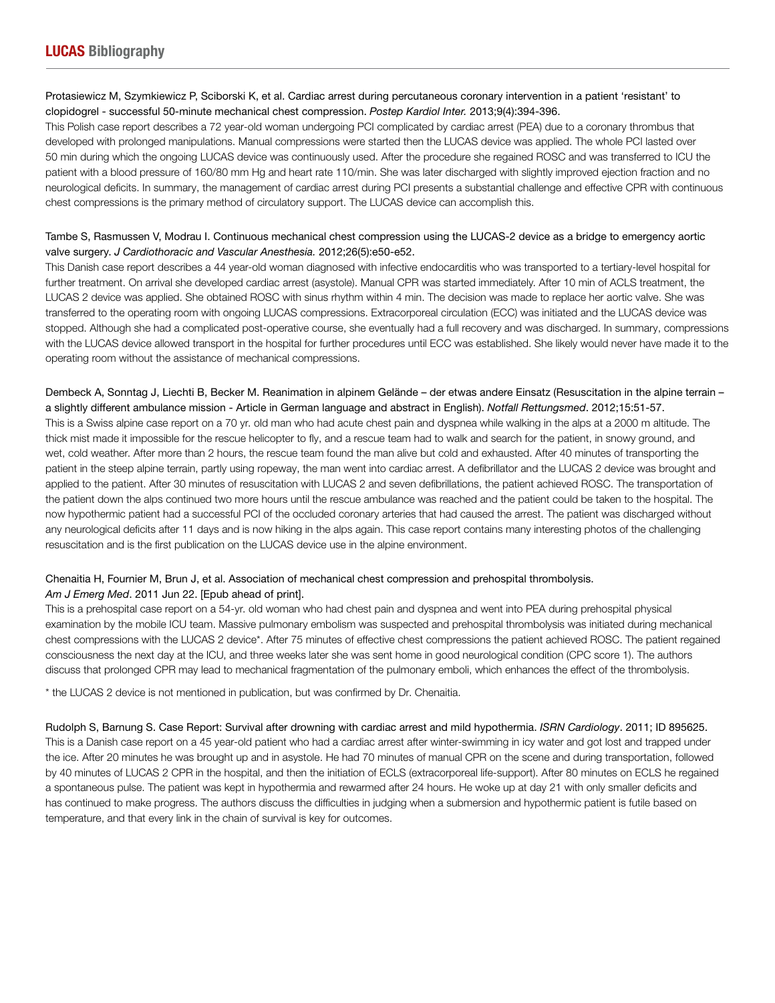## Protasiewicz M, Szymkiewicz P, Sciborski K, et al. Cardiac arrest during percutaneous coronary intervention in a patient 'resistant' to clopidogrel - successful 50-minute mechanical chest compression. *Postep Kardiol Inter.* 2013;9(4):394-396.

This Polish case report describes a 72 year-old woman undergoing PCI complicated by cardiac arrest (PEA) due to a coronary thrombus that developed with prolonged manipulations. Manual compressions were started then the LUCAS device was applied. The whole PCI lasted over 50 min during which the ongoing LUCAS device was continuously used. After the procedure she regained ROSC and was transferred to ICU the patient with a blood pressure of 160/80 mm Hg and heart rate 110/min. She was later discharged with slightly improved ejection fraction and no neurological deficits. In summary, the management of cardiac arrest during PCI presents a substantial challenge and effective CPR with continuous chest compressions is the primary method of circulatory support. The LUCAS device can accomplish this.

## Tambe S, Rasmussen V, Modrau I. Continuous mechanical chest compression using the LUCAS-2 device as a bridge to emergency aortic valve surgery. *J Cardiothoracic and Vascular Anesthesia.* 2012;26(5):e50-e52.

This Danish case report describes a 44 year-old woman diagnosed with infective endocarditis who was transported to a tertiary-level hospital for further treatment. On arrival she developed cardiac arrest (asystole). Manual CPR was started immediately. After 10 min of ACLS treatment, the LUCAS 2 device was applied. She obtained ROSC with sinus rhythm within 4 min. The decision was made to replace her aortic valve. She was transferred to the operating room with ongoing LUCAS compressions. Extracorporeal circulation (ECC) was initiated and the LUCAS device was stopped. Although she had a complicated post-operative course, she eventually had a full recovery and was discharged. In summary, compressions with the LUCAS device allowed transport in the hospital for further procedures until ECC was established. She likely would never have made it to the operating room without the assistance of mechanical compressions.

### Dembeck A, Sonntag J, Liechti B, Becker M. Reanimation in alpinem Gelände – der etwas andere Einsatz (Resuscitation in the alpine terrain – a slightly different ambulance mission - Article in German language and abstract in English). *Notfall Rettungsmed*. 2012;15:51-57.

This is a Swiss alpine case report on a 70 yr. old man who had acute chest pain and dyspnea while walking in the alps at a 2000 m altitude. The thick mist made it impossible for the rescue helicopter to fly, and a rescue team had to walk and search for the patient, in snowy ground, and wet, cold weather. After more than 2 hours, the rescue team found the man alive but cold and exhausted. After 40 minutes of transporting the patient in the steep alpine terrain, partly using ropeway, the man went into cardiac arrest. A defibrillator and the LUCAS 2 device was brought and applied to the patient. After 30 minutes of resuscitation with LUCAS 2 and seven defibrillations, the patient achieved ROSC. The transportation of the patient down the alps continued two more hours until the rescue ambulance was reached and the patient could be taken to the hospital. The now hypothermic patient had a successful PCI of the occluded coronary arteries that had caused the arrest. The patient was discharged without any neurological deficits after 11 days and is now hiking in the alps again. This case report contains many interesting photos of the challenging resuscitation and is the first publication on the LUCAS device use in the alpine environment.

#### Chenaitia H, Fournier M, Brun J, et al. Association of mechanical chest compression and prehospital thrombolysis. *Am J Emerg Med*. 2011 Jun 22. [Epub ahead of print].

This is a prehospital case report on a 54-yr. old woman who had chest pain and dyspnea and went into PEA during prehospital physical examination by the mobile ICU team. Massive pulmonary embolism was suspected and prehospital thrombolysis was initiated during mechanical chest compressions with the LUCAS 2 device\*. After 75 minutes of effective chest compressions the patient achieved ROSC. The patient regained consciousness the next day at the ICU, and three weeks later she was sent home in good neurological condition (CPC score 1). The authors discuss that prolonged CPR may lead to mechanical fragmentation of the pulmonary emboli, which enhances the effect of the thrombolysis.

\* the LUCAS 2 device is not mentioned in publication, but was confirmed by Dr. Chenaitia.

Rudolph S, Barnung S. Case Report: Survival after drowning with cardiac arrest and mild hypothermia. *ISRN Cardiology*. 2011; ID 895625. This is a Danish case report on a 45 year-old patient who had a cardiac arrest after winter-swimming in icy water and got lost and trapped under the ice. After 20 minutes he was brought up and in asystole. He had 70 minutes of manual CPR on the scene and during transportation, followed by 40 minutes of LUCAS 2 CPR in the hospital, and then the initiation of ECLS (extracorporeal life-support). After 80 minutes on ECLS he regained a spontaneous pulse. The patient was kept in hypothermia and rewarmed after 24 hours. He woke up at day 21 with only smaller deficits and has continued to make progress. The authors discuss the difficulties in judging when a submersion and hypothermic patient is futile based on temperature, and that every link in the chain of survival is key for outcomes.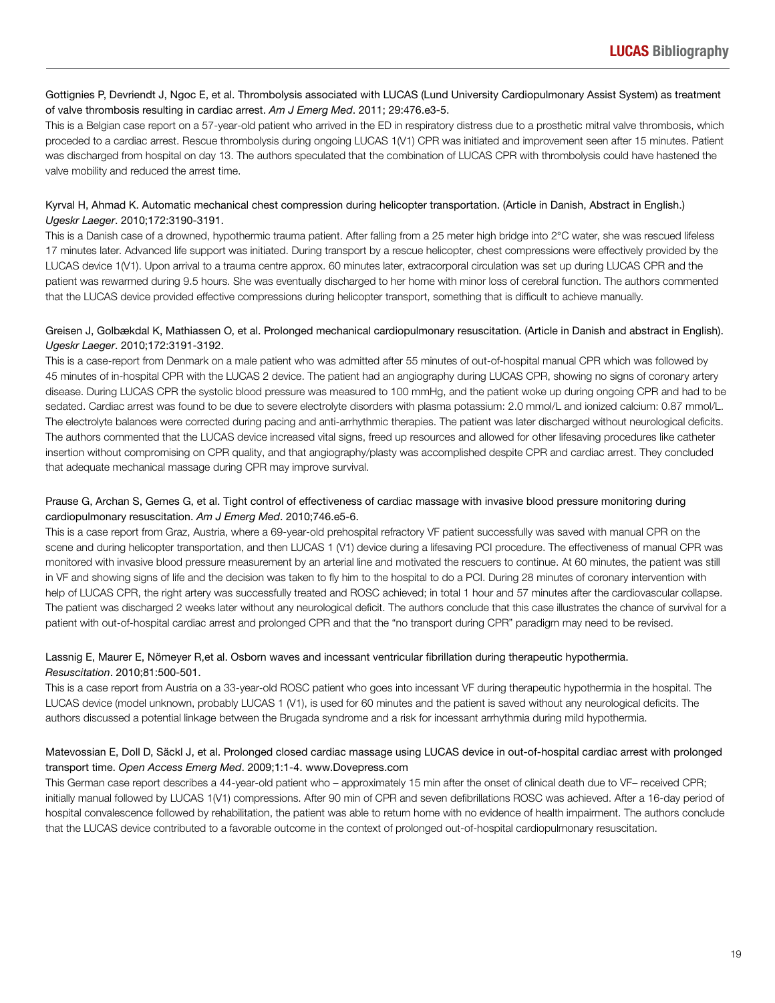## Gottignies P, Devriendt J, Ngoc E, et al. Thrombolysis associated with LUCAS (Lund University Cardiopulmonary Assist System) as treatment of valve thrombosis resulting in cardiac arrest. *Am J Emerg Med*. 2011; 29:476.e3-5.

This is a Belgian case report on a 57-year-old patient who arrived in the ED in respiratory distress due to a prosthetic mitral valve thrombosis, which proceded to a cardiac arrest. Rescue thrombolysis during ongoing LUCAS 1(V1) CPR was initiated and improvement seen after 15 minutes. Patient was discharged from hospital on day 13. The authors speculated that the combination of LUCAS CPR with thrombolysis could have hastened the valve mobility and reduced the arrest time.

## Kyrval H, Ahmad K. Automatic mechanical chest compression during helicopter transportation. (Article in Danish, Abstract in English.) *Ugeskr Laeger*. 2010;172:3190-3191.

This is a Danish case of a drowned, hypothermic trauma patient. After falling from a 25 meter high bridge into 2°C water, she was rescued lifeless 17 minutes later. Advanced life support was initiated. During transport by a rescue helicopter, chest compressions were effectively provided by the LUCAS device 1(V1). Upon arrival to a trauma centre approx. 60 minutes later, extracorporal circulation was set up during LUCAS CPR and the patient was rewarmed during 9.5 hours. She was eventually discharged to her home with minor loss of cerebral function. The authors commented that the LUCAS device provided effective compressions during helicopter transport, something that is difficult to achieve manually.

## Greisen J, Golbækdal K, Mathiassen O, et al. Prolonged mechanical cardiopulmonary resuscitation. (Article in Danish and abstract in English). *Ugeskr Laeger*. 2010;172:3191-3192.

This is a case-report from Denmark on a male patient who was admitted after 55 minutes of out-of-hospital manual CPR which was followed by 45 minutes of in-hospital CPR with the LUCAS 2 device. The patient had an angiography during LUCAS CPR, showing no signs of coronary artery disease. During LUCAS CPR the systolic blood pressure was measured to 100 mmHg, and the patient woke up during ongoing CPR and had to be sedated. Cardiac arrest was found to be due to severe electrolyte disorders with plasma potassium: 2.0 mmol/L and ionized calcium: 0.87 mmol/L. The electrolyte balances were corrected during pacing and anti-arrhythmic therapies. The patient was later discharged without neurological deficits. The authors commented that the LUCAS device increased vital signs, freed up resources and allowed for other lifesaving procedures like catheter insertion without compromising on CPR quality, and that angiography/plasty was accomplished despite CPR and cardiac arrest. They concluded that adequate mechanical massage during CPR may improve survival.

## Prause G, Archan S, Gemes G, et al. Tight control of effectiveness of cardiac massage with invasive blood pressure monitoring during cardiopulmonary resuscitation. *Am J Emerg Med*. 2010;746.e5-6.

This is a case report from Graz, Austria, where a 69-year-old prehospital refractory VF patient successfully was saved with manual CPR on the scene and during helicopter transportation, and then LUCAS 1 (V1) device during a lifesaving PCI procedure. The effectiveness of manual CPR was monitored with invasive blood pressure measurement by an arterial line and motivated the rescuers to continue. At 60 minutes, the patient was still in VF and showing signs of life and the decision was taken to fly him to the hospital to do a PCI. During 28 minutes of coronary intervention with help of LUCAS CPR, the right artery was successfully treated and ROSC achieved; in total 1 hour and 57 minutes after the cardiovascular collapse. The patient was discharged 2 weeks later without any neurological deficit. The authors conclude that this case illustrates the chance of survival for a patient with out-of-hospital cardiac arrest and prolonged CPR and that the "no transport during CPR" paradigm may need to be revised.

## Lassnig E, Maurer E, Nömeyer R,et al. Osborn waves and incessant ventricular fibrillation during therapeutic hypothermia. *Resuscitation*. 2010;81:500-501.

This is a case report from Austria on a 33-year-old ROSC patient who goes into incessant VF during therapeutic hypothermia in the hospital. The LUCAS device (model unknown, probably LUCAS 1 (V1), is used for 60 minutes and the patient is saved without any neurological deficits. The authors discussed a potential linkage between the Brugada syndrome and a risk for incessant arrhythmia during mild hypothermia.

## Matevossian E, Doll D, Säckl J, et al. Prolonged closed cardiac massage using LUCAS device in out-of-hospital cardiac arrest with prolonged transport time. *Open Access Emerg Med*. 2009;1:1-4. www.Dovepress.com

This German case report describes a 44-year-old patient who – approximately 15 min after the onset of clinical death due to VF– received CPR; initially manual followed by LUCAS 1(V1) compressions. After 90 min of CPR and seven defibrillations ROSC was achieved. After a 16-day period of hospital convalescence followed by rehabilitation, the patient was able to return home with no evidence of health impairment. The authors conclude that the LUCAS device contributed to a favorable outcome in the context of prolonged out-of-hospital cardiopulmonary resuscitation.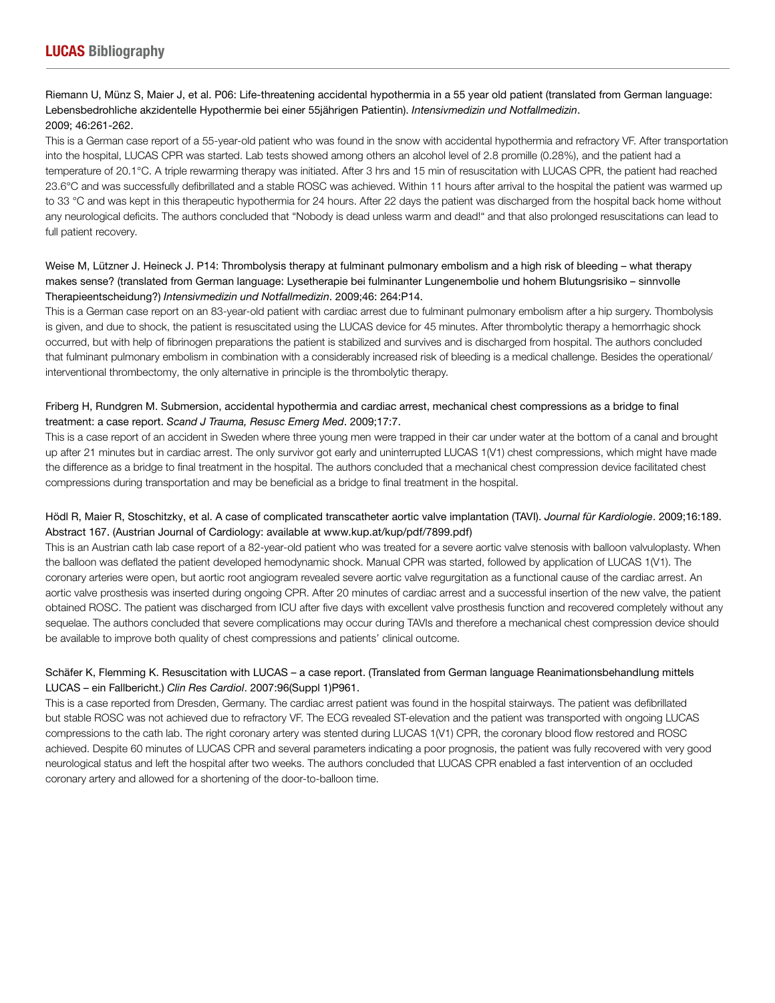## Riemann U, Münz S, Maier J, et al. P06: Life-threatening accidental hypothermia in a 55 year old patient (translated from German language: Lebensbedrohliche akzidentelle Hypothermie bei einer 55jährigen Patientin). *Intensivmedizin und Notfallmedizin*. 2009; 46:261-262.

This is a German case report of a 55-year-old patient who was found in the snow with accidental hypothermia and refractory VF. After transportation into the hospital, LUCAS CPR was started. Lab tests showed among others an alcohol level of 2.8 promille (0.28%), and the patient had a temperature of 20.1°C. A triple rewarming therapy was initiated. After 3 hrs and 15 min of resuscitation with LUCAS CPR, the patient had reached 23.6°C and was successfully defibrillated and a stable ROSC was achieved. Within 11 hours after arrival to the hospital the patient was warmed up to 33 °C and was kept in this therapeutic hypothermia for 24 hours. After 22 days the patient was discharged from the hospital back home without any neurological deficits. The authors concluded that "Nobody is dead unless warm and dead!" and that also prolonged resuscitations can lead to full patient recovery.

## Weise M, Lützner J. Heineck J. P14: Thrombolysis therapy at fulminant pulmonary embolism and a high risk of bleeding – what therapy makes sense? (translated from German language: Lysetherapie bei fulminanter Lungenembolie und hohem Blutungsrisiko – sinnvolle Therapieentscheidung?) *Intensivmedizin und Notfallmedizin*. 2009;46: 264:P14.

This is a German case report on an 83-year-old patient with cardiac arrest due to fulminant pulmonary embolism after a hip surgery. Thombolysis is given, and due to shock, the patient is resuscitated using the LUCAS device for 45 minutes. After thrombolytic therapy a hemorrhagic shock occurred, but with help of fibrinogen preparations the patient is stabilized and survives and is discharged from hospital. The authors concluded that fulminant pulmonary embolism in combination with a considerably increased risk of bleeding is a medical challenge. Besides the operational/ interventional thrombectomy, the only alternative in principle is the thrombolytic therapy.

## Friberg H, Rundgren M. Submersion, accidental hypothermia and cardiac arrest, mechanical chest compressions as a bridge to final treatment: a case report. *Scand J Trauma, Resusc Emerg Med*. 2009;17:7.

This is a case report of an accident in Sweden where three young men were trapped in their car under water at the bottom of a canal and brought up after 21 minutes but in cardiac arrest. The only survivor got early and uninterrupted LUCAS 1(V1) chest compressions, which might have made the difference as a bridge to final treatment in the hospital. The authors concluded that a mechanical chest compression device facilitated chest compressions during transportation and may be beneficial as a bridge to final treatment in the hospital.

## Hödl R, Maier R, Stoschitzky, et al. A case of complicated transcatheter aortic valve implantation (TAVI). *Journal für Kardiologie*. 2009;16:189. Abstract 167. (Austrian Journal of Cardiology: available at www.kup.at/kup/pdf/7899.pdf)

This is an Austrian cath lab case report of a 82-year-old patient who was treated for a severe aortic valve stenosis with balloon valvuloplasty. When the balloon was deflated the patient developed hemodynamic shock. Manual CPR was started, followed by application of LUCAS 1(V1). The coronary arteries were open, but aortic root angiogram revealed severe aortic valve regurgitation as a functional cause of the cardiac arrest. An aortic valve prosthesis was inserted during ongoing CPR. After 20 minutes of cardiac arrest and a successful insertion of the new valve, the patient obtained ROSC. The patient was discharged from ICU after five days with excellent valve prosthesis function and recovered completely without any sequelae. The authors concluded that severe complications may occur during TAVIs and therefore a mechanical chest compression device should be available to improve both quality of chest compressions and patients' clinical outcome.

## Schäfer K, Flemming K. Resuscitation with LUCAS – a case report. (Translated from German language Reanimationsbehandlung mittels LUCAS – ein Fallbericht.) *Clin Res Cardiol*. 2007:96(Suppl 1)P961.

This is a case reported from Dresden, Germany. The cardiac arrest patient was found in the hospital stairways. The patient was defibrillated but stable ROSC was not achieved due to refractory VF. The ECG revealed ST-elevation and the patient was transported with ongoing LUCAS compressions to the cath lab. The right coronary artery was stented during LUCAS 1(V1) CPR, the coronary blood flow restored and ROSC achieved. Despite 60 minutes of LUCAS CPR and several parameters indicating a poor prognosis, the patient was fully recovered with very good neurological status and left the hospital after two weeks. The authors concluded that LUCAS CPR enabled a fast intervention of an occluded coronary artery and allowed for a shortening of the door-to-balloon time.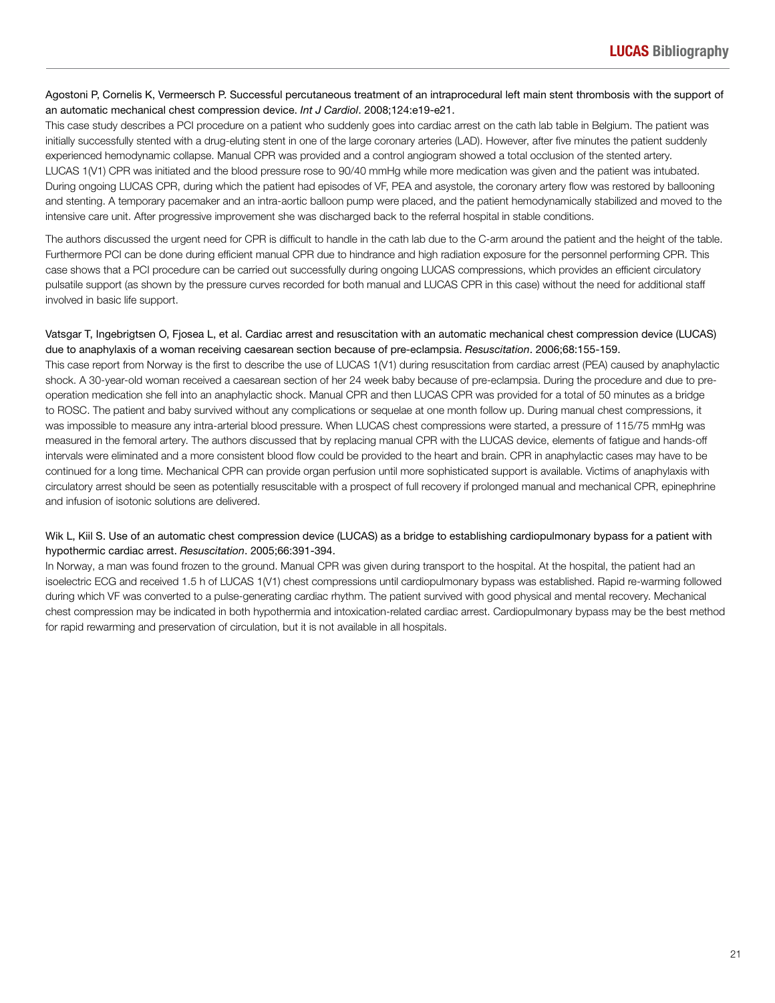## Agostoni P, Cornelis K, Vermeersch P. Successful percutaneous treatment of an intraprocedural left main stent thrombosis with the support of an automatic mechanical chest compression device. *Int J Cardiol*. 2008;124:e19-e21.

This case study describes a PCI procedure on a patient who suddenly goes into cardiac arrest on the cath lab table in Belgium. The patient was initially successfully stented with a drug-eluting stent in one of the large coronary arteries (LAD). However, after five minutes the patient suddenly experienced hemodynamic collapse. Manual CPR was provided and a control angiogram showed a total occlusion of the stented artery. LUCAS 1(V1) CPR was initiated and the blood pressure rose to 90/40 mmHg while more medication was given and the patient was intubated. During ongoing LUCAS CPR, during which the patient had episodes of VF, PEA and asystole, the coronary artery flow was restored by ballooning and stenting. A temporary pacemaker and an intra-aortic balloon pump were placed, and the patient hemodynamically stabilized and moved to the intensive care unit. After progressive improvement she was discharged back to the referral hospital in stable conditions.

The authors discussed the urgent need for CPR is difficult to handle in the cath lab due to the C-arm around the patient and the height of the table. Furthermore PCI can be done during efficient manual CPR due to hindrance and high radiation exposure for the personnel performing CPR. This case shows that a PCI procedure can be carried out successfully during ongoing LUCAS compressions, which provides an efficient circulatory pulsatile support (as shown by the pressure curves recorded for both manual and LUCAS CPR in this case) without the need for additional staff involved in basic life support.

## Vatsgar T, Ingebrigtsen O, Fjosea L, et al. Cardiac arrest and resuscitation with an automatic mechanical chest compression device (LUCAS) due to anaphylaxis of a woman receiving caesarean section because of pre-eclampsia. *Resuscitation*. 2006;68:155-159.

This case report from Norway is the first to describe the use of LUCAS 1(V1) during resuscitation from cardiac arrest (PEA) caused by anaphylactic shock. A 30-year-old woman received a caesarean section of her 24 week baby because of pre-eclampsia. During the procedure and due to preoperation medication she fell into an anaphylactic shock. Manual CPR and then LUCAS CPR was provided for a total of 50 minutes as a bridge to ROSC. The patient and baby survived without any complications or sequelae at one month follow up. During manual chest compressions, it was impossible to measure any intra-arterial blood pressure. When LUCAS chest compressions were started, a pressure of 115/75 mmHg was measured in the femoral artery. The authors discussed that by replacing manual CPR with the LUCAS device, elements of fatigue and hands-off intervals were eliminated and a more consistent blood flow could be provided to the heart and brain. CPR in anaphylactic cases may have to be continued for a long time. Mechanical CPR can provide organ perfusion until more sophisticated support is available. Victims of anaphylaxis with circulatory arrest should be seen as potentially resuscitable with a prospect of full recovery if prolonged manual and mechanical CPR, epinephrine and infusion of isotonic solutions are delivered.

## Wik L, Kiil S. Use of an automatic chest compression device (LUCAS) as a bridge to establishing cardiopulmonary bypass for a patient with hypothermic cardiac arrest. *Resuscitation*. 2005;66:391-394.

In Norway, a man was found frozen to the ground. Manual CPR was given during transport to the hospital. At the hospital, the patient had an isoelectric ECG and received 1.5 h of LUCAS 1(V1) chest compressions until cardiopulmonary bypass was established. Rapid re-warming followed during which VF was converted to a pulse-generating cardiac rhythm. The patient survived with good physical and mental recovery. Mechanical chest compression may be indicated in both hypothermia and intoxication-related cardiac arrest. Cardiopulmonary bypass may be the best method for rapid rewarming and preservation of circulation, but it is not available in all hospitals.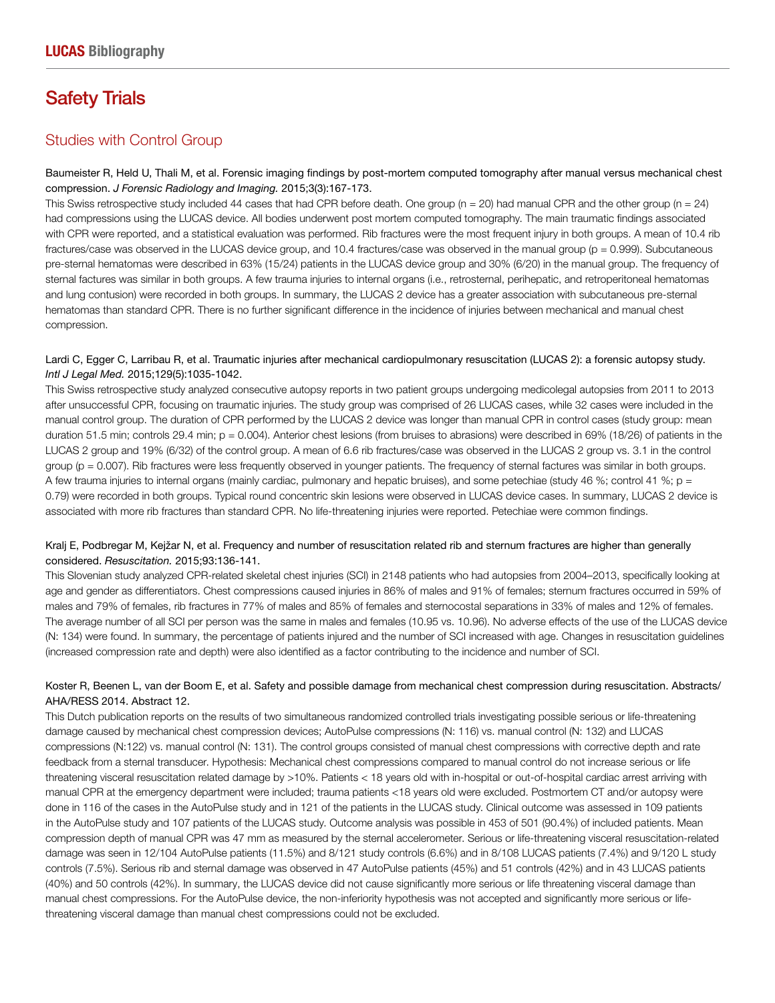## Safety Trials

## Studies with Control Group

## Baumeister R, Held U, Thali M, et al. Forensic imaging findings by post-mortem computed tomography after manual versus mechanical chest compression. *J Forensic Radiology and Imaging.* 2015;3(3):167-173.

This Swiss retrospective study included 44 cases that had CPR before death. One group ( $n = 20$ ) had manual CPR and the other group ( $n = 24$ ) had compressions using the LUCAS device. All bodies underwent post mortem computed tomography. The main traumatic findings associated with CPR were reported, and a statistical evaluation was performed. Rib fractures were the most frequent injury in both groups. A mean of 10.4 rib fractures/case was observed in the LUCAS device group, and 10.4 fractures/case was observed in the manual group (p = 0.999). Subcutaneous pre-sternal hematomas were described in 63% (15/24) patients in the LUCAS device group and 30% (6/20) in the manual group. The frequency of sternal factures was similar in both groups. A few trauma injuries to internal organs (i.e., retrosternal, perihepatic, and retroperitoneal hematomas and lung contusion) were recorded in both groups. In summary, the LUCAS 2 device has a greater association with subcutaneous pre-sternal hematomas than standard CPR. There is no further significant difference in the incidence of injuries between mechanical and manual chest compression.

## Lardi C, Egger C, Larribau R, et al. Traumatic injuries after mechanical cardiopulmonary resuscitation (LUCAS 2): a forensic autopsy study. *Intl J Legal Med.* 2015;129(5):1035-1042.

This Swiss retrospective study analyzed consecutive autopsy reports in two patient groups undergoing medicolegal autopsies from 2011 to 2013 after unsuccessful CPR, focusing on traumatic injuries. The study group was comprised of 26 LUCAS cases, while 32 cases were included in the manual control group. The duration of CPR performed by the LUCAS 2 device was longer than manual CPR in control cases (study group: mean duration 51.5 min; controls 29.4 min;  $p = 0.004$ ). Anterior chest lesions (from bruises to abrasions) were described in 69% (18/26) of patients in the LUCAS 2 group and 19% (6/32) of the control group. A mean of 6.6 rib fractures/case was observed in the LUCAS 2 group vs. 3.1 in the control group (p = 0.007). Rib fractures were less frequently observed in younger patients. The frequency of sternal factures was similar in both groups. A few trauma injuries to internal organs (mainly cardiac, pulmonary and hepatic bruises), and some petechiae (study 46 %; control 41 %; p = 0.79) were recorded in both groups. Typical round concentric skin lesions were observed in LUCAS device cases. In summary, LUCAS 2 device is associated with more rib fractures than standard CPR. No life-threatening injuries were reported. Petechiae were common findings.

## Kralj E, Podbregar M, Kejžar N, et al. Frequency and number of resuscitation related rib and sternum fractures are higher than generally considered. *Resuscitation.* 2015;93:136-141.

This Slovenian study analyzed CPR-related skeletal chest injuries (SCI) in 2148 patients who had autopsies from 2004–2013, specifically looking at age and gender as differentiators. Chest compressions caused injuries in 86% of males and 91% of females; sternum fractures occurred in 59% of males and 79% of females, rib fractures in 77% of males and 85% of females and sternocostal separations in 33% of males and 12% of females. The average number of all SCI per person was the same in males and females (10.95 vs. 10.96). No adverse effects of the use of the LUCAS device (N: 134) were found. In summary, the percentage of patients injured and the number of SCI increased with age. Changes in resuscitation guidelines (increased compression rate and depth) were also identified as a factor contributing to the incidence and number of SCI.

## Koster R, Beenen L, van der Boom E, et al. Safety and possible damage from mechanical chest compression during resuscitation. Abstracts/ AHA/RESS 2014. Abstract 12.

This Dutch publication reports on the results of two simultaneous randomized controlled trials investigating possible serious or life-threatening damage caused by mechanical chest compression devices; AutoPulse compressions (N: 116) vs. manual control (N: 132) and LUCAS compressions (N:122) vs. manual control (N: 131). The control groups consisted of manual chest compressions with corrective depth and rate feedback from a sternal transducer. Hypothesis: Mechanical chest compressions compared to manual control do not increase serious or life threatening visceral resuscitation related damage by >10%. Patients < 18 years old with in-hospital or out-of-hospital cardiac arrest arriving with manual CPR at the emergency department were included; trauma patients <18 years old were excluded. Postmortem CT and/or autopsy were done in 116 of the cases in the AutoPulse study and in 121 of the patients in the LUCAS study. Clinical outcome was assessed in 109 patients in the AutoPulse study and 107 patients of the LUCAS study. Outcome analysis was possible in 453 of 501 (90.4%) of included patients. Mean compression depth of manual CPR was 47 mm as measured by the sternal accelerometer. Serious or life-threatening visceral resuscitation-related damage was seen in 12/104 AutoPulse patients (11.5%) and 8/121 study controls (6.6%) and in 8/108 LUCAS patients (7.4%) and 9/120 L study controls (7.5%). Serious rib and sternal damage was observed in 47 AutoPulse patients (45%) and 51 controls (42%) and in 43 LUCAS patients (40%) and 50 controls (42%). In summary, the LUCAS device did not cause significantly more serious or life threatening visceral damage than manual chest compressions. For the AutoPulse device, the non-inferiority hypothesis was not accepted and significantly more serious or lifethreatening visceral damage than manual chest compressions could not be excluded.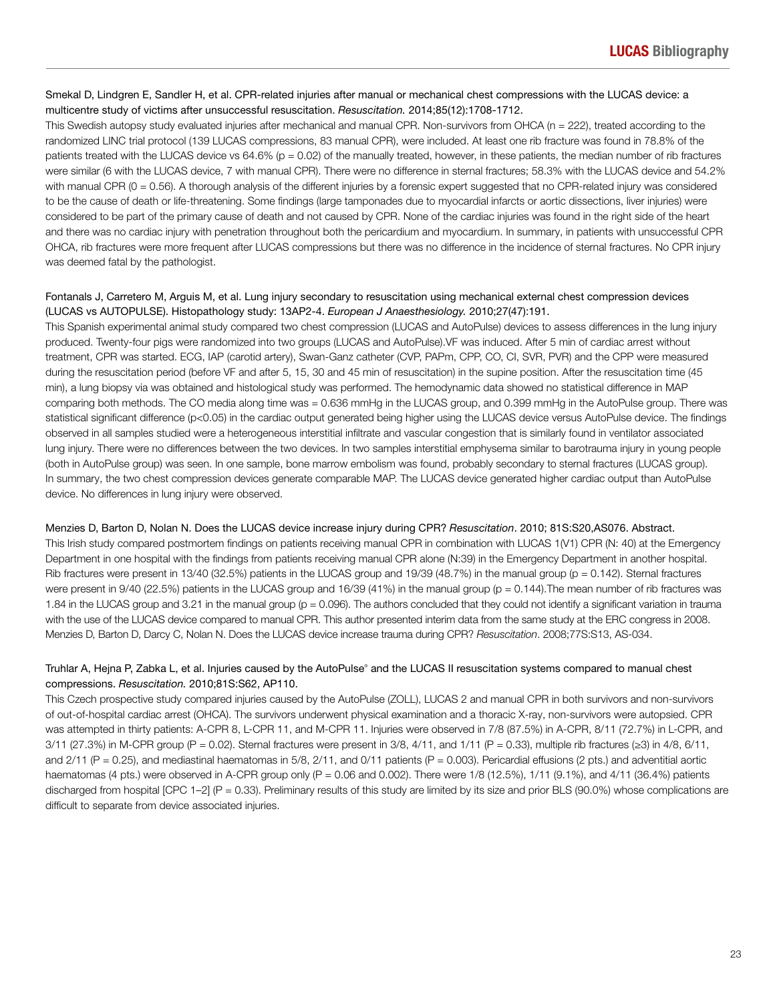### Smekal D, Lindgren E, Sandler H, et al. CPR-related injuries after manual or mechanical chest compressions with the LUCAS device: a multicentre study of victims after unsuccessful resuscitation. *Resuscitation.* 2014;85(12):1708-1712.

This Swedish autopsy study evaluated injuries after mechanical and manual CPR. Non-survivors from OHCA (n = 222), treated according to the randomized LINC trial protocol (139 LUCAS compressions, 83 manual CPR), were included. At least one rib fracture was found in 78.8% of the patients treated with the LUCAS device vs 64.6% (p = 0.02) of the manually treated, however, in these patients, the median number of rib fractures were similar (6 with the LUCAS device, 7 with manual CPR). There were no difference in sternal fractures; 58.3% with the LUCAS device and 54.2% with manual CPR (0 = 0.56). A thorough analysis of the different injuries by a forensic expert suggested that no CPR-related injury was considered to be the cause of death or life-threatening. Some findings (large tamponades due to myocardial infarcts or aortic dissections, liver injuries) were considered to be part of the primary cause of death and not caused by CPR. None of the cardiac injuries was found in the right side of the heart and there was no cardiac injury with penetration throughout both the pericardium and myocardium. In summary, in patients with unsuccessful CPR OHCA, rib fractures were more frequent after LUCAS compressions but there was no difference in the incidence of sternal fractures. No CPR injury was deemed fatal by the pathologist.

## Fontanals J, Carretero M, Arguis M, et al. Lung injury secondary to resuscitation using mechanical external chest compression devices (LUCAS vs AUTOPULSE). Histopathology study: 13AP2-4. *European J Anaesthesiology.* 2010;27(47):191.

This Spanish experimental animal study compared two chest compression (LUCAS and AutoPulse) devices to assess differences in the lung injury produced. Twenty-four pigs were randomized into two groups (LUCAS and AutoPulse).VF was induced. After 5 min of cardiac arrest without treatment, CPR was started. ECG, IAP (carotid artery), Swan-Ganz catheter (CVP, PAPm, CPP, CO, CI, SVR, PVR) and the CPP were measured during the resuscitation period (before VF and after 5, 15, 30 and 45 min of resuscitation) in the supine position. After the resuscitation time (45 min), a lung biopsy via was obtained and histological study was performed. The hemodynamic data showed no statistical difference in MAP comparing both methods. The CO media along time was = 0.636 mmHg in the LUCAS group, and 0.399 mmHg in the AutoPulse group. There was statistical significant difference (p<0.05) in the cardiac output generated being higher using the LUCAS device versus AutoPulse device. The findings observed in all samples studied were a heterogeneous interstitial infiltrate and vascular congestion that is similarly found in ventilator associated lung injury. There were no differences between the two devices. In two samples interstitial emphysema similar to barotrauma injury in young people (both in AutoPulse group) was seen. In one sample, bone marrow embolism was found, probably secondary to sternal fractures (LUCAS group). In summary, the two chest compression devices generate comparable MAP. The LUCAS device generated higher cardiac output than AutoPulse device. No differences in lung injury were observed.

### Menzies D, Barton D, Nolan N. Does the LUCAS device increase injury during CPR? *Resuscitation*. 2010; 81S:S20,AS076. Abstract.

This Irish study compared postmortem findings on patients receiving manual CPR in combination with LUCAS 1(V1) CPR (N: 40) at the Emergency Department in one hospital with the findings from patients receiving manual CPR alone (N:39) in the Emergency Department in another hospital. Rib fractures were present in 13/40 (32.5%) patients in the LUCAS group and 19/39 (48.7%) in the manual group (p = 0.142). Sternal fractures were present in 9/40 (22.5%) patients in the LUCAS group and 16/39 (41%) in the manual group (p = 0.144). The mean number of rib fractures was 1.84 in the LUCAS group and 3.21 in the manual group (p = 0.096). The authors concluded that they could not identify a significant variation in trauma with the use of the LUCAS device compared to manual CPR. This author presented interim data from the same study at the ERC congress in 2008. Menzies D, Barton D, Darcy C, Nolan N. Does the LUCAS device increase trauma during CPR? Resuscitation. 2008;77S:S13, AS-034.

## Truhlar A, Hejna P, Zabka L, et al. Injuries caused by the AutoPulse® and the LUCAS II resuscitation systems compared to manual chest compressions. *Resuscitation.* 2010;81S:S62, AP110.

This Czech prospective study compared injuries caused by the AutoPulse (ZOLL), LUCAS 2 and manual CPR in both survivors and non-survivors of out-of-hospital cardiac arrest (OHCA). The survivors underwent physical examination and a thoracic X-ray, non-survivors were autopsied. CPR was attempted in thirty patients: A-CPR 8, L-CPR 11, and M-CPR 11. Injuries were observed in 7/8 (87.5%) in A-CPR, 8/11 (72.7%) in L-CPR, and  $3/11$  (27.3%) in M-CPR group (P = 0.02). Sternal fractures were present in  $3/8$ ,  $4/11$ , and  $1/11$  (P = 0.33), multiple rib fractures ( $\geq$ 3) in  $4/8$ ,  $6/11$ , and  $2/11$  (P = 0.25), and mediastinal haematomas in 5/8,  $2/11$ , and  $0/11$  patients (P = 0.003). Pericardial effusions (2 pts.) and adventitial aortic haematomas (4 pts.) were observed in A-CPR group only (P = 0.06 and 0.002). There were 1/8 (12.5%), 1/11 (9.1%), and 4/11 (36.4%) patients discharged from hospital  $[CPC 1-2]$   $(P = 0.33)$ . Preliminary results of this study are limited by its size and prior BLS (90.0%) whose complications are difficult to separate from device associated injuries.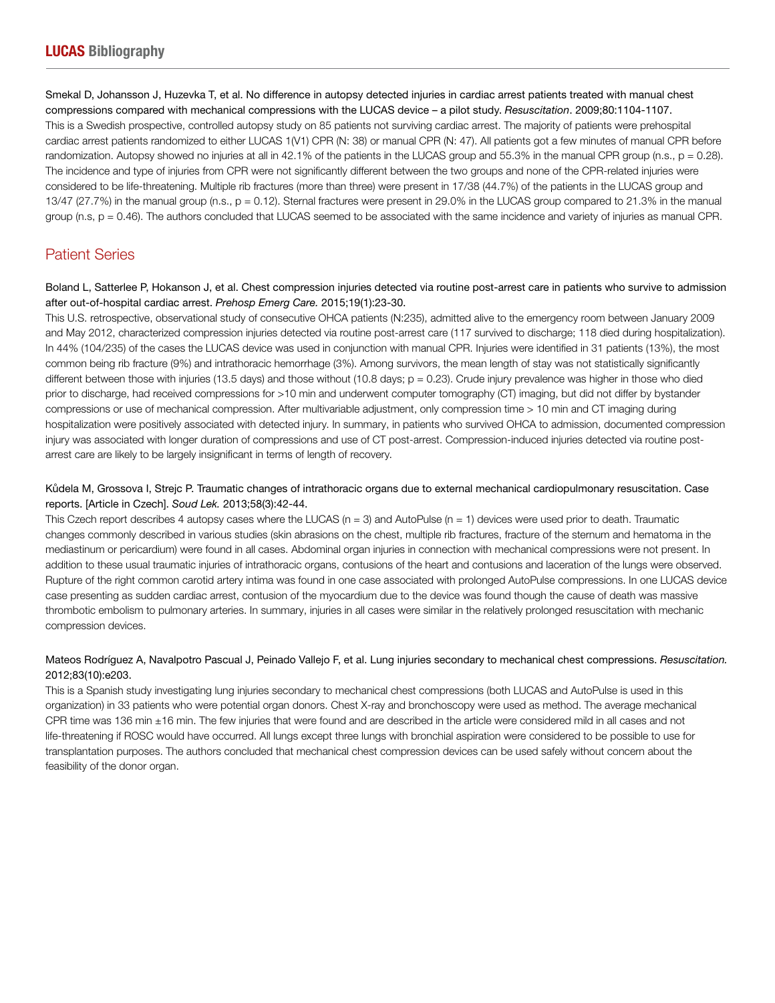Smekal D, Johansson J, Huzevka T, et al. No difference in autopsy detected injuries in cardiac arrest patients treated with manual chest compressions compared with mechanical compressions with the LUCAS device – a pilot study. *Resuscitation*. 2009;80:1104-1107. This is a Swedish prospective, controlled autopsy study on 85 patients not surviving cardiac arrest. The majority of patients were prehospital cardiac arrest patients randomized to either LUCAS 1(V1) CPR (N: 38) or manual CPR (N: 47). All patients got a few minutes of manual CPR before randomization. Autopsy showed no injuries at all in 42.1% of the patients in the LUCAS group and 55.3% in the manual CPR group (n.s.,  $p = 0.28$ ). The incidence and type of injuries from CPR were not significantly different between the two groups and none of the CPR-related injuries were considered to be life-threatening. Multiple rib fractures (more than three) were present in 17/38 (44.7%) of the patients in the LUCAS group and 13/47 (27.7%) in the manual group (n.s., p = 0.12). Sternal fractures were present in 29.0% in the LUCAS group compared to 21.3% in the manual group (n.s,  $p = 0.46$ ). The authors concluded that LUCAS seemed to be associated with the same incidence and variety of injuries as manual CPR.

## Patient Series

Boland L, Satterlee P, Hokanson J, et al. Chest compression injuries detected via routine post-arrest care in patients who survive to admission after out-of-hospital cardiac arrest. *Prehosp Emerg Care.* 2015;19(1):23-30.

This U.S. retrospective, observational study of consecutive OHCA patients (N:235), admitted alive to the emergency room between January 2009 and May 2012, characterized compression injuries detected via routine post-arrest care (117 survived to discharge; 118 died during hospitalization). In 44% (104/235) of the cases the LUCAS device was used in conjunction with manual CPR. Injuries were identified in 31 patients (13%), the most common being rib fracture (9%) and intrathoracic hemorrhage (3%). Among survivors, the mean length of stay was not statistically significantly different between those with injuries (13.5 days) and those without (10.8 days;  $p = 0.23$ ). Crude injury prevalence was higher in those who died prior to discharge, had received compressions for >10 min and underwent computer tomography (CT) imaging, but did not differ by bystander compressions or use of mechanical compression. After multivariable adjustment, only compression time > 10 min and CT imaging during hospitalization were positively associated with detected injury. In summary, in patients who survived OHCA to admission, documented compression injury was associated with longer duration of compressions and use of CT post-arrest. Compression-induced injuries detected via routine postarrest care are likely to be largely insignificant in terms of length of recovery.

## Kůdela M, Grossova I, Strejc P. Traumatic changes of intrathoracic organs due to external mechanical cardiopulmonary resuscitation. Case reports. [Article in Czech]. *Soud Lek.* 2013;58(3):42-44.

This Czech report describes 4 autopsy cases where the LUCAS ( $n = 3$ ) and AutoPulse ( $n = 1$ ) devices were used prior to death. Traumatic changes commonly described in various studies (skin abrasions on the chest, multiple rib fractures, fracture of the sternum and hematoma in the mediastinum or pericardium) were found in all cases. Abdominal organ injuries in connection with mechanical compressions were not present. In addition to these usual traumatic injuries of intrathoracic organs, contusions of the heart and contusions and laceration of the lungs were observed. Rupture of the right common carotid artery intima was found in one case associated with prolonged AutoPulse compressions. In one LUCAS device case presenting as sudden cardiac arrest, contusion of the myocardium due to the device was found though the cause of death was massive thrombotic embolism to pulmonary arteries. In summary, injuries in all cases were similar in the relatively prolonged resuscitation with mechanic compression devices.

## Mateos Rodríguez A, Navalpotro Pascual J, Peinado Vallejo F, et al. Lung injuries secondary to mechanical chest compressions. *Resuscitation.*  2012;83(10):e203.

This is a Spanish study investigating lung injuries secondary to mechanical chest compressions (both LUCAS and AutoPulse is used in this organization) in 33 patients who were potential organ donors. Chest X-ray and bronchoscopy were used as method. The average mechanical CPR time was 136 min ±16 min. The few injuries that were found and are described in the article were considered mild in all cases and not life-threatening if ROSC would have occurred. All lungs except three lungs with bronchial aspiration were considered to be possible to use for transplantation purposes. The authors concluded that mechanical chest compression devices can be used safely without concern about the feasibility of the donor organ.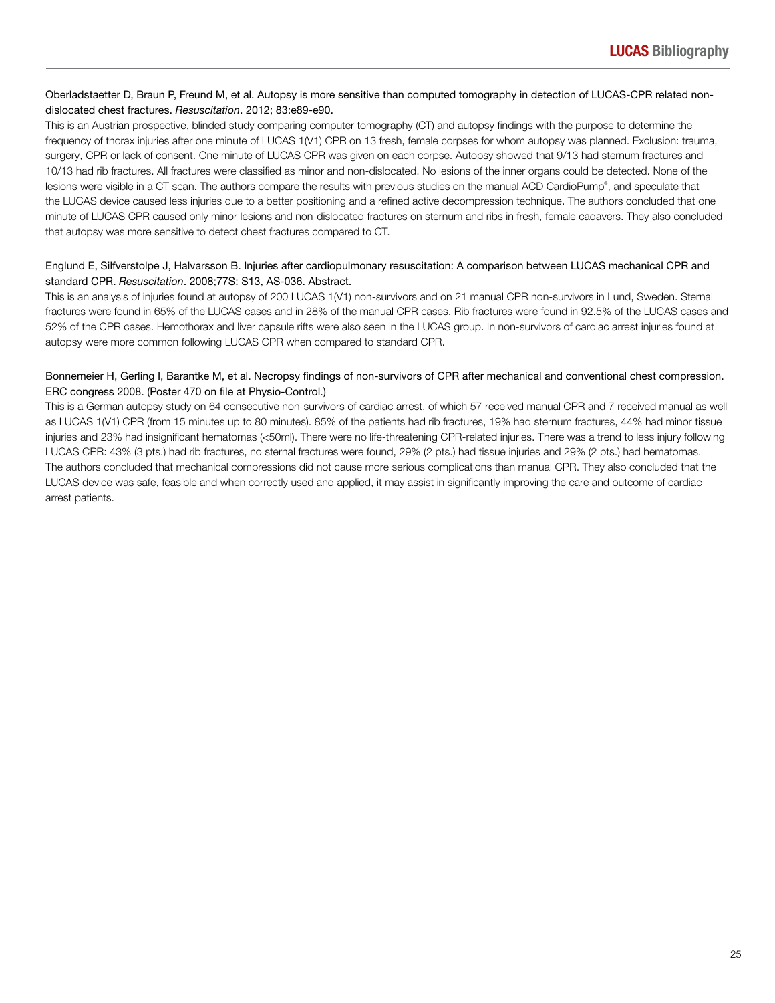## Oberladstaetter D, Braun P, Freund M, et al. Autopsy is more sensitive than computed tomography in detection of LUCAS-CPR related nondislocated chest fractures. *Resuscitation*. 2012; 83:e89-e90.

This is an Austrian prospective, blinded study comparing computer tomography (CT) and autopsy findings with the purpose to determine the frequency of thorax injuries after one minute of LUCAS 1(V1) CPR on 13 fresh, female corpses for whom autopsy was planned. Exclusion: trauma, surgery, CPR or lack of consent. One minute of LUCAS CPR was given on each corpse. Autopsy showed that 9/13 had sternum fractures and 10/13 had rib fractures. All fractures were classified as minor and non-dislocated. No lesions of the inner organs could be detected. None of the lesions were visible in a CT scan. The authors compare the results with previous studies on the manual ACD CardioPump®, and speculate that the LUCAS device caused less injuries due to a better positioning and a refined active decompression technique. The authors concluded that one minute of LUCAS CPR caused only minor lesions and non-dislocated fractures on sternum and ribs in fresh, female cadavers. They also concluded that autopsy was more sensitive to detect chest fractures compared to CT.

## Englund E, Silfverstolpe J, Halvarsson B. Injuries after cardiopulmonary resuscitation: A comparison between LUCAS mechanical CPR and standard CPR. *Resuscitation*. 2008;77S: S13, AS-036. Abstract.

This is an analysis of injuries found at autopsy of 200 LUCAS 1(V1) non-survivors and on 21 manual CPR non-survivors in Lund, Sweden. Sternal fractures were found in 65% of the LUCAS cases and in 28% of the manual CPR cases. Rib fractures were found in 92.5% of the LUCAS cases and 52% of the CPR cases. Hemothorax and liver capsule rifts were also seen in the LUCAS group. In non-survivors of cardiac arrest injuries found at autopsy were more common following LUCAS CPR when compared to standard CPR.

## Bonnemeier H, Gerling I, Barantke M, et al. Necropsy findings of non-survivors of CPR after mechanical and conventional chest compression. ERC congress 2008. (Poster 470 on file at Physio-Control.)

This is a German autopsy study on 64 consecutive non-survivors of cardiac arrest, of which 57 received manual CPR and 7 received manual as well as LUCAS 1(V1) CPR (from 15 minutes up to 80 minutes). 85% of the patients had rib fractures, 19% had sternum fractures, 44% had minor tissue injuries and 23% had insignificant hematomas (<50ml). There were no life-threatening CPR-related injuries. There was a trend to less injury following LUCAS CPR: 43% (3 pts.) had rib fractures, no sternal fractures were found, 29% (2 pts.) had tissue injuries and 29% (2 pts.) had hematomas. The authors concluded that mechanical compressions did not cause more serious complications than manual CPR. They also concluded that the LUCAS device was safe, feasible and when correctly used and applied, it may assist in significantly improving the care and outcome of cardiac arrest patients.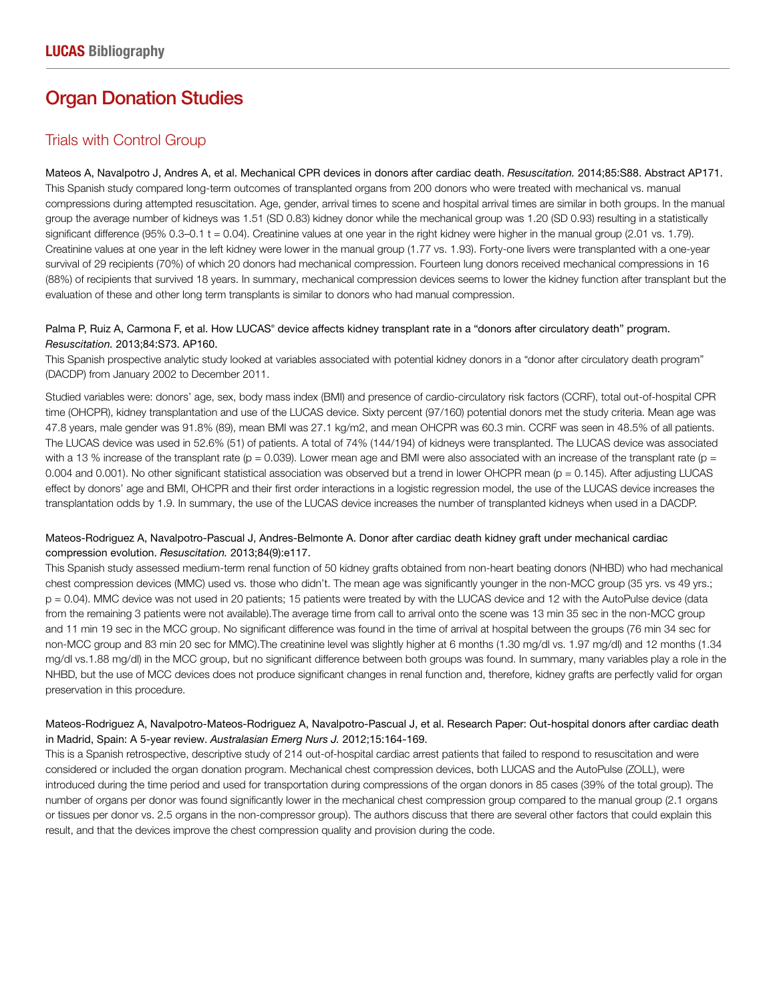## Organ Donation Studies

## Trials with Control Group

Mateos A, Navalpotro J, Andres A, et al. Mechanical CPR devices in donors after cardiac death. *Resuscitation.* 2014;85:S88. Abstract AP171. This Spanish study compared long-term outcomes of transplanted organs from 200 donors who were treated with mechanical vs. manual compressions during attempted resuscitation. Age, gender, arrival times to scene and hospital arrival times are similar in both groups. In the manual group the average number of kidneys was 1.51 (SD 0.83) kidney donor while the mechanical group was 1.20 (SD 0.93) resulting in a statistically significant difference (95% 0.3–0.1 t = 0.04). Creatinine values at one year in the right kidney were higher in the manual group (2.01 vs. 1.79). Creatinine values at one year in the left kidney were lower in the manual group (1.77 vs. 1.93). Forty-one livers were transplanted with a one-year survival of 29 recipients (70%) of which 20 donors had mechanical compression. Fourteen lung donors received mechanical compressions in 16 (88%) of recipients that survived 18 years. In summary, mechanical compression devices seems to lower the kidney function after transplant but the evaluation of these and other long term transplants is similar to donors who had manual compression.

## Palma P, Ruiz A, Carmona F, et al. How LUCAS® device affects kidney transplant rate in a "donors after circulatory death" program. *Resuscitation.* 2013;84:S73. AP160.

This Spanish prospective analytic study looked at variables associated with potential kidney donors in a "donor after circulatory death program" (DACDP) from January 2002 to December 2011.

Studied variables were: donors' age, sex, body mass index (BMI) and presence of cardio-circulatory risk factors (CCRF), total out-of-hospital CPR time (OHCPR), kidney transplantation and use of the LUCAS device. Sixty percent (97/160) potential donors met the study criteria. Mean age was 47.8 years, male gender was 91.8% (89), mean BMI was 27.1 kg/m2, and mean OHCPR was 60.3 min. CCRF was seen in 48.5% of all patients. The LUCAS device was used in 52.6% (51) of patients. A total of 74% (144/194) of kidneys were transplanted. The LUCAS device was associated with a 13 % increase of the transplant rate ( $p = 0.039$ ). Lower mean age and BMI were also associated with an increase of the transplant rate ( $p =$ 0.004 and 0.001). No other significant statistical association was observed but a trend in lower OHCPR mean (p = 0.145). After adjusting LUCAS effect by donors' age and BMI, OHCPR and their first order interactions in a logistic regression model, the use of the LUCAS device increases the transplantation odds by 1.9. In summary, the use of the LUCAS device increases the number of transplanted kidneys when used in a DACDP.

## Mateos-Rodriguez A, Navalpotro-Pascual J, Andres-Belmonte A. Donor after cardiac death kidney graft under mechanical cardiac compression evolution. *Resuscitation.* 2013;84(9):e117.

This Spanish study assessed medium-term renal function of 50 kidney grafts obtained from non-heart beating donors (NHBD) who had mechanical chest compression devices (MMC) used vs. those who didn't. The mean age was significantly younger in the non-MCC group (35 yrs. vs 49 yrs.; p = 0.04). MMC device was not used in 20 patients; 15 patients were treated by with the LUCAS device and 12 with the AutoPulse device (data from the remaining 3 patients were not available).The average time from call to arrival onto the scene was 13 min 35 sec in the non-MCC group and 11 min 19 sec in the MCC group. No significant difference was found in the time of arrival at hospital between the groups (76 min 34 sec for non-MCC group and 83 min 20 sec for MMC).The creatinine level was slightly higher at 6 months (1.30 mg/dl vs. 1.97 mg/dl) and 12 months (1.34 mg/dl vs.1.88 mg/dl) in the MCC group, but no significant difference between both groups was found. In summary, many variables play a role in the NHBD, but the use of MCC devices does not produce significant changes in renal function and, therefore, kidney grafts are perfectly valid for organ preservation in this procedure.

## Mateos-Rodriguez A, Navalpotro-Mateos-Rodriguez A, Navalpotro-Pascual J, et al. Research Paper: Out-hospital donors after cardiac death in Madrid, Spain: A 5-year review. *Australasian Emerg Nurs J.* 2012;15:164-169.

This is a Spanish retrospective, descriptive study of 214 out-of-hospital cardiac arrest patients that failed to respond to resuscitation and were considered or included the organ donation program. Mechanical chest compression devices, both LUCAS and the AutoPulse (ZOLL), were introduced during the time period and used for transportation during compressions of the organ donors in 85 cases (39% of the total group). The number of organs per donor was found significantly lower in the mechanical chest compression group compared to the manual group (2.1 organs or tissues per donor vs. 2.5 organs in the non-compressor group). The authors discuss that there are several other factors that could explain this result, and that the devices improve the chest compression quality and provision during the code.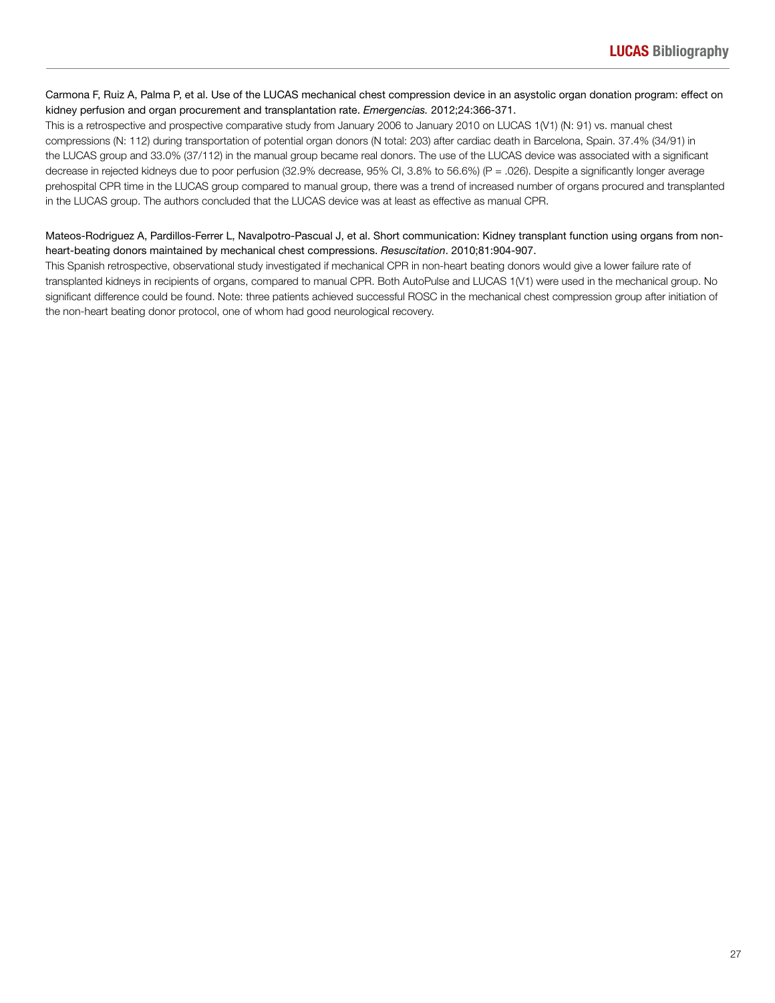## Carmona F, Ruiz A, Palma P, et al. Use of the LUCAS mechanical chest compression device in an asystolic organ donation program: effect on kidney perfusion and organ procurement and transplantation rate. *Emergencias.* 2012;24:366-371.

This is a retrospective and prospective comparative study from January 2006 to January 2010 on LUCAS 1(V1) (N: 91) vs. manual chest compressions (N: 112) during transportation of potential organ donors (N total: 203) after cardiac death in Barcelona, Spain. 37.4% (34/91) in the LUCAS group and 33.0% (37/112) in the manual group became real donors. The use of the LUCAS device was associated with a significant decrease in rejected kidneys due to poor perfusion (32.9% decrease, 95% CI, 3.8% to 56.6%) (P = .026). Despite a significantly longer average prehospital CPR time in the LUCAS group compared to manual group, there was a trend of increased number of organs procured and transplanted in the LUCAS group. The authors concluded that the LUCAS device was at least as effective as manual CPR.

## Mateos-Rodriguez A, Pardillos-Ferrer L, Navalpotro-Pascual J, et al. Short communication: Kidney transplant function using organs from nonheart-beating donors maintained by mechanical chest compressions. *Resuscitation*. 2010;81:904-907.

This Spanish retrospective, observational study investigated if mechanical CPR in non-heart beating donors would give a lower failure rate of transplanted kidneys in recipients of organs, compared to manual CPR. Both AutoPulse and LUCAS 1(V1) were used in the mechanical group. No significant difference could be found. Note: three patients achieved successful ROSC in the mechanical chest compression group after initiation of the non-heart beating donor protocol, one of whom had good neurological recovery.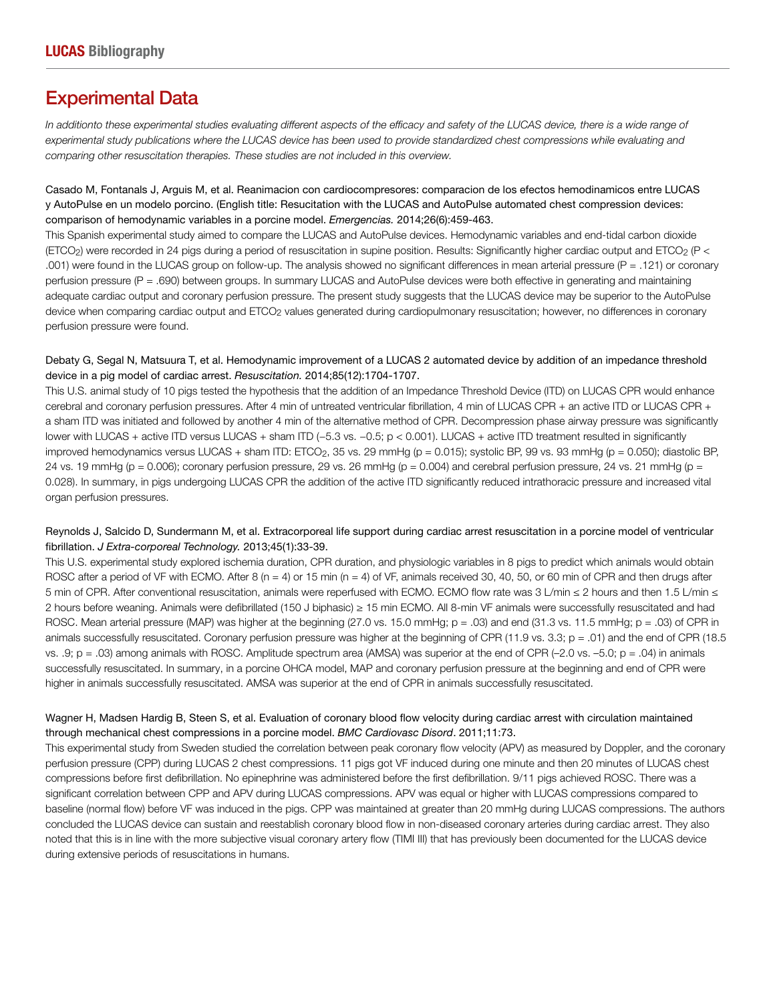## Experimental Data

In additionto these experimental studies evaluating different aspects of the efficacy and safety of the LUCAS device, there is a wide range of experimental study publications where the LUCAS device has been used to provide standardized chest compressions while evaluating and comparing other resuscitation therapies. These studies are not included in this overview.

Casado M, Fontanals J, Arguis M, et al. Reanimacion con cardiocompresores: comparacion de los efectos hemodinamicos entre LUCAS y AutoPulse en un modelo porcino. (English title: Resucitation with the LUCAS and AutoPulse automated chest compression devices: comparison of hemodynamic variables in a porcine model. *Emergencias.* 2014;26(6):459-463.

This Spanish experimental study aimed to compare the LUCAS and AutoPulse devices. Hemodynamic variables and end-tidal carbon dioxide (ETCO2) were recorded in 24 pigs during a period of resuscitation in supine position. Results: Significantly higher cardiac output and ETCO2 (P < .001) were found in the LUCAS group on follow-up. The analysis showed no significant differences in mean arterial pressure (P = .121) or coronary perfusion pressure (P = .690) between groups. In summary LUCAS and AutoPulse devices were both effective in generating and maintaining adequate cardiac output and coronary perfusion pressure. The present study suggests that the LUCAS device may be superior to the AutoPulse device when comparing cardiac output and ETCO<sub>2</sub> values generated during cardiopulmonary resuscitation; however, no differences in coronary perfusion pressure were found.

## Debaty G, Segal N, Matsuura T, et al. Hemodynamic improvement of a LUCAS 2 automated device by addition of an impedance threshold device in a pig model of cardiac arrest. *Resuscitation.* 2014;85(12):1704-1707.

This U.S. animal study of 10 pigs tested the hypothesis that the addition of an Impedance Threshold Device (ITD) on LUCAS CPR would enhance cerebral and coronary perfusion pressures. After 4 min of untreated ventricular fibrillation, 4 min of LUCAS CPR + an active ITD or LUCAS CPR + a sham ITD was initiated and followed by another 4 min of the alternative method of CPR. Decompression phase airway pressure was significantly lower with LUCAS + active ITD versus LUCAS + sham ITD (−5.3 vs. −0.5; p < 0.001). LUCAS + active ITD treatment resulted in significantly improved hemodynamics versus LUCAS + sham ITD: ETCO2, 35 vs. 29 mmHg (p = 0.015); systolic BP, 99 vs. 93 mmHg (p = 0.050); diastolic BP, 24 vs. 19 mmHg ( $p = 0.006$ ); coronary perfusion pressure, 29 vs. 26 mmHg ( $p = 0.004$ ) and cerebral perfusion pressure, 24 vs. 21 mmHg ( $p = 0.006$ ) 0.028). In summary, in pigs undergoing LUCAS CPR the addition of the active ITD significantly reduced intrathoracic pressure and increased vital organ perfusion pressures.

## Reynolds J, Salcido D, Sundermann M, et al. Extracorporeal life support during cardiac arrest resuscitation in a porcine model of ventricular fibrillation. *J Extra-corporeal Technology.* 2013;45(1):33-39.

This U.S. experimental study explored ischemia duration, CPR duration, and physiologic variables in 8 pigs to predict which animals would obtain ROSC after a period of VF with ECMO. After 8 (n = 4) or 15 min (n = 4) of VF, animals received 30, 40, 50, or 60 min of CPR and then drugs after 5 min of CPR. After conventional resuscitation, animals were reperfused with ECMO. ECMO flow rate was 3 L/min ≤ 2 hours and then 1.5 L/min ≤ 2 hours before weaning. Animals were defibrillated (150 J biphasic) ≥ 15 min ECMO. All 8-min VF animals were successfully resuscitated and had ROSC. Mean arterial pressure (MAP) was higher at the beginning (27.0 vs. 15.0 mmHg; p = .03) and end (31.3 vs. 11.5 mmHg; p = .03) of CPR in animals successfully resuscitated. Coronary perfusion pressure was higher at the beginning of CPR (11.9 vs. 3.3; p = .01) and the end of CPR (18.5 vs. .9; p = .03) among animals with ROSC. Amplitude spectrum area (AMSA) was superior at the end of CPR (–2.0 vs. –5.0; p = .04) in animals successfully resuscitated. In summary, in a porcine OHCA model, MAP and coronary perfusion pressure at the beginning and end of CPR were higher in animals successfully resuscitated. AMSA was superior at the end of CPR in animals successfully resuscitated.

## Wagner H, Madsen Hardig B, Steen S, et al. Evaluation of coronary blood flow velocity during cardiac arrest with circulation maintained through mechanical chest compressions in a porcine model. *BMC Cardiovasc Disord*. 2011;11:73.

This experimental study from Sweden studied the correlation between peak coronary flow velocity (APV) as measured by Doppler, and the coronary perfusion pressure (CPP) during LUCAS 2 chest compressions. 11 pigs got VF induced during one minute and then 20 minutes of LUCAS chest compressions before first defibrillation. No epinephrine was administered before the first defibrillation. 9/11 pigs achieved ROSC. There was a significant correlation between CPP and APV during LUCAS compressions. APV was equal or higher with LUCAS compressions compared to baseline (normal flow) before VF was induced in the pigs. CPP was maintained at greater than 20 mmHg during LUCAS compressions. The authors concluded the LUCAS device can sustain and reestablish coronary blood flow in non-diseased coronary arteries during cardiac arrest. They also noted that this is in line with the more subjective visual coronary artery flow (TIMI III) that has previously been documented for the LUCAS device during extensive periods of resuscitations in humans.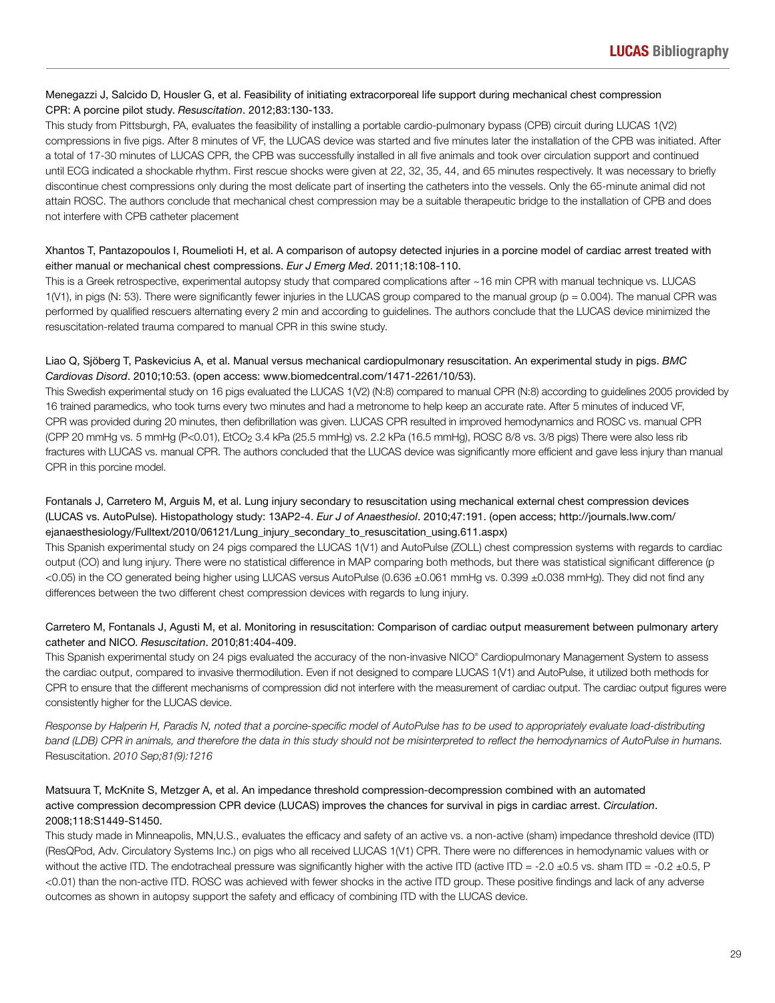## Menegazzi J, Salcido D, Housler G, et al. Feasibility of initiating extracorporeal life support during mechanical chest compression CPR: A porcine pilot study. *Resuscitation*. 2012;83:130-133.

This study from Pittsburgh, PA, evaluates the feasibility of installing a portable cardio-pulmonary bypass (CPB) circuit during LUCAS 1(V2) compressions in five pigs. After 8 minutes of VF, the LUCAS device was started and five minutes later the installation of the CPB was initiated. After a total of 17-30 minutes of LUCAS CPR, the CPB was successfully installed in all five animals and took over circulation support and continued until ECG indicated a shockable rhythm. First rescue shocks were given at 22, 32, 35, 44, and 65 minutes respectively. It was necessary to briefly discontinue chest compressions only during the most delicate part of inserting the catheters into the vessels. Only the 65-minute animal did not attain ROSC. The authors conclude that mechanical chest compression may be a suitable therapeutic bridge to the installation of CPB and does not interfere with CPB catheter placement

## Xhantos T, Pantazopoulos I, Roumelioti H, et al. A comparison of autopsy detected injuries in a porcine model of cardiac arrest treated with either manual or mechanical chest compressions. *Eur J Emerg Med*. 2011;18:108-110.

This is a Greek retrospective, experimental autopsy study that compared complications after ~16 min CPR with manual technique vs. LUCAS 1(V1), in pigs (N: 53). There were significantly fewer injuries in the LUCAS group compared to the manual group (p = 0.004). The manual CPR was performed by qualified rescuers alternating every 2 min and according to guidelines. The authors conclude that the LUCAS device minimized the resuscitation-related trauma compared to manual CPR in this swine study.

## Liao Q, Sjöberg T, Paskevicius A, et al. Manual versus mechanical cardiopulmonary resuscitation. An experimental study in pigs. *BMC Cardiovas Disord*. 2010;10:53. (open access: www.biomedcentral.com/1471-2261/10/53).

This Swedish experimental study on 16 pigs evaluated the LUCAS 1(V2) (N:8) compared to manual CPR (N:8) according to guidelines 2005 provided by 16 trained paramedics, who took turns every two minutes and had a metronome to help keep an accurate rate. After 5 minutes of induced VF, CPR was provided during 20 minutes, then defibrillation was given. LUCAS CPR resulted in improved hemodynamics and ROSC vs. manual CPR (CPP 20 mmHg vs. 5 mmHg (P<0.01), EtCO<sub>2</sub> 3.4 kPa (25.5 mmHg) vs. 2.2 kPa (16.5 mmHg), ROSC 8/8 vs. 3/8 pigs) There were also less rib fractures with LUCAS vs. manual CPR. The authors concluded that the LUCAS device was significantly more efficient and gave less injury than manual CPR in this porcine model.

## Fontanals J, Carretero M, Arguis M, et al. Lung injury secondary to resuscitation using mechanical external chest compression devices (LUCAS vs. AutoPulse). Histopathology study: 13AP2-4. *Eur J of Anaesthesiol*. 2010;47:191. (open access; http://journals.lww.com/ ejanaesthesiology/Fulltext/2010/06121/Lung\_injury\_secondary\_to\_resuscitation\_using.611.aspx)

This Spanish experimental study on 24 pigs compared the LUCAS 1(V1) and AutoPulse (ZOLL) chest compression systems with regards to cardiac output (CO) and lung injury. There were no statistical difference in MAP comparing both methods, but there was statistical significant difference (p <0.05) in the CO generated being higher using LUCAS versus AutoPulse (0.636 ±0.061 mmHg vs. 0.399 ±0.038 mmHg). They did not find any differences between the two different chest compression devices with regards to lung injury.

## Carretero M, Fontanals J, Agusti M, et al. Monitoring in resuscitation: Comparison of cardiac output measurement between pulmonary artery catheter and NICO. *Resuscitation*. 2010;81:404-409.

This Spanish experimental study on 24 pigs evaluated the accuracy of the non-invasive NICO® Cardiopulmonary Management System to assess the cardiac output, compared to invasive thermodilution. Even if not designed to compare LUCAS 1(V1) and AutoPulse, it utilized both methods for CPR to ensure that the different mechanisms of compression did not interfere with the measurement of cardiac output. The cardiac output figures were consistently higher for the LUCAS device.

Response by Halperin H, Paradis N, noted that a porcine-specific model of AutoPulse has to be used to appropriately evaluate load-distributing band (LDB) CPR in animals, and therefore the data in this study should not be misinterpreted to reflect the hemodynamics of AutoPulse in humans. Resuscitation. 2010 Sep;81(9):1216

## Matsuura T, McKnite S, Metzger A, et al. An impedance threshold compression-decompression combined with an automated active compression decompression CPR device (LUCAS) improves the chances for survival in pigs in cardiac arrest. *Circulation*. 2008;118:S1449-S1450.

This study made in Minneapolis, MN,U.S., evaluates the efficacy and safety of an active vs. a non-active (sham) impedance threshold device (ITD) (ResQPod, Adv. Circulatory Systems Inc.) on pigs who all received LUCAS 1(V1) CPR. There were no differences in hemodynamic values with or without the active ITD. The endotracheal pressure was significantly higher with the active ITD (active ITD = -2.0  $\pm$ 0.5 vs. sham ITD = -0.2  $\pm$ 0.5, P <0.01) than the non-active ITD. ROSC was achieved with fewer shocks in the active ITD group. These positive findings and lack of any adverse outcomes as shown in autopsy support the safety and efficacy of combining ITD with the LUCAS device.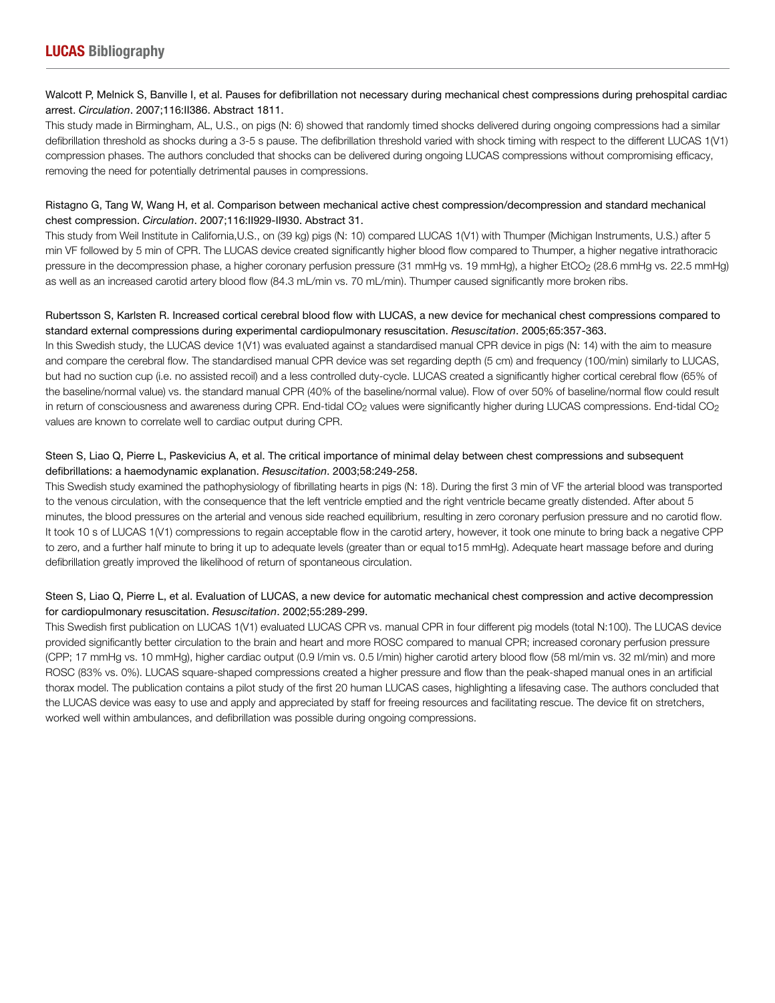## Walcott P, Melnick S, Banville I, et al. Pauses for defibrillation not necessary during mechanical chest compressions during prehospital cardiac arrest. *Circulation*. 2007;116:II386. Abstract 1811.

This study made in Birmingham, AL, U.S., on pigs (N: 6) showed that randomly timed shocks delivered during ongoing compressions had a similar defibrillation threshold as shocks during a 3-5 s pause. The defibrillation threshold varied with shock timing with respect to the different LUCAS 1(V1) compression phases. The authors concluded that shocks can be delivered during ongoing LUCAS compressions without compromising efficacy, removing the need for potentially detrimental pauses in compressions.

## Ristagno G, Tang W, Wang H, et al. Comparison between mechanical active chest compression/decompression and standard mechanical chest compression. *Circulation*. 2007;116:II929-II930. Abstract 31.

This study from Weil Institute in California,U.S., on (39 kg) pigs (N: 10) compared LUCAS 1(V1) with Thumper (Michigan Instruments, U.S.) after 5 min VF followed by 5 min of CPR. The LUCAS device created significantly higher blood flow compared to Thumper, a higher negative intrathoracic pressure in the decompression phase, a higher coronary perfusion pressure (31 mmHg vs. 19 mmHg), a higher EtCO<sub>2</sub> (28.6 mmHg vs. 22.5 mmHg) as well as an increased carotid artery blood flow (84.3 mL/min vs. 70 mL/min). Thumper caused significantly more broken ribs.

## Rubertsson S, Karlsten R. Increased cortical cerebral blood flow with LUCAS, a new device for mechanical chest compressions compared to standard external compressions during experimental cardiopulmonary resuscitation. *Resuscitation*. 2005;65:357-363.

In this Swedish study, the LUCAS device 1(V1) was evaluated against a standardised manual CPR device in pigs (N: 14) with the aim to measure and compare the cerebral flow. The standardised manual CPR device was set regarding depth (5 cm) and frequency (100/min) similarly to LUCAS, but had no suction cup (i.e. no assisted recoil) and a less controlled duty-cycle. LUCAS created a significantly higher cortical cerebral flow (65% of the baseline/normal value) vs. the standard manual CPR (40% of the baseline/normal value). Flow of over 50% of baseline/normal flow could result in return of consciousness and awareness during CPR. End-tidal CO<sub>2</sub> values were significantly higher during LUCAS compressions. End-tidal CO<sub>2</sub> values are known to correlate well to cardiac output during CPR.

## Steen S, Liao Q, Pierre L, Paskevicius A, et al. The critical importance of minimal delay between chest compressions and subsequent defibrillations: a haemodynamic explanation. *Resuscitation*. 2003;58:249-258.

This Swedish study examined the pathophysiology of fibrillating hearts in pigs (N: 18). During the first 3 min of VF the arterial blood was transported to the venous circulation, with the consequence that the left ventricle emptied and the right ventricle became greatly distended. After about 5 minutes, the blood pressures on the arterial and venous side reached equilibrium, resulting in zero coronary perfusion pressure and no carotid flow. It took 10 s of LUCAS 1(V1) compressions to regain acceptable flow in the carotid artery, however, it took one minute to bring back a negative CPP to zero, and a further half minute to bring it up to adequate levels (greater than or equal to15 mmHg). Adequate heart massage before and during defibrillation greatly improved the likelihood of return of spontaneous circulation.

## Steen S, Liao Q, Pierre L, et al. Evaluation of LUCAS, a new device for automatic mechanical chest compression and active decompression for cardiopulmonary resuscitation. *Resuscitation*. 2002;55:289-299.

This Swedish first publication on LUCAS 1(V1) evaluated LUCAS CPR vs. manual CPR in four different pig models (total N:100). The LUCAS device provided significantly better circulation to the brain and heart and more ROSC compared to manual CPR; increased coronary perfusion pressure (CPP; 17 mmHg vs. 10 mmHg), higher cardiac output (0.9 l/min vs. 0.5 l/min) higher carotid artery blood flow (58 ml/min vs. 32 ml/min) and more ROSC (83% vs. 0%). LUCAS square-shaped compressions created a higher pressure and flow than the peak-shaped manual ones in an artificial thorax model. The publication contains a pilot study of the first 20 human LUCAS cases, highlighting a lifesaving case. The authors concluded that the LUCAS device was easy to use and apply and appreciated by staff for freeing resources and facilitating rescue. The device fit on stretchers, worked well within ambulances, and defibrillation was possible during ongoing compressions.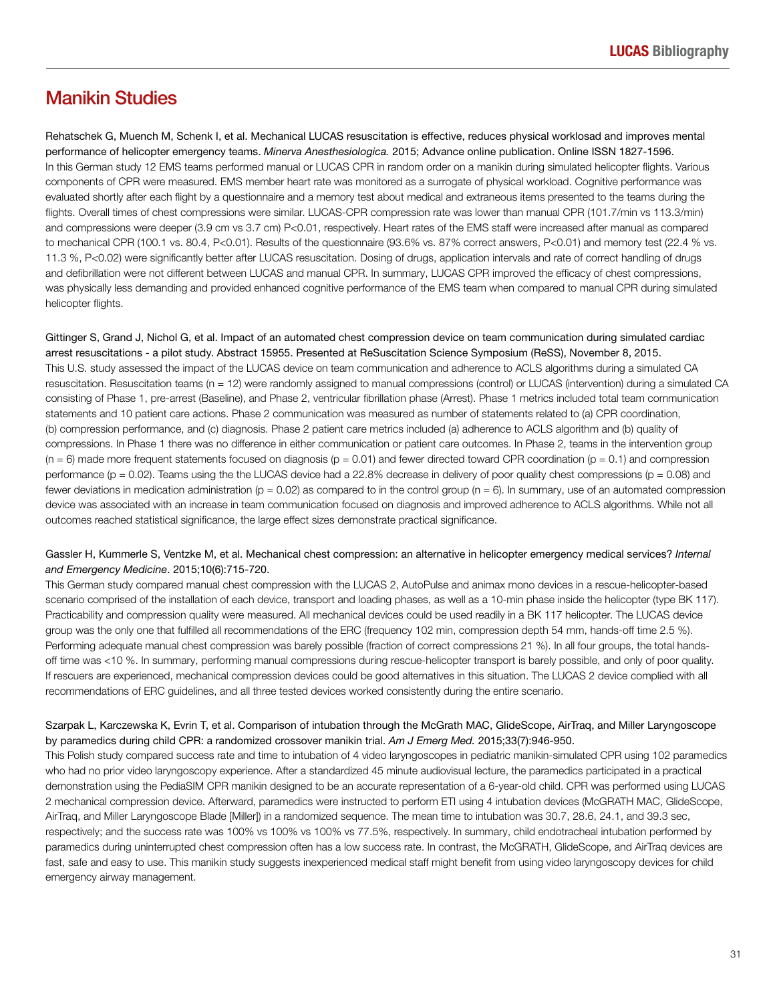## Manikin Studies

Rehatschek G, Muench M, Schenk I, et al. Mechanical LUCAS resuscitation is effective, reduces physical worklosad and improves mental performance of helicopter emergency teams. *Minerva Anesthesiologica.* 2015; Advance online publication. Online ISSN 1827-1596. In this German study 12 EMS teams performed manual or LUCAS CPR in random order on a manikin during simulated helicopter flights. Various components of CPR were measured. EMS member heart rate was monitored as a surrogate of physical workload. Cognitive performance was evaluated shortly after each flight by a questionnaire and a memory test about medical and extraneous items presented to the teams during the flights. Overall times of chest compressions were similar. LUCAS-CPR compression rate was lower than manual CPR (101.7/min vs 113.3/min) and compressions were deeper (3.9 cm vs 3.7 cm) P<0.01, respectively. Heart rates of the EMS staff were increased after manual as compared to mechanical CPR (100.1 vs. 80.4, P<0.01). Results of the questionnaire (93.6% vs. 87% correct answers, P<0.01) and memory test (22.4 % vs. 11.3 %, P<0.02) were significantly better after LUCAS resuscitation. Dosing of drugs, application intervals and rate of correct handling of drugs and defibrillation were not different between LUCAS and manual CPR. In summary, LUCAS CPR improved the efficacy of chest compressions, was physically less demanding and provided enhanced cognitive performance of the EMS team when compared to manual CPR during simulated helicopter flights.

Gittinger S, Grand J, Nichol G, et al. Impact of an automated chest compression device on team communication during simulated cardiac arrest resuscitations - a pilot study. Abstract 15955. Presented at ReSuscitation Science Symposium (ReSS), November 8, 2015. This U.S. study assessed the impact of the LUCAS device on team communication and adherence to ACLS algorithms during a simulated CA resuscitation. Resuscitation teams (n = 12) were randomly assigned to manual compressions (control) or LUCAS (intervention) during a simulated CA consisting of Phase 1, pre-arrest (Baseline), and Phase 2, ventricular fibrillation phase (Arrest). Phase 1 metrics included total team communication statements and 10 patient care actions. Phase 2 communication was measured as number of statements related to (a) CPR coordination, (b) compression performance, and (c) diagnosis. Phase 2 patient care metrics included (a) adherence to ACLS algorithm and (b) quality of compressions. In Phase 1 there was no difference in either communication or patient care outcomes. In Phase 2, teams in the intervention group  $(n = 6)$  made more frequent statements focused on diagnosis  $(p = 0.01)$  and fewer directed toward CPR coordination  $(p = 0.1)$  and compression performance ( $p = 0.02$ ). Teams using the the LUCAS device had a 22.8% decrease in delivery of poor quality chest compressions ( $p = 0.08$ ) and fewer deviations in medication administration ( $p = 0.02$ ) as compared to in the control group ( $n = 6$ ). In summary, use of an automated compression device was associated with an increase in team communication focused on diagnosis and improved adherence to ACLS algorithms. While not all outcomes reached statistical significance, the large effect sizes demonstrate practical significance.

### Gassler H, Kummerle S, Ventzke M, et al. Mechanical chest compression: an alternative in helicopter emergency medical services? *Internal and Emergency Medicine*. 2015;10(6):715-720.

This German study compared manual chest compression with the LUCAS 2, AutoPulse and animax mono devices in a rescue-helicopter-based scenario comprised of the installation of each device, transport and loading phases, as well as a 10-min phase inside the helicopter (type BK 117). Practicability and compression quality were measured. All mechanical devices could be used readily in a BK 117 helicopter. The LUCAS device group was the only one that fulfilled all recommendations of the ERC (frequency 102 min, compression depth 54 mm, hands-off time 2.5 %). Performing adequate manual chest compression was barely possible (fraction of correct compressions 21 %). In all four groups, the total handsoff time was <10 %. In summary, performing manual compressions during rescue-helicopter transport is barely possible, and only of poor quality. If rescuers are experienced, mechanical compression devices could be good alternatives in this situation. The LUCAS 2 device complied with all recommendations of ERC guidelines, and all three tested devices worked consistently during the entire scenario.

## Szarpak L, Karczewska K, Evrin T, et al. Comparison of intubation through the McGrath MAC, GlideScope, AirTraq, and Miller Laryngoscope by paramedics during child CPR: a randomized crossover manikin trial. *Am J Emerg Med.* 2015;33(7):946-950.

This Polish study compared success rate and time to intubation of 4 video laryngoscopes in pediatric manikin-simulated CPR using 102 paramedics who had no prior video laryngoscopy experience. After a standardized 45 minute audiovisual lecture, the paramedics participated in a practical demonstration using the PediaSIM CPR manikin designed to be an accurate representation of a 6-year-old child. CPR was performed using LUCAS 2 mechanical compression device. Afterward, paramedics were instructed to perform ETI using 4 intubation devices (McGRATH MAC, GlideScope, AirTraq, and Miller Laryngoscope Blade [Miller]) in a randomized sequence. The mean time to intubation was 30.7, 28.6, 24.1, and 39.3 sec, respectively; and the success rate was 100% vs 100% vs 100% vs 77.5%, respectively. In summary, child endotracheal intubation performed by paramedics during uninterrupted chest compression often has a low success rate. In contrast, the McGRATH, GlideScope, and AirTraq devices are fast, safe and easy to use. This manikin study suggests inexperienced medical staff might benefit from using video laryngoscopy devices for child emergency airway management.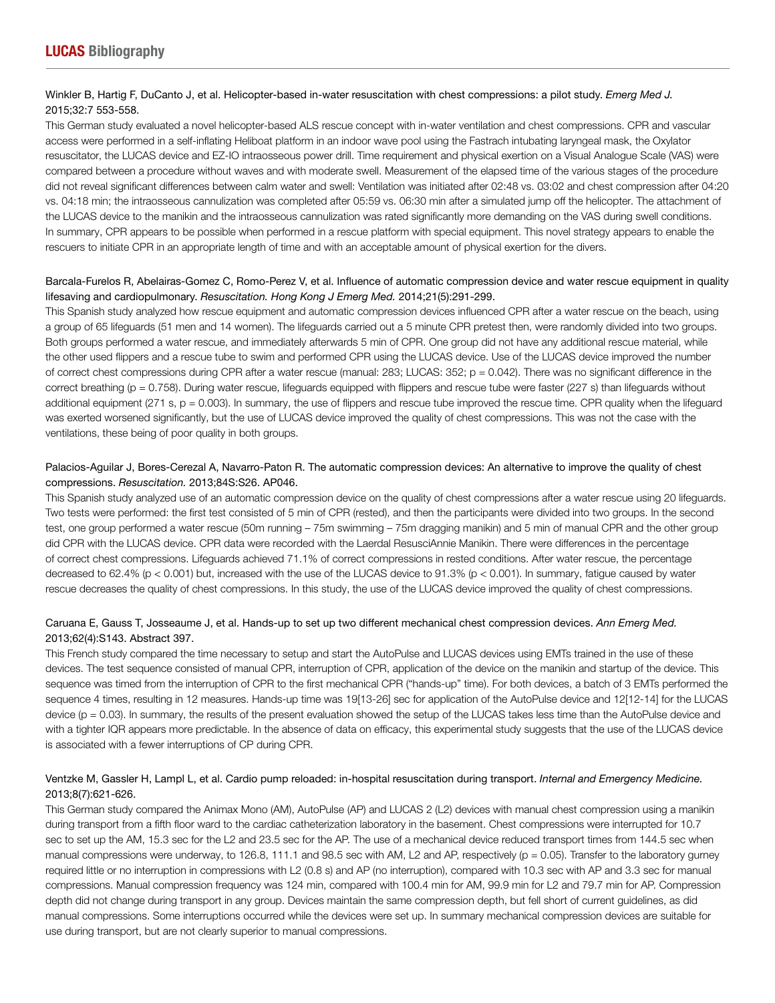### Winkler B, Hartig F, DuCanto J, et al. Helicopter-based in-water resuscitation with chest compressions: a pilot study. *Emerg Med J.*  2015;32:7 553-558.

This German study evaluated a novel helicopter-based ALS rescue concept with in-water ventilation and chest compressions. CPR and vascular access were performed in a self-inflating Heliboat platform in an indoor wave pool using the Fastrach intubating laryngeal mask, the Oxylator resuscitator, the LUCAS device and EZ-IO intraosseous power drill. Time requirement and physical exertion on a Visual Analogue Scale (VAS) were compared between a procedure without waves and with moderate swell. Measurement of the elapsed time of the various stages of the procedure did not reveal significant differences between calm water and swell: Ventilation was initiated after 02:48 vs. 03:02 and chest compression after 04:20 vs. 04:18 min; the intraosseous cannulization was completed after 05:59 vs. 06:30 min after a simulated jump off the helicopter. The attachment of the LUCAS device to the manikin and the intraosseous cannulization was rated significantly more demanding on the VAS during swell conditions. In summary, CPR appears to be possible when performed in a rescue platform with special equipment. This novel strategy appears to enable the rescuers to initiate CPR in an appropriate length of time and with an acceptable amount of physical exertion for the divers.

## Barcala-Furelos R, Abelairas-Gomez C, Romo-Perez V, et al. Influence of automatic compression device and water rescue equipment in quality lifesaving and cardiopulmonary. *Resuscitation. Hong Kong J Emerg Med.* 2014;21(5):291-299.

This Spanish study analyzed how rescue equipment and automatic compression devices influenced CPR after a water rescue on the beach, using a group of 65 lifeguards (51 men and 14 women). The lifeguards carried out a 5 minute CPR pretest then, were randomly divided into two groups. Both groups performed a water rescue, and immediately afterwards 5 min of CPR. One group did not have any additional rescue material, while the other used flippers and a rescue tube to swim and performed CPR using the LUCAS device. Use of the LUCAS device improved the number of correct chest compressions during CPR after a water rescue (manual: 283; LUCAS: 352; p = 0.042). There was no significant difference in the correct breathing (p = 0.758). During water rescue, lifeguards equipped with flippers and rescue tube were faster (227 s) than lifeguards without additional equipment (271 s, p = 0.003). In summary, the use of flippers and rescue tube improved the rescue time. CPR quality when the lifeguard was exerted worsened significantly, but the use of LUCAS device improved the quality of chest compressions. This was not the case with the ventilations, these being of poor quality in both groups.

## Palacios-Aguilar J, Bores-Cerezal A, Navarro-Paton R. The automatic compression devices: An alternative to improve the quality of chest compressions. *Resuscitation.* 2013;84S:S26. AP046.

This Spanish study analyzed use of an automatic compression device on the quality of chest compressions after a water rescue using 20 lifeguards. Two tests were performed: the first test consisted of 5 min of CPR (rested), and then the participants were divided into two groups. In the second test, one group performed a water rescue (50m running – 75m swimming – 75m dragging manikin) and 5 min of manual CPR and the other group did CPR with the LUCAS device. CPR data were recorded with the Laerdal ResusciAnnie Manikin. There were differences in the percentage of correct chest compressions. Lifeguards achieved 71.1% of correct compressions in rested conditions. After water rescue, the percentage decreased to 62.4% (p < 0.001) but, increased with the use of the LUCAS device to 91.3% (p < 0.001). In summary, fatigue caused by water rescue decreases the quality of chest compressions. In this study, the use of the LUCAS device improved the quality of chest compressions.

## Caruana E, Gauss T, Josseaume J, et al. Hands-up to set up two different mechanical chest compression devices. *Ann Emerg Med.*  2013;62(4):S143. Abstract 397.

This French study compared the time necessary to setup and start the AutoPulse and LUCAS devices using EMTs trained in the use of these devices. The test sequence consisted of manual CPR, interruption of CPR, application of the device on the manikin and startup of the device. This sequence was timed from the interruption of CPR to the first mechanical CPR ("hands-up" time). For both devices, a batch of 3 EMTs performed the sequence 4 times, resulting in 12 measures. Hands-up time was 19[13-26] sec for application of the AutoPulse device and 12[12-14] for the LUCAS device (p = 0.03). In summary, the results of the present evaluation showed the setup of the LUCAS takes less time than the AutoPulse device and with a tighter IQR appears more predictable. In the absence of data on efficacy, this experimental study suggests that the use of the LUCAS device is associated with a fewer interruptions of CP during CPR.

## Ventzke M, Gassler H, Lampl L, et al. Cardio pump reloaded: in-hospital resuscitation during transport. *Internal and Emergency Medicine.*  2013;8(7):621-626.

This German study compared the Animax Mono (AM), AutoPulse (AP) and LUCAS 2 (L2) devices with manual chest compression using a manikin during transport from a fifth floor ward to the cardiac catheterization laboratory in the basement. Chest compressions were interrupted for 10.7 sec to set up the AM, 15.3 sec for the L2 and 23.5 sec for the AP. The use of a mechanical device reduced transport times from 144.5 sec when manual compressions were underway, to 126.8, 111.1 and 98.5 sec with AM, L2 and AP, respectively (p = 0.05). Transfer to the laboratory gurney required little or no interruption in compressions with L2 (0.8 s) and AP (no interruption), compared with 10.3 sec with AP and 3.3 sec for manual compressions. Manual compression frequency was 124 min, compared with 100.4 min for AM, 99.9 min for L2 and 79.7 min for AP. Compression depth did not change during transport in any group. Devices maintain the same compression depth, but fell short of current guidelines, as did manual compressions. Some interruptions occurred while the devices were set up. In summary mechanical compression devices are suitable for use during transport, but are not clearly superior to manual compressions.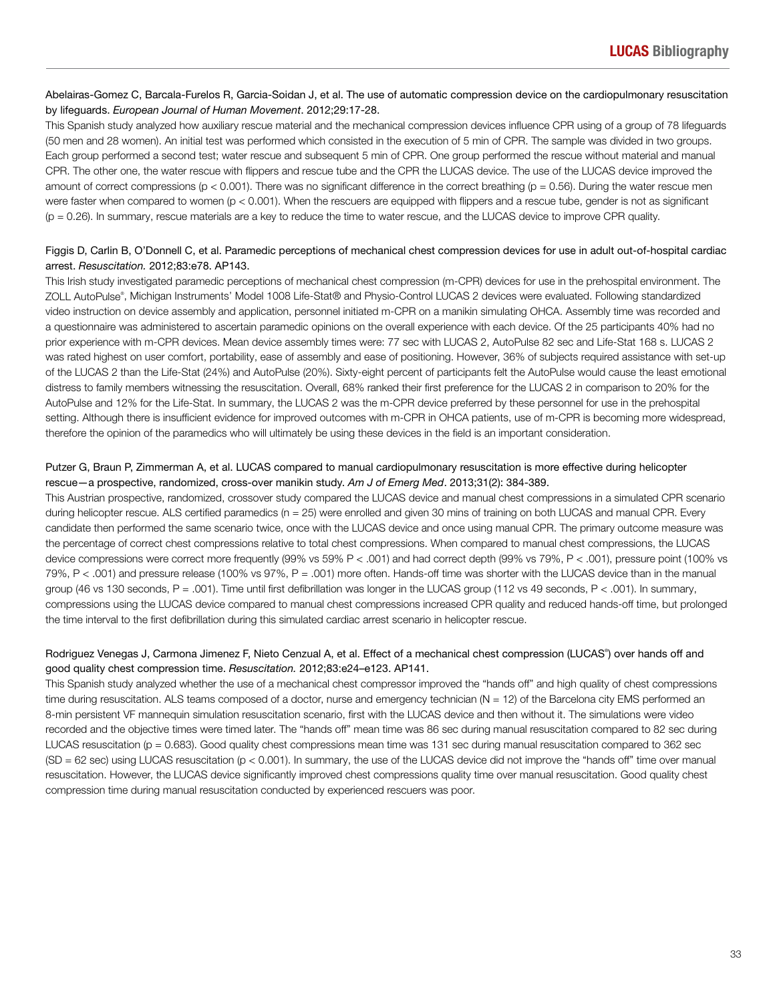#### Abelairas-Gomez C, Barcala-Furelos R, Garcia-Soidan J, et al. The use of automatic compression device on the cardiopulmonary resuscitation by lifeguards. *European Journal of Human Movement*. 2012;29:17-28.

This Spanish study analyzed how auxiliary rescue material and the mechanical compression devices influence CPR using of a group of 78 lifeguards (50 men and 28 women). An initial test was performed which consisted in the execution of 5 min of CPR. The sample was divided in two groups. Each group performed a second test; water rescue and subsequent 5 min of CPR. One group performed the rescue without material and manual CPR. The other one, the water rescue with flippers and rescue tube and the CPR the LUCAS device. The use of the LUCAS device improved the amount of correct compressions ( $p < 0.001$ ). There was no significant difference in the correct breathing ( $p = 0.56$ ). During the water rescue men were faster when compared to women (p < 0.001). When the rescuers are equipped with flippers and a rescue tube, gender is not as significant (p = 0.26). In summary, rescue materials are a key to reduce the time to water rescue, and the LUCAS device to improve CPR quality.

## Figgis D, Carlin B, O'Donnell C, et al. Paramedic perceptions of mechanical chest compression devices for use in adult out-of-hospital cardiac arrest. *Resuscitation.* 2012;83:e78. AP143.

This Irish study investigated paramedic perceptions of mechanical chest compression (m-CPR) devices for use in the prehospital environment. The ZOLL AutoPulse® , Michigan Instruments' Model 1008 Life-Stat® and Physio-Control LUCAS 2 devices were evaluated. Following standardized video instruction on device assembly and application, personnel initiated m-CPR on a manikin simulating OHCA. Assembly time was recorded and a questionnaire was administered to ascertain paramedic opinions on the overall experience with each device. Of the 25 participants 40% had no prior experience with m-CPR devices. Mean device assembly times were: 77 sec with LUCAS 2, AutoPulse 82 sec and Life-Stat 168 s. LUCAS 2 was rated highest on user comfort, portability, ease of assembly and ease of positioning. However, 36% of subjects required assistance with set-up of the LUCAS 2 than the Life-Stat (24%) and AutoPulse (20%). Sixty-eight percent of participants felt the AutoPulse would cause the least emotional distress to family members witnessing the resuscitation. Overall, 68% ranked their first preference for the LUCAS 2 in comparison to 20% for the AutoPulse and 12% for the Life-Stat. In summary, the LUCAS 2 was the m-CPR device preferred by these personnel for use in the prehospital setting. Although there is insufficient evidence for improved outcomes with m-CPR in OHCA patients, use of m-CPR is becoming more widespread, therefore the opinion of the paramedics who will ultimately be using these devices in the field is an important consideration.

## Putzer G, Braun P, Zimmerman A, et al. LUCAS compared to manual cardiopulmonary resuscitation is more effective during helicopter rescue—a prospective, randomized, cross-over manikin study. *Am J of Emerg Med*. 2013;31(2): 384-389.

This Austrian prospective, randomized, crossover study compared the LUCAS device and manual chest compressions in a simulated CPR scenario during helicopter rescue. ALS certified paramedics (n = 25) were enrolled and given 30 mins of training on both LUCAS and manual CPR. Every candidate then performed the same scenario twice, once with the LUCAS device and once using manual CPR. The primary outcome measure was the percentage of correct chest compressions relative to total chest compressions. When compared to manual chest compressions, the LUCAS device compressions were correct more frequently (99% vs 59% P < .001) and had correct depth (99% vs 79%, P < .001), pressure point (100% vs 79%, P < .001) and pressure release (100% vs 97%, P = .001) more often. Hands-off time was shorter with the LUCAS device than in the manual group (46 vs 130 seconds, P = .001). Time until first defibrillation was longer in the LUCAS group (112 vs 49 seconds, P < .001). In summary, compressions using the LUCAS device compared to manual chest compressions increased CPR quality and reduced hands-off time, but prolonged the time interval to the first defibrillation during this simulated cardiac arrest scenario in helicopter rescue.

## Rodriguez Venegas J, Carmona Jimenez F, Nieto Cenzual A, et al. Effect of a mechanical chest compression (LUCAS®) over hands off and good quality chest compression time. *Resuscitation.* 2012;83:e24–e123. AP141.

This Spanish study analyzed whether the use of a mechanical chest compressor improved the "hands off" and high quality of chest compressions time during resuscitation. ALS teams composed of a doctor, nurse and emergency technician (N = 12) of the Barcelona city EMS performed an 8-min persistent VF mannequin simulation resuscitation scenario, first with the LUCAS device and then without it. The simulations were video recorded and the objective times were timed later. The "hands off" mean time was 86 sec during manual resuscitation compared to 82 sec during LUCAS resuscitation (p = 0.683). Good quality chest compressions mean time was 131 sec during manual resuscitation compared to 362 sec (SD = 62 sec) using LUCAS resuscitation (p < 0.001). In summary, the use of the LUCAS device did not improve the "hands off" time over manual resuscitation. However, the LUCAS device significantly improved chest compressions quality time over manual resuscitation. Good quality chest compression time during manual resuscitation conducted by experienced rescuers was poor.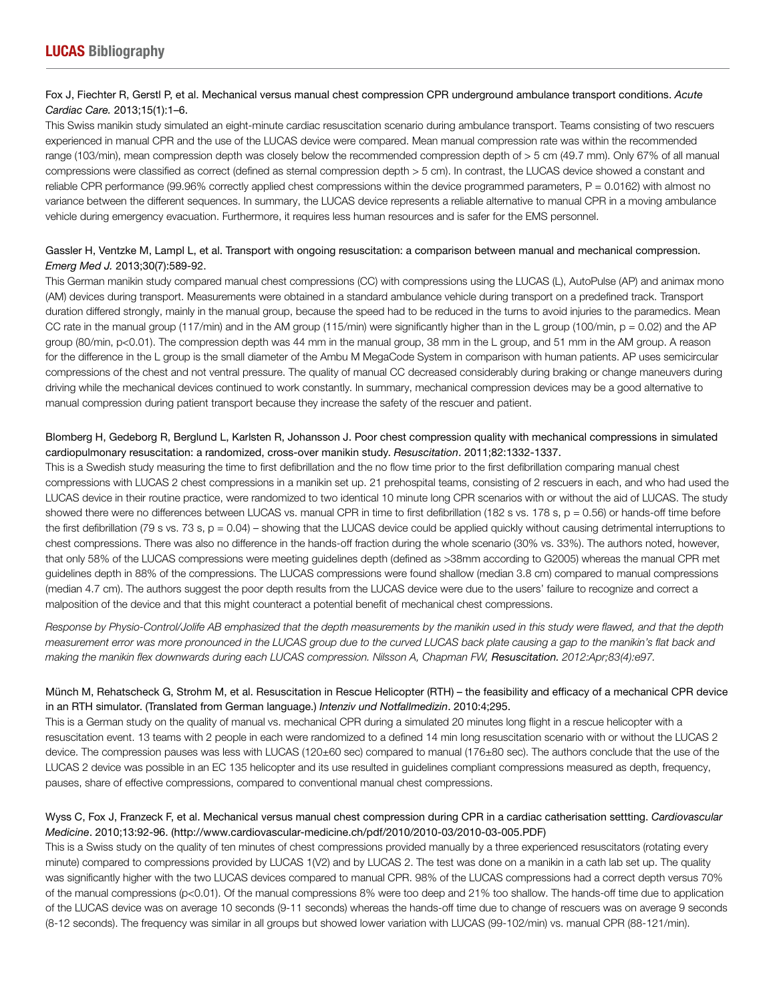## Fox J, Fiechter R, Gerstl P, et al. Mechanical versus manual chest compression CPR underground ambulance transport conditions. *Acute Cardiac Care.* 2013;15(1):1–6.

This Swiss manikin study simulated an eight-minute cardiac resuscitation scenario during ambulance transport. Teams consisting of two rescuers experienced in manual CPR and the use of the LUCAS device were compared. Mean manual compression rate was within the recommended range (103/min), mean compression depth was closely below the recommended compression depth of > 5 cm (49.7 mm). Only 67% of all manual compressions were classified as correct (defined as sternal compression depth > 5 cm). In contrast, the LUCAS device showed a constant and reliable CPR performance (99.96% correctly applied chest compressions within the device programmed parameters,  $P = 0.0162$ ) with almost no variance between the different sequences. In summary, the LUCAS device represents a reliable alternative to manual CPR in a moving ambulance vehicle during emergency evacuation. Furthermore, it requires less human resources and is safer for the EMS personnel.

## Gassler H, Ventzke M, Lampl L, et al. Transport with ongoing resuscitation: a comparison between manual and mechanical compression. *Emerg Med J.* 2013;30(7):589-92.

This German manikin study compared manual chest compressions (CC) with compressions using the LUCAS (L), AutoPulse (AP) and animax mono (AM) devices during transport. Measurements were obtained in a standard ambulance vehicle during transport on a predefined track. Transport duration differed strongly, mainly in the manual group, because the speed had to be reduced in the turns to avoid injuries to the paramedics. Mean CC rate in the manual group (117/min) and in the AM group (115/min) were significantly higher than in the L group (100/min,  $p = 0.02$ ) and the AP group (80/min, p<0.01). The compression depth was 44 mm in the manual group, 38 mm in the L group, and 51 mm in the AM group. A reason for the difference in the L group is the small diameter of the Ambu M MegaCode System in comparison with human patients. AP uses semicircular compressions of the chest and not ventral pressure. The quality of manual CC decreased considerably during braking or change maneuvers during driving while the mechanical devices continued to work constantly. In summary, mechanical compression devices may be a good alternative to manual compression during patient transport because they increase the safety of the rescuer and patient.

## Blomberg H, Gedeborg R, Berglund L, Karlsten R, Johansson J. Poor chest compression quality with mechanical compressions in simulated cardiopulmonary resuscitation: a randomized, cross-over manikin study. *Resuscitation*. 2011;82:1332-1337.

This is a Swedish study measuring the time to first defibrillation and the no flow time prior to the first defibrillation comparing manual chest compressions with LUCAS 2 chest compressions in a manikin set up. 21 prehospital teams, consisting of 2 rescuers in each, and who had used the LUCAS device in their routine practice, were randomized to two identical 10 minute long CPR scenarios with or without the aid of LUCAS. The study showed there were no differences between LUCAS vs. manual CPR in time to first defibrillation (182 s vs. 178 s, p = 0.56) or hands-off time before the first defibrillation (79 s vs. 73 s, p = 0.04) – showing that the LUCAS device could be applied quickly without causing detrimental interruptions to chest compressions. There was also no difference in the hands-off fraction during the whole scenario (30% vs. 33%). The authors noted, however, that only 58% of the LUCAS compressions were meeting guidelines depth (defined as >38mm according to G2005) whereas the manual CPR met guidelines depth in 88% of the compressions. The LUCAS compressions were found shallow (median 3.8 cm) compared to manual compressions (median 4.7 cm). The authors suggest the poor depth results from the LUCAS device were due to the users' failure to recognize and correct a malposition of the device and that this might counteract a potential benefit of mechanical chest compressions.

Response by Physio-Control/Jolife AB emphasized that the depth measurements by the manikin used in this study were flawed, and that the depth measurement error was more pronounced in the LUCAS group due to the curved LUCAS back plate causing a gap to the manikin's flat back and making the manikin flex downwards during each LUCAS compression. Nilsson A, Chapman FW, *Resuscitation.* 2012:Apr;83(4):e97.

## Münch M, Rehatscheck G, Strohm M, et al. Resuscitation in Rescue Helicopter (RTH) – the feasibility and efficacy of a mechanical CPR device in an RTH simulator. (Translated from German language.) *Intenziv und Notfallmedizin*. 2010:4;295.

This is a German study on the quality of manual vs. mechanical CPR during a simulated 20 minutes long flight in a rescue helicopter with a resuscitation event. 13 teams with 2 people in each were randomized to a defined 14 min long resuscitation scenario with or without the LUCAS 2 device. The compression pauses was less with LUCAS (120±60 sec) compared to manual (176±80 sec). The authors conclude that the use of the LUCAS 2 device was possible in an EC 135 helicopter and its use resulted in guidelines compliant compressions measured as depth, frequency, pauses, share of effective compressions, compared to conventional manual chest compressions.

## Wyss C, Fox J, Franzeck F, et al. Mechanical versus manual chest compression during CPR in a cardiac catherisation settting. *Cardiovascular Medicine*. 2010;13:92-96. (http://www.cardiovascular-medicine.ch/pdf/2010/2010-03/2010-03-005.PDF)

This is a Swiss study on the quality of ten minutes of chest compressions provided manually by a three experienced resuscitators (rotating every minute) compared to compressions provided by LUCAS 1(V2) and by LUCAS 2. The test was done on a manikin in a cath lab set up. The quality was significantly higher with the two LUCAS devices compared to manual CPR. 98% of the LUCAS compressions had a correct depth versus 70% of the manual compressions (p<0.01). Of the manual compressions 8% were too deep and 21% too shallow. The hands-off time due to application of the LUCAS device was on average 10 seconds (9-11 seconds) whereas the hands-off time due to change of rescuers was on average 9 seconds (8-12 seconds). The frequency was similar in all groups but showed lower variation with LUCAS (99-102/min) vs. manual CPR (88-121/min).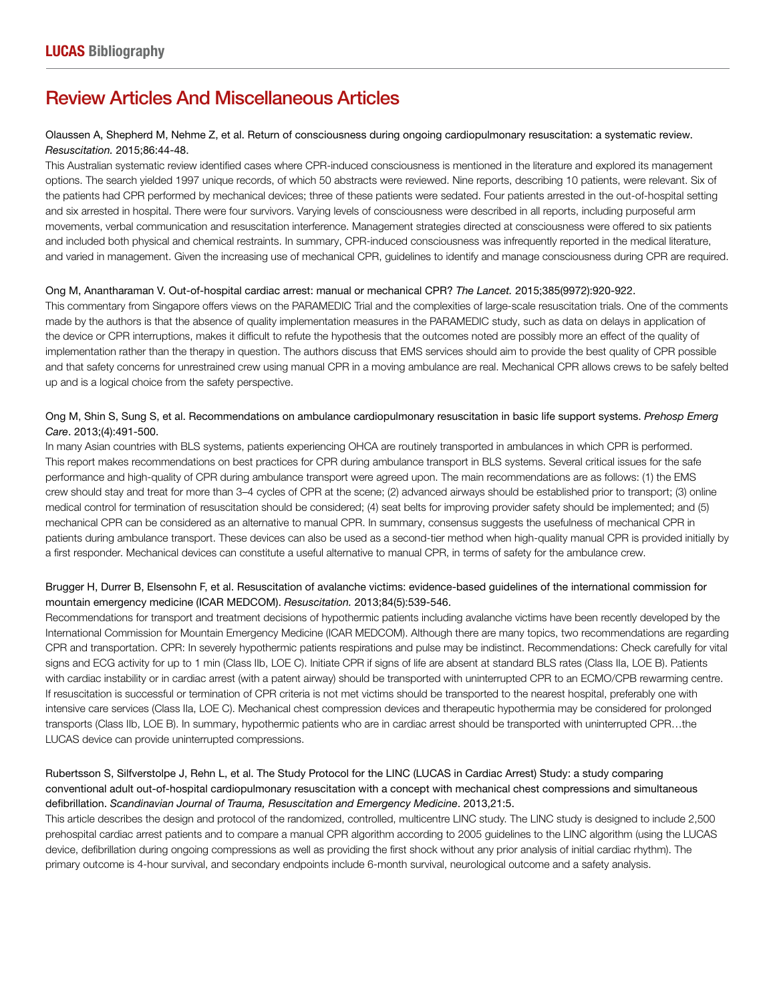## Review Articles And Miscellaneous Articles

## Olaussen A, Shepherd M, Nehme Z, et al. Return of consciousness during ongoing cardiopulmonary resuscitation: a systematic review. *Resuscitation.* 2015;86:44-48.

This Australian systematic review identified cases where CPR-induced consciousness is mentioned in the literature and explored its management options. The search yielded 1997 unique records, of which 50 abstracts were reviewed. Nine reports, describing 10 patients, were relevant. Six of the patients had CPR performed by mechanical devices; three of these patients were sedated. Four patients arrested in the out-of-hospital setting and six arrested in hospital. There were four survivors. Varying levels of consciousness were described in all reports, including purposeful arm movements, verbal communication and resuscitation interference. Management strategies directed at consciousness were offered to six patients and included both physical and chemical restraints. In summary, CPR-induced consciousness was infrequently reported in the medical literature, and varied in management. Given the increasing use of mechanical CPR, guidelines to identify and manage consciousness during CPR are required.

#### Ong M, Anantharaman V. Out-of-hospital cardiac arrest: manual or mechanical CPR? *The Lancet.* 2015;385(9972):920-922.

This commentary from Singapore offers views on the PARAMEDIC Trial and the complexities of large-scale resuscitation trials. One of the comments made by the authors is that the absence of quality implementation measures in the PARAMEDIC study, such as data on delays in application of the device or CPR interruptions, makes it difficult to refute the hypothesis that the outcomes noted are possibly more an effect of the quality of implementation rather than the therapy in question. The authors discuss that EMS services should aim to provide the best quality of CPR possible and that safety concerns for unrestrained crew using manual CPR in a moving ambulance are real. Mechanical CPR allows crews to be safely belted up and is a logical choice from the safety perspective.

## Ong M, Shin S, Sung S, et al. Recommendations on ambulance cardiopulmonary resuscitation in basic life support systems. *Prehosp Emerg Care*. 2013;(4):491-500.

In many Asian countries with BLS systems, patients experiencing OHCA are routinely transported in ambulances in which CPR is performed. This report makes recommendations on best practices for CPR during ambulance transport in BLS systems. Several critical issues for the safe performance and high-quality of CPR during ambulance transport were agreed upon. The main recommendations are as follows: (1) the EMS crew should stay and treat for more than 3–4 cycles of CPR at the scene; (2) advanced airways should be established prior to transport; (3) online medical control for termination of resuscitation should be considered; (4) seat belts for improving provider safety should be implemented; and (5) mechanical CPR can be considered as an alternative to manual CPR. In summary, consensus suggests the usefulness of mechanical CPR in patients during ambulance transport. These devices can also be used as a second-tier method when high-quality manual CPR is provided initially by a first responder. Mechanical devices can constitute a useful alternative to manual CPR, in terms of safety for the ambulance crew.

## Brugger H, Durrer B, Elsensohn F, et al. Resuscitation of avalanche victims: evidence-based guidelines of the international commission for mountain emergency medicine (ICAR MEDCOM). *Resuscitation.* 2013;84(5):539-546.

Recommendations for transport and treatment decisions of hypothermic patients including avalanche victims have been recently developed by the International Commission for Mountain Emergency Medicine (ICAR MEDCOM). Although there are many topics, two recommendations are regarding CPR and transportation. CPR: In severely hypothermic patients respirations and pulse may be indistinct. Recommendations: Check carefully for vital signs and ECG activity for up to 1 min (Class IIb, LOE C). Initiate CPR if signs of life are absent at standard BLS rates (Class IIa, LOE B). Patients with cardiac instability or in cardiac arrest (with a patent airway) should be transported with uninterrupted CPR to an ECMO/CPB rewarming centre. If resuscitation is successful or termination of CPR criteria is not met victims should be transported to the nearest hospital, preferably one with intensive care services (Class IIa, LOE C). Mechanical chest compression devices and therapeutic hypothermia may be considered for prolonged transports (Class IIb, LOE B). In summary, hypothermic patients who are in cardiac arrest should be transported with uninterrupted CPR…the LUCAS device can provide uninterrupted compressions.

## Rubertsson S, Silfverstolpe J, Rehn L, et al. The Study Protocol for the LINC (LUCAS in Cardiac Arrest) Study: a study comparing conventional adult out-of-hospital cardiopulmonary resuscitation with a concept with mechanical chest compressions and simultaneous defibrillation. *Scandinavian Journal of Trauma, Resuscitation and Emergency Medicine*. 2013,21:5.

This article describes the design and protocol of the randomized, controlled, multicentre LINC study. The LINC study is designed to include 2,500 prehospital cardiac arrest patients and to compare a manual CPR algorithm according to 2005 guidelines to the LINC algorithm (using the LUCAS device, defibrillation during ongoing compressions as well as providing the first shock without any prior analysis of initial cardiac rhythm). The primary outcome is 4-hour survival, and secondary endpoints include 6-month survival, neurological outcome and a safety analysis.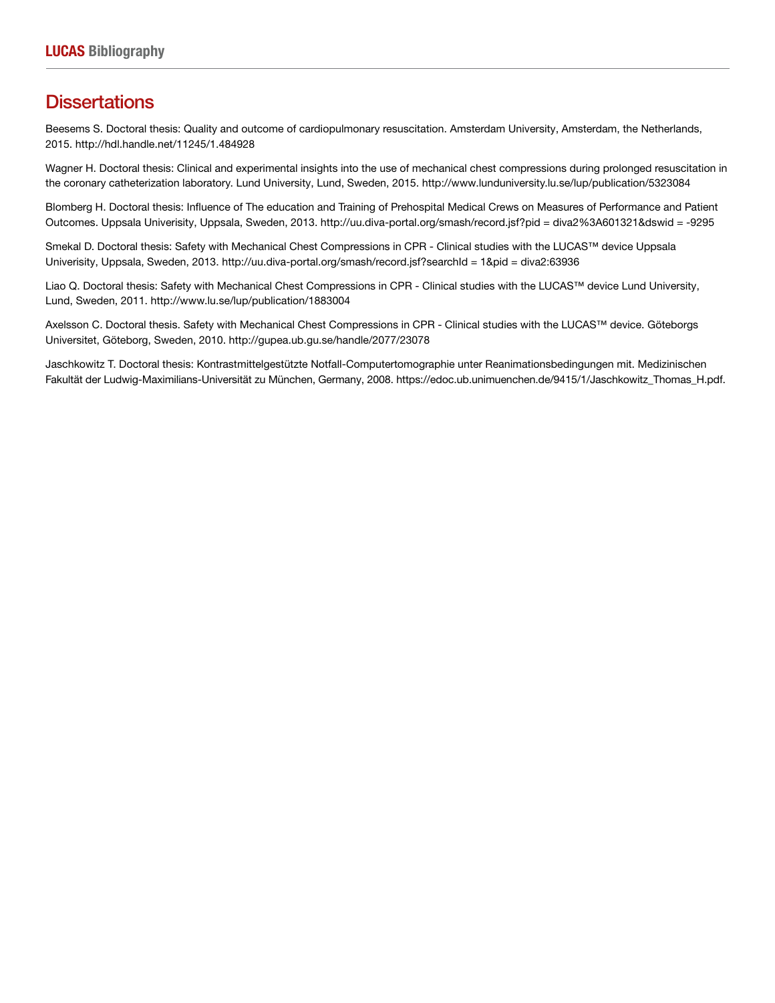## **Dissertations**

Beesems S. Doctoral thesis: Quality and outcome of cardiopulmonary resuscitation. Amsterdam University, Amsterdam, the Netherlands, 2015. http://hdl.handle.net/11245/1.484928

Wagner H. Doctoral thesis: Clinical and experimental insights into the use of mechanical chest compressions during prolonged resuscitation in the coronary catheterization laboratory. Lund University, Lund, Sweden, 2015. http://www.lunduniversity.lu.se/lup/publication/5323084

Blomberg H. Doctoral thesis: Influence of The education and Training of Prehospital Medical Crews on Measures of Performance and Patient Outcomes. Uppsala Univerisity, Uppsala, Sweden, 2013. http://uu.diva-portal.org/smash/record.jsf?pid = diva2%3A601321&dswid = -9295

Smekal D. Doctoral thesis: Safety with Mechanical Chest Compressions in CPR - Clinical studies with the LUCAS™ device Uppsala Univerisity, Uppsala, Sweden, 2013. http://uu.diva-portal.org/smash/record.jsf?searchId = 1&pid = diva2:63936

Liao Q. Doctoral thesis: Safety with Mechanical Chest Compressions in CPR - Clinical studies with the LUCAS™ device Lund University, Lund, Sweden, 2011. http://www.lu.se/lup/publication/1883004

Axelsson C. Doctoral thesis. Safety with Mechanical Chest Compressions in CPR - Clinical studies with the LUCAS™ device. Göteborgs Universitet, Göteborg, Sweden, 2010. http://gupea.ub.gu.se/handle/2077/23078

Jaschkowitz T. Doctoral thesis: Kontrastmittelgestützte Notfall-Computertomographie unter Reanimationsbedingungen mit. Medizinischen Fakultät der Ludwig-Maximilians-Universität zu München, Germany, 2008. https://edoc.ub.unimuenchen.de/9415/1/Jaschkowitz\_Thomas\_H.pdf.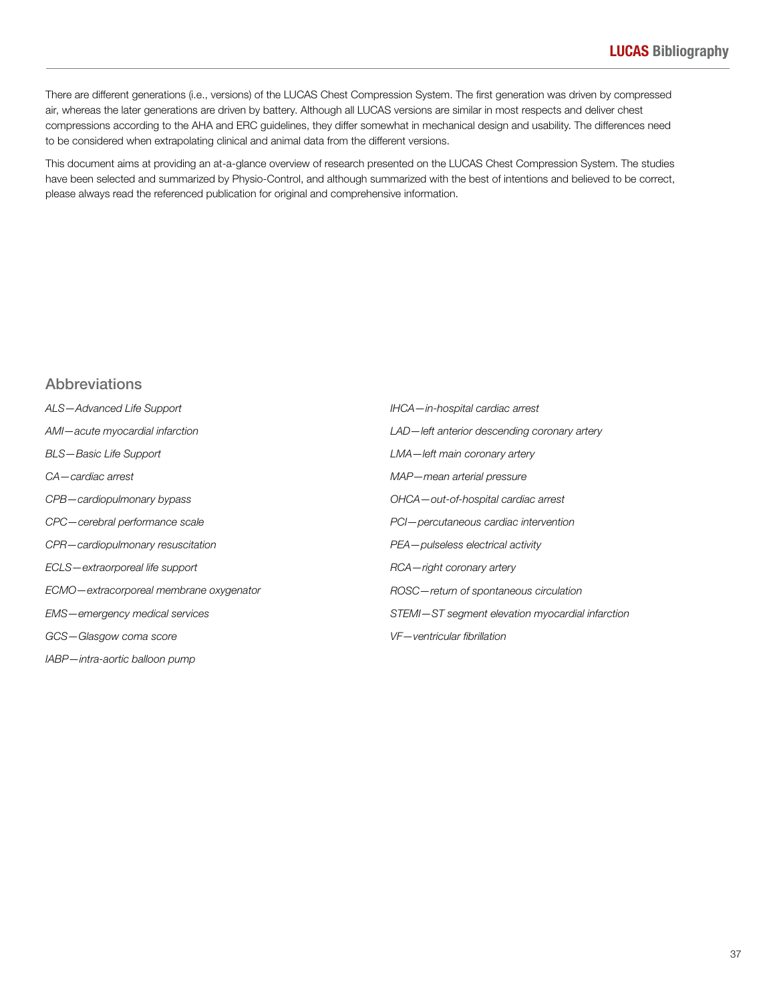There are different generations (i.e., versions) of the LUCAS Chest Compression System. The first generation was driven by compressed air, whereas the later generations are driven by battery. Although all LUCAS versions are similar in most respects and deliver chest compressions according to the AHA and ERC guidelines, they differ somewhat in mechanical design and usability. The differences need to be considered when extrapolating clinical and animal data from the different versions.

This document aims at providing an at-a-glance overview of research presented on the LUCAS Chest Compression System. The studies have been selected and summarized by Physio-Control, and although summarized with the best of intentions and believed to be correct, please always read the referenced publication for original and comprehensive information.

## Abbreviations

| ALS-Advanced Life Support               | IHCA-in-hospital cardiac arrest                  |
|-----------------------------------------|--------------------------------------------------|
| AMI-acute myocardial infarction         | LAD-left anterior descending coronary artery     |
| BLS-Basic Life Support                  | LMA-left main coronary artery                    |
| CA-cardiac arrest                       | MAP-mean arterial pressure                       |
| CPB-cardiopulmonary bypass              | OHCA-out-of-hospital cardiac arrest              |
| CPC-cerebral performance scale          | PCI-percutaneous cardiac intervention            |
| CPR-cardiopulmonary resuscitation       | PEA-pulseless electrical activity                |
| ECLS-extraorporeal life support         | RCA-right coronary artery                        |
| ECMO-extracorporeal membrane oxygenator | ROSC-return of spontaneous circulation           |
| EMS-emergency medical services          | STEMI-ST segment elevation myocardial infarction |
| GCS-Glasgow coma score                  | VF-ventricular fibrillation                      |
| IABP-intra-aortic balloon pump          |                                                  |